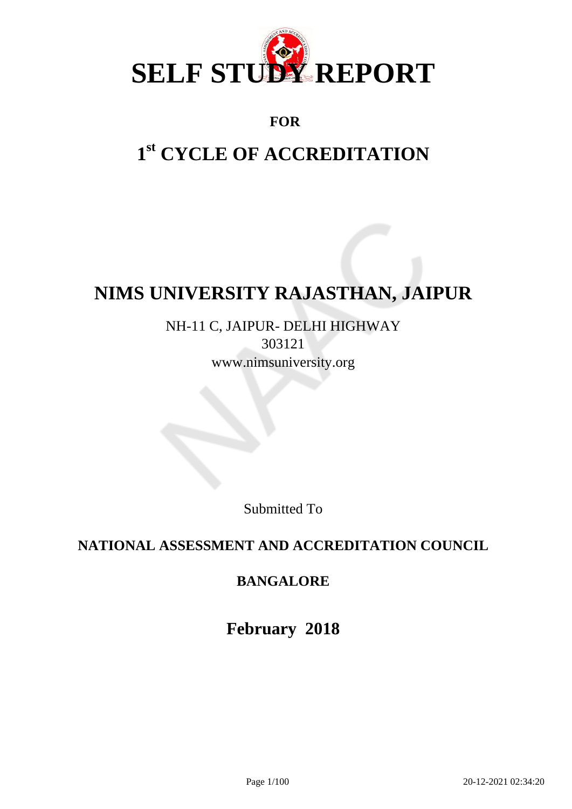

## **FOR**

## **1 st CYCLE OF ACCREDITATION**

## **NIMS UNIVERSITY RAJASTHAN, JAIPUR**

NH-11 C, JAIPUR- DELHI HIGHWAY 303121 www.nimsuniversity.org

Submitted To

## **NATIONAL ASSESSMENT AND ACCREDITATION COUNCIL**

## **BANGALORE**

**February 2018**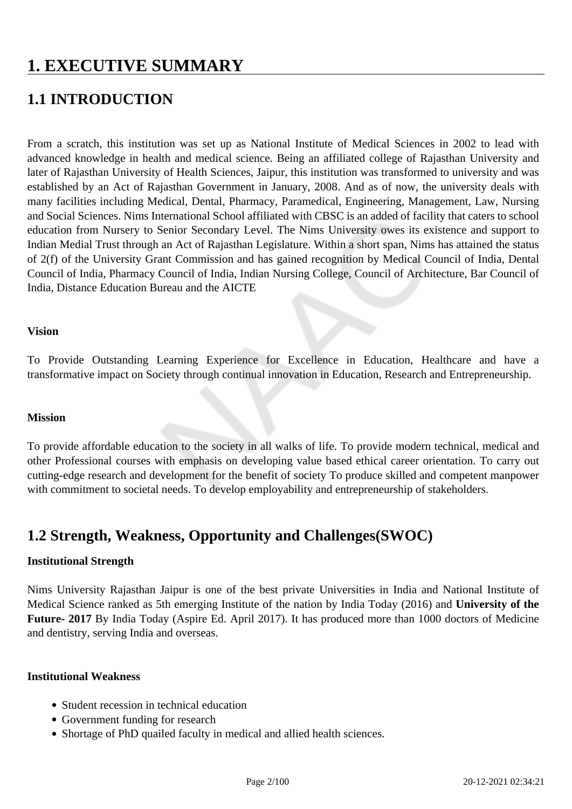## **1. EXECUTIVE SUMMARY**

## **1.1 INTRODUCTION**

From a scratch, this institution was set up as National Institute of Medical Sciences in 2002 to lead with advanced knowledge in health and medical science. Being an affiliated college of Rajasthan University and later of Rajasthan University of Health Sciences, Jaipur, this institution was transformed to university and was established by an Act of Rajasthan Government in January, 2008. And as of now, the university deals with many facilities including Medical, Dental, Pharmacy, Paramedical, Engineering, Management, Law, Nursing and Social Sciences. Nims International School affiliated with CBSC is an added of facility that caters to school education from Nursery to Senior Secondary Level. The Nims University owes its existence and support to Indian Medial Trust through an Act of Rajasthan Legislature. Within a short span, Nims has attained the status of 2(f) of the University Grant Commission and has gained recognition by Medical Council of India, Dental Council of India, Pharmacy Council of India, Indian Nursing College, Council of Architecture, Bar Council of India, Distance Education Bureau and the AICTE

#### **Vision**

To Provide Outstanding Learning Experience for Excellence in Education, Healthcare and have a transformative impact on Society through continual innovation in Education, Research and Entrepreneurship.

#### **Mission**

To provide affordable education to the society in all walks of life. To provide modern technical, medical and other Professional courses with emphasis on developing value based ethical career orientation. To carry out cutting-edge research and development for the benefit of society To produce skilled and competent manpower with commitment to societal needs. To develop employability and entrepreneurship of stakeholders.

## **1.2 Strength, Weakness, Opportunity and Challenges(SWOC)**

#### **Institutional Strength**

Nims University Rajasthan Jaipur is one of the best private Universities in India and National Institute of Medical Science ranked as 5th emerging Institute of the nation by India Today (2016) and **University of the Future- 2017** By India Today (Aspire Ed. April 2017). It has produced more than 1000 doctors of Medicine and dentistry, serving India and overseas.

#### **Institutional Weakness**

- Student recession in technical education
- Government funding for research
- Shortage of PhD quailed faculty in medical and allied health sciences.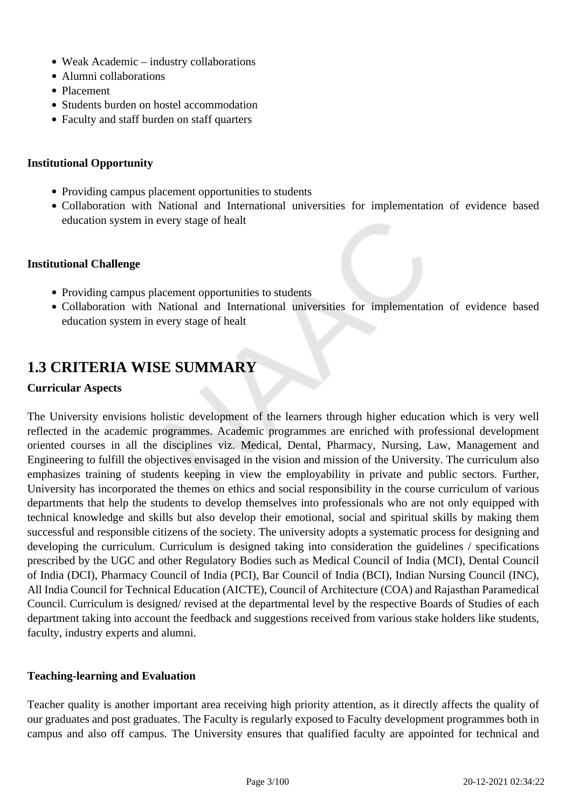- Weak Academic industry collaborations
- Alumni collaborations
- Placement
- Students burden on hostel accommodation
- Faculty and staff burden on staff quarters

#### **Institutional Opportunity**

- Providing campus placement opportunities to students
- Collaboration with National and International universities for implementation of evidence based education system in every stage of healt

#### **Institutional Challenge**

- Providing campus placement opportunities to students
- Collaboration with National and International universities for implementation of evidence based education system in every stage of healt

## **1.3 CRITERIA WISE SUMMARY**

#### **Curricular Aspects**

The University envisions holistic development of the learners through higher education which is very well reflected in the academic programmes. Academic programmes are enriched with professional development oriented courses in all the disciplines viz. Medical, Dental, Pharmacy, Nursing, Law, Management and Engineering to fulfill the objectives envisaged in the vision and mission of the University. The curriculum also emphasizes training of students keeping in view the employability in private and public sectors. Further, University has incorporated the themes on ethics and social responsibility in the course curriculum of various departments that help the students to develop themselves into professionals who are not only equipped with technical knowledge and skills but also develop their emotional, social and spiritual skills by making them successful and responsible citizens of the society. The university adopts a systematic process for designing and developing the curriculum. Curriculum is designed taking into consideration the guidelines / specifications prescribed by the UGC and other Regulatory Bodies such as Medical Council of India (MCI), Dental Council of India (DCI), Pharmacy Council of India (PCI), Bar Council of India (BCI), Indian Nursing Council (INC), All India Council for Technical Education (AICTE), Council of Architecture (COA) and Rajasthan Paramedical Council. Curriculum is designed/ revised at the departmental level by the respective Boards of Studies of each department taking into account the feedback and suggestions received from various stake holders like students, faculty, industry experts and alumni.

#### **Teaching-learning and Evaluation**

Teacher quality is another important area receiving high priority attention, as it directly affects the quality of our graduates and post graduates. The Faculty is regularly exposed to Faculty development programmes both in campus and also off campus. The University ensures that qualified faculty are appointed for technical and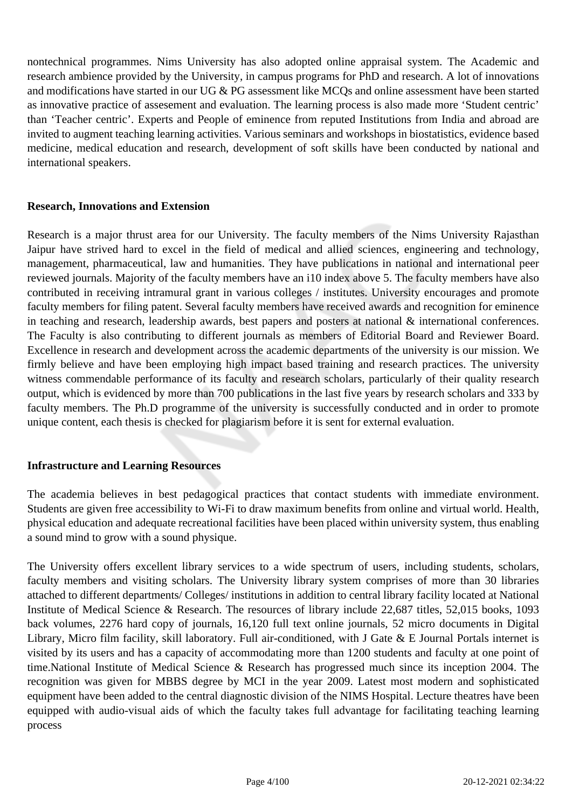nontechnical programmes. Nims University has also adopted online appraisal system. The Academic and research ambience provided by the University, in campus programs for PhD and research. A lot of innovations and modifications have started in our UG & PG assessment like MCQs and online assessment have been started as innovative practice of assesement and evaluation. The learning process is also made more 'Student centric' than 'Teacher centric'. Experts and People of eminence from reputed Institutions from India and abroad are invited to augment teaching learning activities. Various seminars and workshops in biostatistics, evidence based medicine, medical education and research, development of soft skills have been conducted by national and international speakers.

#### **Research, Innovations and Extension**

Research is a major thrust area for our University. The faculty members of the Nims University Rajasthan Jaipur have strived hard to excel in the field of medical and allied sciences, engineering and technology, management, pharmaceutical, law and humanities. They have publications in national and international peer reviewed journals. Majority of the faculty members have an i10 index above 5. The faculty members have also contributed in receiving intramural grant in various colleges / institutes. University encourages and promote faculty members for filing patent. Several faculty members have received awards and recognition for eminence in teaching and research, leadership awards, best papers and posters at national & international conferences. The Faculty is also contributing to different journals as members of Editorial Board and Reviewer Board. Excellence in research and development across the academic departments of the university is our mission. We firmly believe and have been employing high impact based training and research practices. The university witness commendable performance of its faculty and research scholars, particularly of their quality research output, which is evidenced by more than 700 publications in the last five years by research scholars and 333 by faculty members. The Ph.D programme of the university is successfully conducted and in order to promote unique content, each thesis is checked for plagiarism before it is sent for external evaluation.

#### **Infrastructure and Learning Resources**

The academia believes in best pedagogical practices that contact students with immediate environment. Students are given free accessibility to Wi-Fi to draw maximum benefits from online and virtual world. Health, physical education and adequate recreational facilities have been placed within university system, thus enabling a sound mind to grow with a sound physique.

The University offers excellent library services to a wide spectrum of users, including students, scholars, faculty members and visiting scholars. The University library system comprises of more than 30 libraries attached to different departments/ Colleges/ institutions in addition to central library facility located at National Institute of Medical Science & Research. The resources of library include 22,687 titles, 52,015 books, 1093 back volumes, 2276 hard copy of journals, 16,120 full text online journals, 52 micro documents in Digital Library, Micro film facility, skill laboratory. Full air-conditioned, with J Gate & E Journal Portals internet is visited by its users and has a capacity of accommodating more than 1200 students and faculty at one point of time.National Institute of Medical Science & Research has progressed much since its inception 2004. The recognition was given for MBBS degree by MCI in the year 2009. Latest most modern and sophisticated equipment have been added to the central diagnostic division of the NIMS Hospital. Lecture theatres have been equipped with audio-visual aids of which the faculty takes full advantage for facilitating teaching learning process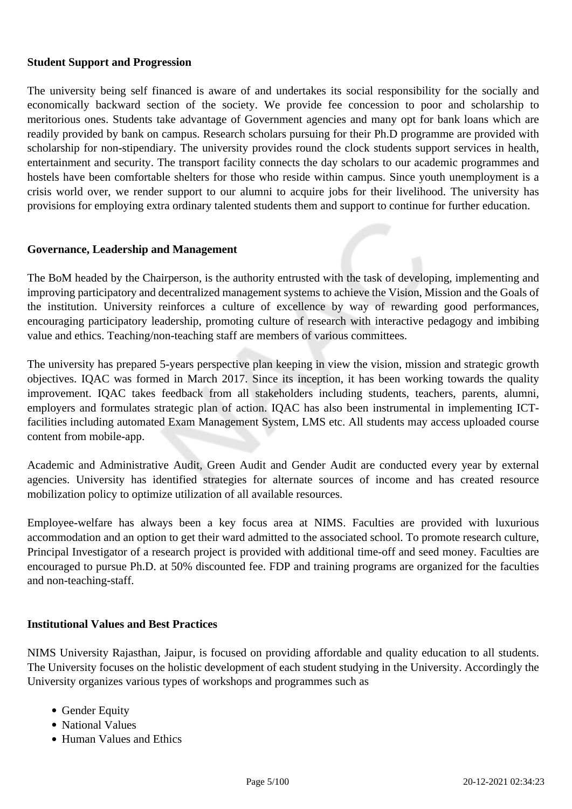#### **Student Support and Progression**

The university being self financed is aware of and undertakes its social responsibility for the socially and economically backward section of the society. We provide fee concession to poor and scholarship to meritorious ones. Students take advantage of Government agencies and many opt for bank loans which are readily provided by bank on campus. Research scholars pursuing for their Ph.D programme are provided with scholarship for non-stipendiary. The university provides round the clock students support services in health, entertainment and security. The transport facility connects the day scholars to our academic programmes and hostels have been comfortable shelters for those who reside within campus. Since youth unemployment is a crisis world over, we render support to our alumni to acquire jobs for their livelihood. The university has provisions for employing extra ordinary talented students them and support to continue for further education.

#### **Governance, Leadership and Management**

The BoM headed by the Chairperson, is the authority entrusted with the task of developing, implementing and improving participatory and decentralized management systems to achieve the Vision, Mission and the Goals of the institution. University reinforces a culture of excellence by way of rewarding good performances, encouraging participatory leadership, promoting culture of research with interactive pedagogy and imbibing value and ethics. Teaching/non-teaching staff are members of various committees.

The university has prepared 5-years perspective plan keeping in view the vision, mission and strategic growth objectives. IQAC was formed in March 2017. Since its inception, it has been working towards the quality improvement. IQAC takes feedback from all stakeholders including students, teachers, parents, alumni, employers and formulates strategic plan of action. IQAC has also been instrumental in implementing ICTfacilities including automated Exam Management System, LMS etc. All students may access uploaded course content from mobile-app.

Academic and Administrative Audit, Green Audit and Gender Audit are conducted every year by external agencies. University has identified strategies for alternate sources of income and has created resource mobilization policy to optimize utilization of all available resources.

Employee-welfare has always been a key focus area at NIMS. Faculties are provided with luxurious accommodation and an option to get their ward admitted to the associated school. To promote research culture, Principal Investigator of a research project is provided with additional time-off and seed money. Faculties are encouraged to pursue Ph.D. at 50% discounted fee. FDP and training programs are organized for the faculties and non-teaching-staff.

#### **Institutional Values and Best Practices**

NIMS University Rajasthan, Jaipur, is focused on providing affordable and quality education to all students. The University focuses on the holistic development of each student studying in the University. Accordingly the University organizes various types of workshops and programmes such as

- Gender Equity
- National Values
- Human Values and Ethics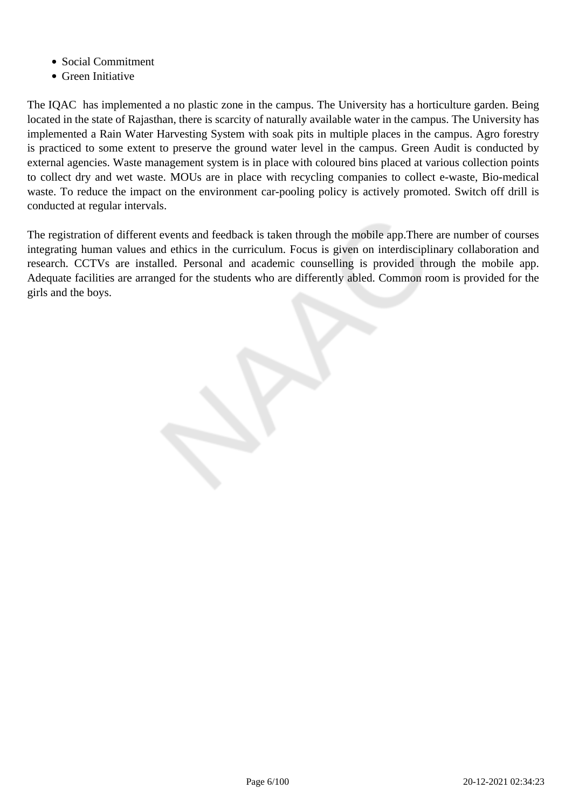- Social Commitment
- Green Initiative

The IQAC has implemented a no plastic zone in the campus. The University has a horticulture garden. Being located in the state of Rajasthan, there is scarcity of naturally available water in the campus. The University has implemented a Rain Water Harvesting System with soak pits in multiple places in the campus. Agro forestry is practiced to some extent to preserve the ground water level in the campus. Green Audit is conducted by external agencies. Waste management system is in place with coloured bins placed at various collection points to collect dry and wet waste. MOUs are in place with recycling companies to collect e-waste, Bio-medical waste. To reduce the impact on the environment car-pooling policy is actively promoted. Switch off drill is conducted at regular intervals.

The registration of different events and feedback is taken through the mobile app.There are number of courses integrating human values and ethics in the curriculum. Focus is given on interdisciplinary collaboration and research. CCTVs are installed. Personal and academic counselling is provided through the mobile app. Adequate facilities are arranged for the students who are differently abled. Common room is provided for the girls and the boys.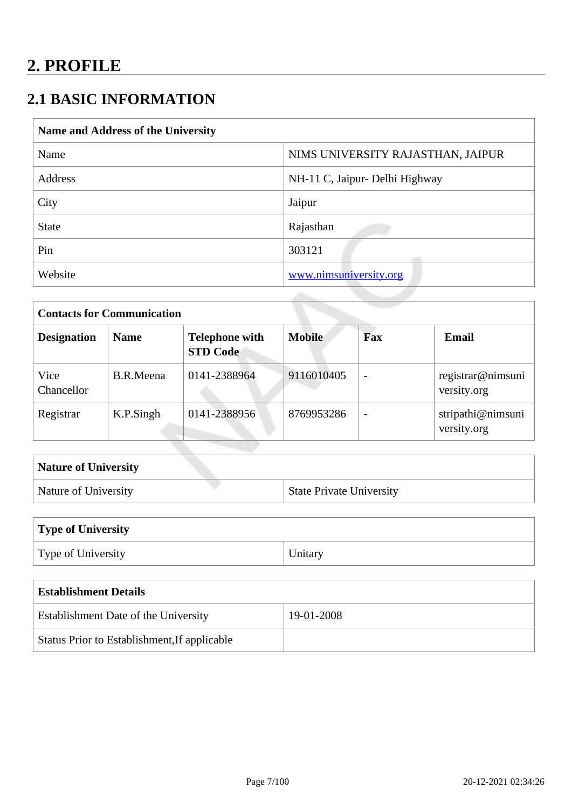## **2. PROFILE**

## **2.1 BASIC INFORMATION**

| Name and Address of the University |                                   |  |  |  |
|------------------------------------|-----------------------------------|--|--|--|
| Name                               | NIMS UNIVERSITY RAJASTHAN, JAIPUR |  |  |  |
| Address                            | NH-11 C, Jaipur- Delhi Highway    |  |  |  |
| City                               | Jaipur                            |  |  |  |
| <b>State</b>                       | Rajasthan                         |  |  |  |
| Pin                                | 303121                            |  |  |  |
| Website                            | www.nimsuniversity.org            |  |  |  |

| <b>Contacts for Communication</b> |             |                                          |               |                          |                                  |  |  |
|-----------------------------------|-------------|------------------------------------------|---------------|--------------------------|----------------------------------|--|--|
| <b>Designation</b>                | <b>Name</b> | <b>Telephone with</b><br><b>STD Code</b> | <b>Mobile</b> | Fax                      | Email                            |  |  |
| Vice<br>Chancellor                | B.R.Meena   | 0141-2388964                             | 9116010405    | $\overline{\phantom{0}}$ | registrar@nimsuni<br>versity.org |  |  |
| Registrar                         | K.P.Singh   | 0141-2388956                             | 8769953286    | $\overline{\phantom{0}}$ | stripathi@nimsuni<br>versity.org |  |  |

| <b>Nature of University</b> |                                 |
|-----------------------------|---------------------------------|
| Nature of University        | <b>State Private University</b> |

| Type of University |         |
|--------------------|---------|
| Type of University | Unitary |
|                    |         |

| Establishment Details                        |            |  |  |  |  |
|----------------------------------------------|------------|--|--|--|--|
| Establishment Date of the University         | 19-01-2008 |  |  |  |  |
| Status Prior to Establishment, If applicable |            |  |  |  |  |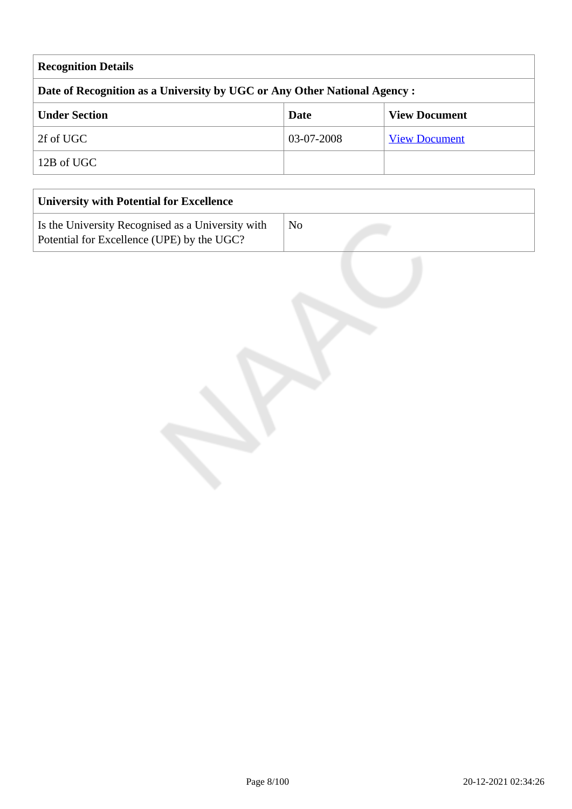| <b>Recognition Details</b>                                                |            |                      |  |  |  |  |  |
|---------------------------------------------------------------------------|------------|----------------------|--|--|--|--|--|
| Date of Recognition as a University by UGC or Any Other National Agency : |            |                      |  |  |  |  |  |
| <b>Under Section</b><br><b>View Document</b><br>Date                      |            |                      |  |  |  |  |  |
| 2f of UGC                                                                 | 03-07-2008 | <b>View Document</b> |  |  |  |  |  |
| 12B of UGC                                                                |            |                      |  |  |  |  |  |

| <b>University with Potential for Excellence</b>                                                 |    |  |  |  |  |  |
|-------------------------------------------------------------------------------------------------|----|--|--|--|--|--|
| Is the University Recognised as a University with<br>Potential for Excellence (UPE) by the UGC? | No |  |  |  |  |  |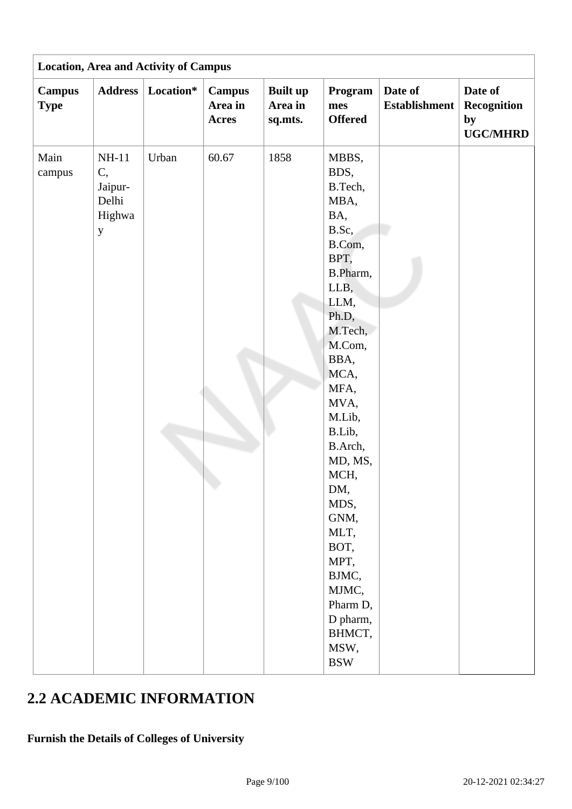| <b>Location, Area and Activity of Campus</b> |                                                  |           |                                   |                                       |                                                                                                                                                                                                                                                                                                                                         |                                 |                                                 |  |
|----------------------------------------------|--------------------------------------------------|-----------|-----------------------------------|---------------------------------------|-----------------------------------------------------------------------------------------------------------------------------------------------------------------------------------------------------------------------------------------------------------------------------------------------------------------------------------------|---------------------------------|-------------------------------------------------|--|
| <b>Campus</b><br><b>Type</b>                 | <b>Address</b>                                   | Location* | <b>Campus</b><br>Area in<br>Acres | <b>Built up</b><br>Area in<br>sq.mts. | Program<br>mes<br><b>Offered</b>                                                                                                                                                                                                                                                                                                        | Date of<br><b>Establishment</b> | Date of<br>Recognition<br>by<br><b>UGC/MHRD</b> |  |
| Main<br>campus                               | $NH-11$<br>C,<br>Jaipur-<br>Delhi<br>Highwa<br>y | Urban     | 60.67                             | 1858                                  | MBBS,<br>BDS,<br>B.Tech,<br>MBA,<br>BA,<br>B.Sc,<br>B.Com,<br>BPT,<br>B.Pharm,<br>LLB,<br>LLM,<br>Ph.D,<br>M.Tech,<br>M.Com,<br>BBA,<br>MCA,<br>MFA,<br>MVA,<br>M.Lib,<br>B.Lib,<br>B.Arch,<br>MD, MS,<br>MCH,<br>DM,<br>MDS,<br>GNM,<br>MLT,<br>BOT,<br>MPT,<br>BJMC,<br>MJMC,<br>Pharm D,<br>D pharm,<br>BHMCT,<br>MSW,<br><b>BSW</b> |                                 |                                                 |  |

## **2.2 ACADEMIC INFORMATION**

## **Furnish the Details of Colleges of University**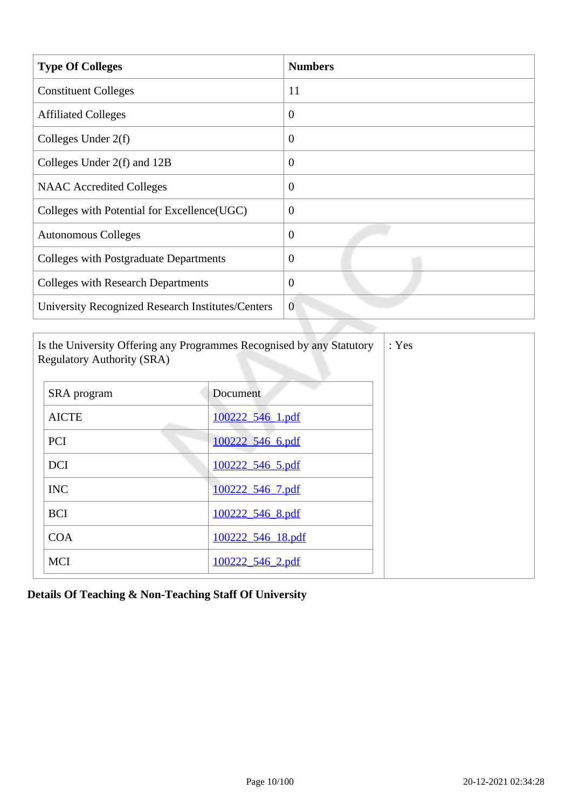| <b>Type Of Colleges</b>                           | <b>Numbers</b> |
|---------------------------------------------------|----------------|
| <b>Constituent Colleges</b>                       | 11             |
| <b>Affiliated Colleges</b>                        | $\overline{0}$ |
| Colleges Under $2(f)$                             | $\theta$       |
| Colleges Under 2(f) and 12B                       | $\theta$       |
| <b>NAAC</b> Accredited Colleges                   | $\theta$       |
| Colleges with Potential for Excellence (UGC)      | $\overline{0}$ |
| <b>Autonomous Colleges</b>                        | $\theta$       |
| Colleges with Postgraduate Departments            | $\theta$       |
| <b>Colleges with Research Departments</b>         | $\overline{0}$ |
| University Recognized Research Institutes/Centers | $\overline{0}$ |

| Is the University Offering any Programmes Recognised by any Statutory<br><b>Regulatory Authority (SRA)</b> | : Yes             |  |
|------------------------------------------------------------------------------------------------------------|-------------------|--|
| SRA program                                                                                                | Document          |  |
| <b>AICTE</b>                                                                                               | 100222 546 1.pdf  |  |
| <b>PCI</b>                                                                                                 | 100222_546_6.pdf  |  |
| <b>DCI</b>                                                                                                 | 100222_546_5.pdf  |  |
| <b>INC</b>                                                                                                 | 100222 546 7.pdf  |  |
| <b>BCI</b>                                                                                                 | 100222_546_8.pdf  |  |
| <b>COA</b>                                                                                                 | 100222_546_18.pdf |  |
| <b>MCI</b>                                                                                                 | 100222 546 2.pdf  |  |

**Details Of Teaching & Non-Teaching Staff Of University**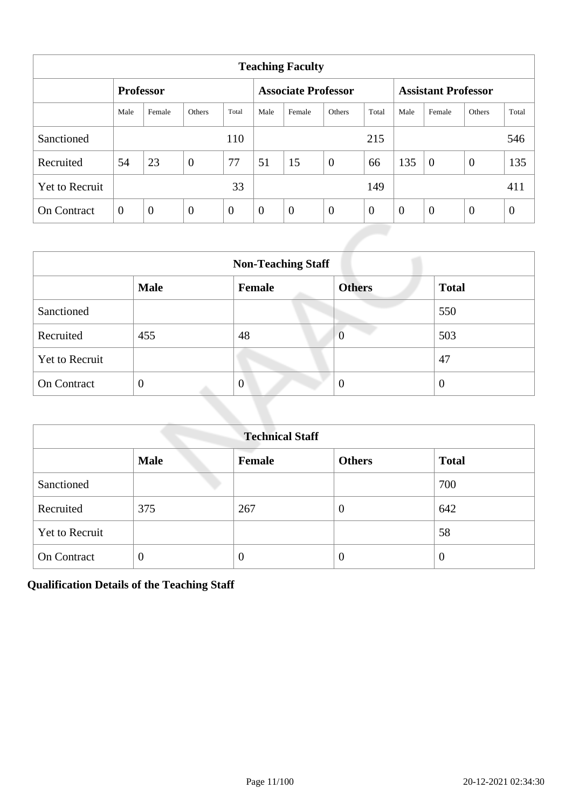| <b>Teaching Faculty</b> |                  |          |                |                            |          |                |               |                |                            |                |                  |                  |
|-------------------------|------------------|----------|----------------|----------------------------|----------|----------------|---------------|----------------|----------------------------|----------------|------------------|------------------|
|                         | <b>Professor</b> |          |                | <b>Associate Professor</b> |          |                |               |                | <b>Assistant Professor</b> |                |                  |                  |
|                         | Male             | Female   | <b>Others</b>  | Total                      | Male     | Female         | <b>Others</b> | Total          | Male                       | Female         | Others           | Total            |
| Sanctioned              |                  |          |                | 110                        |          |                |               | 215            |                            |                |                  | 546              |
| Recruited               | 54               | 23       | $\overline{0}$ | 77                         | 51       | 15             | $\theta$      | 66             | 135                        | $\overline{0}$ | $\overline{0}$   | 135              |
| <b>Yet to Recruit</b>   |                  |          |                | 33                         |          |                |               | 149            |                            |                |                  | 411              |
| <b>On Contract</b>      | $\overline{0}$   | $\theta$ | $\overline{0}$ | $\overline{0}$             | $\theta$ | $\overline{0}$ | $\theta$      | $\overline{0}$ | $\theta$                   | $\overline{0}$ | $\boldsymbol{0}$ | $\boldsymbol{0}$ |

| <b>Non-Teaching Staff</b> |                |                |                |              |  |  |  |
|---------------------------|----------------|----------------|----------------|--------------|--|--|--|
|                           | <b>Male</b>    | <b>Female</b>  | <b>Others</b>  | <b>Total</b> |  |  |  |
| Sanctioned                |                |                |                | 550          |  |  |  |
| Recruited                 | 455            | 48             | $\overline{0}$ | 503          |  |  |  |
| <b>Yet to Recruit</b>     |                |                |                | 47           |  |  |  |
| On Contract               | $\overline{0}$ | $\overline{0}$ | $\theta$       | O            |  |  |  |

| <b>Technical Staff</b> |                  |        |                  |              |  |  |  |  |  |
|------------------------|------------------|--------|------------------|--------------|--|--|--|--|--|
|                        | <b>Male</b>      | Female | <b>Others</b>    | <b>Total</b> |  |  |  |  |  |
| Sanctioned             |                  |        |                  | 700          |  |  |  |  |  |
| Recruited              | 375              | 267    | $\theta$         | 642          |  |  |  |  |  |
| <b>Yet to Recruit</b>  |                  |        |                  | 58           |  |  |  |  |  |
| <b>On Contract</b>     | $\boldsymbol{0}$ | O      | $\boldsymbol{0}$ | $\theta$     |  |  |  |  |  |

**Qualification Details of the Teaching Staff**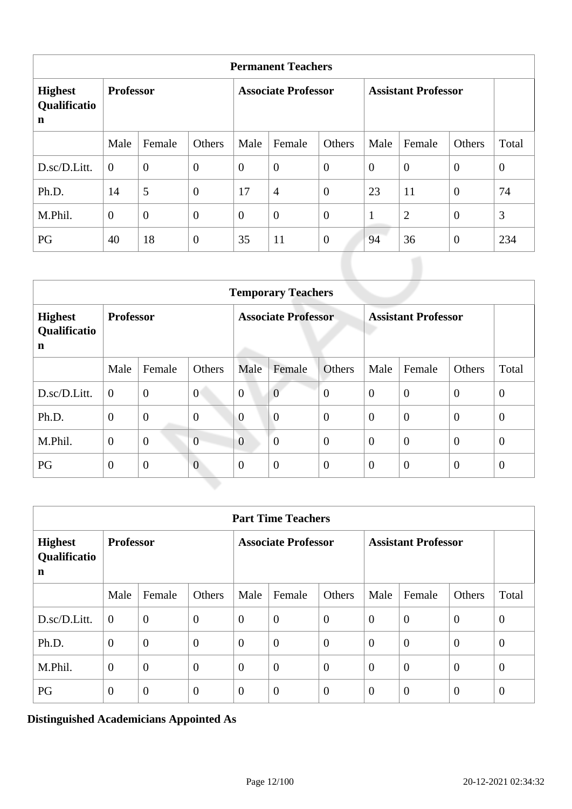| <b>Permanent Teachers</b>           |                  |                |                            |                |                            |                |                  |                |              |                  |  |
|-------------------------------------|------------------|----------------|----------------------------|----------------|----------------------------|----------------|------------------|----------------|--------------|------------------|--|
| <b>Highest</b><br>Qualificatio<br>n | <b>Professor</b> |                | <b>Associate Professor</b> |                | <b>Assistant Professor</b> |                |                  |                |              |                  |  |
|                                     | Male             | Female         | Others                     | Male           | Female                     | Others         | Male             | Female         | Others       | Total            |  |
| D.sc/D.Litt.                        | $\overline{0}$   | $\overline{0}$ | $\boldsymbol{0}$           | $\theta$       | $\overline{0}$             | $\overline{0}$ | $\boldsymbol{0}$ | $\overline{0}$ | $\mathbf{0}$ | $\boldsymbol{0}$ |  |
| Ph.D.                               | 14               | 5              | $\boldsymbol{0}$           | 17             | $\overline{4}$             | $\overline{0}$ | 23               | 11             | $\mathbf{0}$ | 74               |  |
| M.Phil.                             | $\overline{0}$   | $\overline{0}$ | $\boldsymbol{0}$           | $\overline{0}$ | $\overline{0}$             | $\overline{0}$ | 1                | $\overline{2}$ | $\mathbf{0}$ | 3                |  |
| PG                                  | 40               | 18             | $\boldsymbol{0}$           | 35             | <sup>11</sup>              | $\theta$       | 94               | 36             | $\theta$     | 234              |  |

|                                                                                                                     | <b>Temporary Teachers</b> |                |                  |                |                |                |                |                |                  |              |  |  |
|---------------------------------------------------------------------------------------------------------------------|---------------------------|----------------|------------------|----------------|----------------|----------------|----------------|----------------|------------------|--------------|--|--|
| <b>Associate Professor</b><br><b>Highest</b><br><b>Professor</b><br><b>Assistant Professor</b><br>Qualificatio<br>n |                           |                |                  |                |                |                |                |                |                  |              |  |  |
|                                                                                                                     | Male                      | Female         | Others           | Male           | Female         | Others         | Male           | Female         | Others           | Total        |  |  |
| D.sc/D.Litt.                                                                                                        | $\overline{0}$            | $\overline{0}$ | $\theta$         | $\overline{0}$ | $\overline{0}$ | $\overline{0}$ | $\overline{0}$ | $\overline{0}$ | $\theta$         | $\mathbf{0}$ |  |  |
| Ph.D.                                                                                                               | $\mathbf{0}$              | $\overline{0}$ | $\boldsymbol{0}$ | $\overline{0}$ | $\overline{0}$ | $\mathbf{0}$   | $\theta$       | $\overline{0}$ | $\overline{0}$   | $\theta$     |  |  |
| M.Phil.                                                                                                             | $\overline{0}$            | $\overline{0}$ | $\overline{0}$   | $\mathbf{0}$   | $\theta$       | $\overline{0}$ | $\overline{0}$ | $\overline{0}$ | $\overline{0}$   | $\theta$     |  |  |
| PG                                                                                                                  | $\mathbf{0}$              | $\mathbf{0}$   | $\overline{0}$   | $\overline{0}$ | $\overline{0}$ | $\mathbf{0}$   | $\overline{0}$ | $\theta$       | $\boldsymbol{0}$ | $\theta$     |  |  |

|                                     | <b>Part Time Teachers</b> |                  |                            |                |                            |                |                |                |                |                |  |  |
|-------------------------------------|---------------------------|------------------|----------------------------|----------------|----------------------------|----------------|----------------|----------------|----------------|----------------|--|--|
| <b>Highest</b><br>Qualificatio<br>n | <b>Professor</b>          |                  | <b>Associate Professor</b> |                | <b>Assistant Professor</b> |                |                |                |                |                |  |  |
|                                     | Male                      | Female           | Others                     | Male           | Female                     | Others         | Male           | Female         | Others         | Total          |  |  |
| D.sc/D.Litt.                        | $\theta$                  | $\boldsymbol{0}$ | $\theta$                   | $\theta$       | $\boldsymbol{0}$           | $\overline{0}$ | $\overline{0}$ | $\overline{0}$ | $\overline{0}$ | $\overline{0}$ |  |  |
| Ph.D.                               | $\overline{0}$            | $\overline{0}$   | $\overline{0}$             | $\overline{0}$ | $\overline{0}$             | $\overline{0}$ | $\overline{0}$ | $\overline{0}$ | $\theta$       | $\overline{0}$ |  |  |
| M.Phil.                             | $\theta$                  | $\boldsymbol{0}$ | $\overline{0}$             | $\overline{0}$ | $\boldsymbol{0}$           | $\overline{0}$ | $\overline{0}$ | $\overline{0}$ | $\theta$       | $\overline{0}$ |  |  |
| PG                                  | $\overline{0}$            | $\overline{0}$   | $\overline{0}$             | $\overline{0}$ | $\overline{0}$             | $\overline{0}$ | $\overline{0}$ | $\overline{0}$ | $\overline{0}$ | $\overline{0}$ |  |  |

**Distinguished Academicians Appointed As**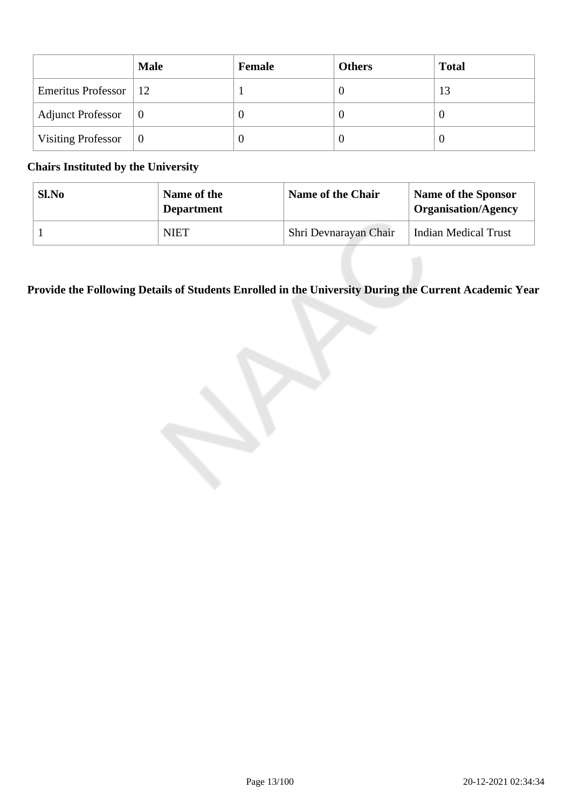|                           | <b>Male</b>      | Female | <b>Others</b> | <b>Total</b> |
|---------------------------|------------------|--------|---------------|--------------|
| Emeritus Professor   12   |                  |        |               | 13           |
| <b>Adjunct Professor</b>  | $\theta$         | v      |               |              |
| <b>Visiting Professor</b> | $\boldsymbol{0}$ |        |               |              |

## **Chairs Instituted by the University**

| Sl.No | Name of the<br><b>Department</b> | <b>Name of the Chair</b> | Name of the Sponsor<br><b>Organisation/Agency</b> |
|-------|----------------------------------|--------------------------|---------------------------------------------------|
|       | <b>NIET</b>                      | Shri Devnarayan Chair    | <b>Indian Medical Trust</b>                       |

**Provide the Following Details of Students Enrolled in the University During the Current Academic Year**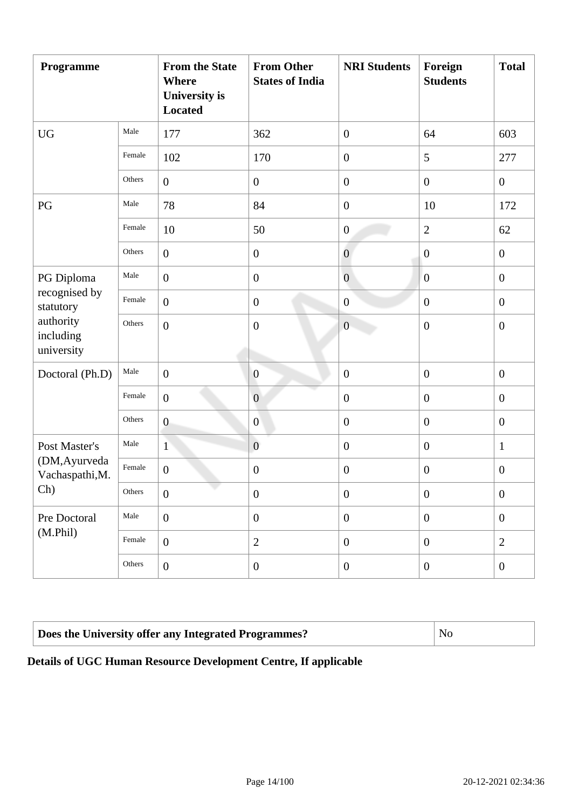| Programme                            |        | <b>From the State</b><br><b>Where</b><br><b>University</b> is<br><b>Located</b> | <b>From Other</b><br><b>States of India</b> | <b>NRI Students</b> | Foreign<br><b>Students</b> | <b>Total</b>     |
|--------------------------------------|--------|---------------------------------------------------------------------------------|---------------------------------------------|---------------------|----------------------------|------------------|
| <b>UG</b>                            | Male   | 177                                                                             | 362                                         | $\boldsymbol{0}$    | 64                         | 603              |
|                                      | Female | 102                                                                             | 170                                         | $\boldsymbol{0}$    | 5                          | 277              |
|                                      | Others | $\boldsymbol{0}$                                                                | $\boldsymbol{0}$                            | $\boldsymbol{0}$    | $\boldsymbol{0}$           | $\boldsymbol{0}$ |
| PG                                   | Male   | 78                                                                              | 84                                          | $\boldsymbol{0}$    | 10                         | 172              |
|                                      | Female | 10                                                                              | 50                                          | $\boldsymbol{0}$    | $\mathbf{2}$               | 62               |
|                                      | Others | $\overline{0}$                                                                  | $\boldsymbol{0}$                            | $\boldsymbol{0}$    | $\boldsymbol{0}$           | $\mathbf{0}$     |
| PG Diploma                           | Male   | $\overline{0}$                                                                  | $\boldsymbol{0}$                            | $\overline{0}$      | $\overline{0}$             | $\mathbf{0}$     |
| recognised by<br>statutory           | Female | $\overline{0}$                                                                  | $\boldsymbol{0}$                            | $\boldsymbol{0}$    | $\boldsymbol{0}$           | $\mathbf{0}$     |
| authority<br>including<br>university | Others | $\boldsymbol{0}$                                                                | $\boldsymbol{0}$                            | $\mathbf{0}$        | $\boldsymbol{0}$           | $\boldsymbol{0}$ |
| Doctoral (Ph.D)                      | Male   | $\boldsymbol{0}$                                                                | $\boldsymbol{0}$                            | $\boldsymbol{0}$    | $\boldsymbol{0}$           | $\boldsymbol{0}$ |
|                                      | Female | $\overline{0}$                                                                  | $\overline{0}$                              | $\boldsymbol{0}$    | $\boldsymbol{0}$           | $\boldsymbol{0}$ |
|                                      | Others | $\boldsymbol{0}$                                                                | $\overline{0}$                              | $\boldsymbol{0}$    | $\boldsymbol{0}$           | $\boldsymbol{0}$ |
| Post Master's                        | Male   | $\mathbf{1}$                                                                    | $\boldsymbol{0}$                            | $\boldsymbol{0}$    | $\boldsymbol{0}$           | $\mathbf{1}$     |
| (DM, Ayurveda<br>Vachaspathi, M.     | Female | $\overline{0}$                                                                  | $\boldsymbol{0}$                            | $\boldsymbol{0}$    | $\boldsymbol{0}$           | $\overline{0}$   |
| Ch)                                  | Others | $\boldsymbol{0}$                                                                | $\boldsymbol{0}$                            | $\boldsymbol{0}$    | $\boldsymbol{0}$           | $\boldsymbol{0}$ |
| Pre Doctoral                         | Male   | $\overline{0}$                                                                  | $\boldsymbol{0}$                            | $\boldsymbol{0}$    | $\boldsymbol{0}$           | $\boldsymbol{0}$ |
| (M.Phil)                             | Female | $\overline{0}$                                                                  | $\mathbf{2}$                                | $\boldsymbol{0}$    | $\boldsymbol{0}$           | $\overline{2}$   |
|                                      | Others | $\overline{0}$                                                                  | $\boldsymbol{0}$                            | $\boldsymbol{0}$    | $\boldsymbol{0}$           | $\boldsymbol{0}$ |

## **Does the University offer any Integrated Programmes?** No

## **Details of UGC Human Resource Development Centre, If applicable**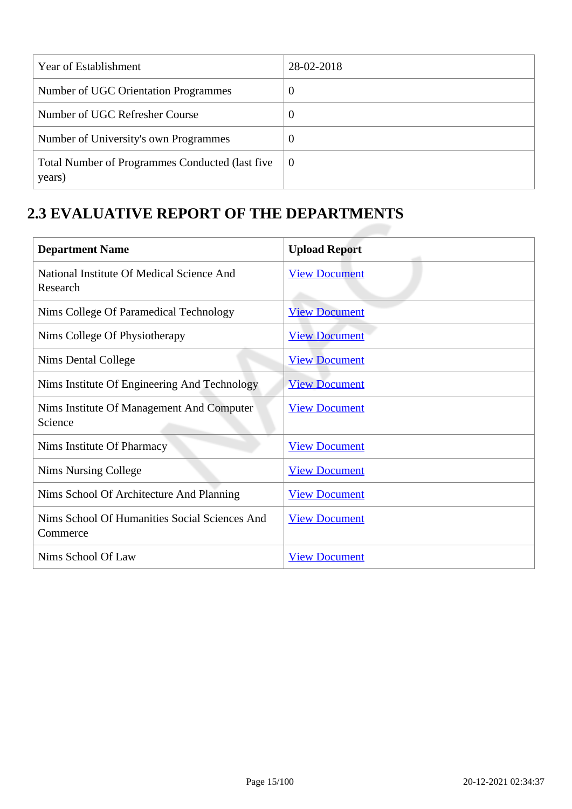| <b>Year of Establishment</b>                               | 28-02-2018 |
|------------------------------------------------------------|------------|
| Number of UGC Orientation Programmes                       | $\theta$   |
| Number of UGC Refresher Course                             | $\theta$   |
| Number of University's own Programmes                      | $\theta$   |
| Total Number of Programmes Conducted (last five)<br>years) | $\theta$   |

## **2.3 EVALUATIVE REPORT OF THE DEPARTMENTS**

| <b>Department Name</b>                                    | <b>Upload Report</b> |
|-----------------------------------------------------------|----------------------|
| National Institute Of Medical Science And<br>Research     | <b>View Document</b> |
| Nims College Of Paramedical Technology                    | <b>View Document</b> |
| Nims College Of Physiotherapy                             | <b>View Document</b> |
| <b>Nims Dental College</b>                                | <b>View Document</b> |
| Nims Institute Of Engineering And Technology              | <b>View Document</b> |
| Nims Institute Of Management And Computer<br>Science      | <b>View Document</b> |
| Nims Institute Of Pharmacy                                | <b>View Document</b> |
| Nims Nursing College                                      | <b>View Document</b> |
| Nims School Of Architecture And Planning                  | <b>View Document</b> |
| Nims School Of Humanities Social Sciences And<br>Commerce | <b>View Document</b> |
| Nims School Of Law                                        | <b>View Document</b> |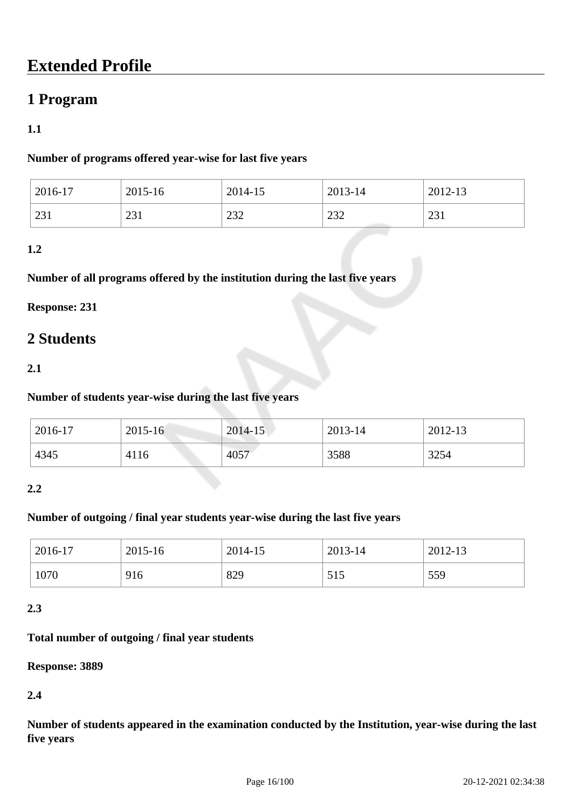## **Extended Profile**

## **1 Program**

### **1.1**

#### **Number of programs offered year-wise for last five years**

| 2016-17    | 2015-16      | 2014-15 | 2013-14 | 2012-13               |
|------------|--------------|---------|---------|-----------------------|
| .221       | 221          | 232     | 232     | 22 <sup>1</sup>       |
| $\sim$ 201 | $\omega_{1}$ |         |         | $\angle$ <sup>1</sup> |

#### **1.2**

#### **Number of all programs offered by the institution during the last five years**

#### **Response: 231**

## **2 Students**

#### **2.1**

#### **Number of students year-wise during the last five years**

| 2016-17 | 2015-16 | 2014-15 | 2013-14 | 2012-13 |
|---------|---------|---------|---------|---------|
| 4345    | 4116    | 4057    | 3588    | 3254    |

#### **2.2**

#### **Number of outgoing / final year students year-wise during the last five years**

| 2016-17 | 2015-16 | 2014-15 | 2013-14 | 2012-13 |
|---------|---------|---------|---------|---------|
| 1070    | 916     | 829     | 515     | 559     |

#### **2.3**

#### **Total number of outgoing / final year students**

#### **Response: 3889**

#### **2.4**

**Number of students appeared in the examination conducted by the Institution, year-wise during the last five years**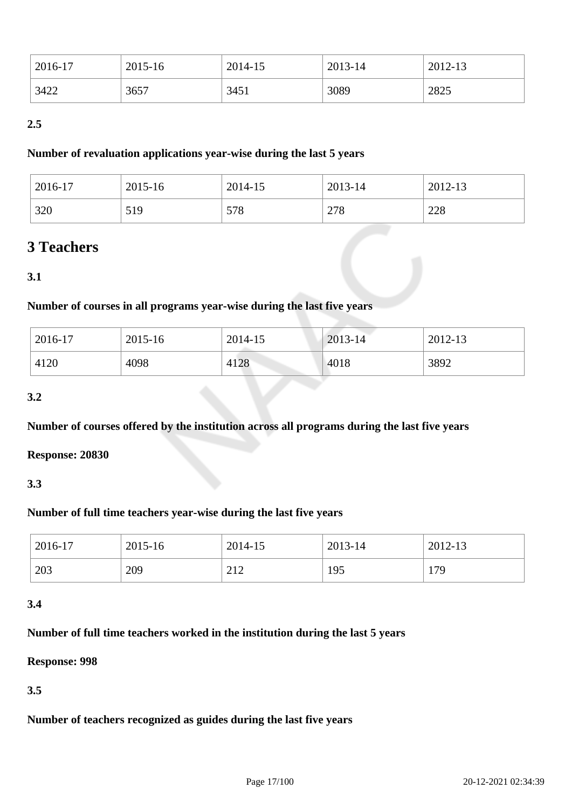| 2016-17 | 2015-16 | 2014-15 | 2013-14 | 2012-13 |
|---------|---------|---------|---------|---------|
| 3422    | 3657    | 3451    | 3089    | 2825    |

#### **2.5**

#### **Number of revaluation applications year-wise during the last 5 years**

| 2016-17 | 2015-16 | 2014-15 | 2013-14 | 2012-13 |
|---------|---------|---------|---------|---------|
| 320     | 519     | 578     | 278     | 228     |

## **3 Teachers**

#### **3.1**

#### **Number of courses in all programs year-wise during the last five years**

| 2016-17 | 2015-16 | 2014-15 | 2013-14 | 2012-13 |
|---------|---------|---------|---------|---------|
| 4120    | 4098    | 4128    | 4018    | 3892    |

#### **3.2**

#### **Number of courses offered by the institution across all programs during the last five years**

**Response: 20830**

**3.3**

#### **Number of full time teachers year-wise during the last five years**

| 2016-17 | 2015-16 | 2014-15                | 2013-14 | 2012-13 |
|---------|---------|------------------------|---------|---------|
| 203     | 209     | 212<br>$\overline{21}$ | 195     | 179     |

#### **3.4**

#### **Number of full time teachers worked in the institution during the last 5 years**

#### **Response: 998**

**3.5**

#### **Number of teachers recognized as guides during the last five years**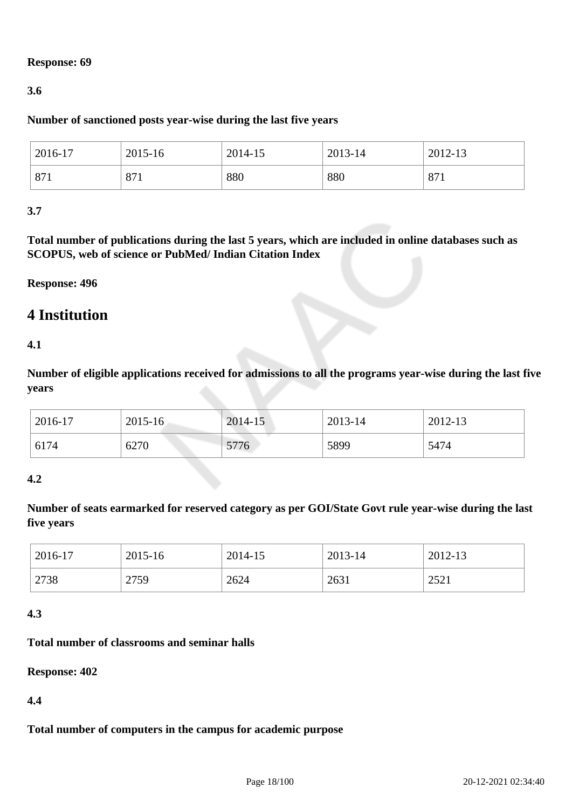#### **Response: 69**

**3.6**

#### **Number of sanctioned posts year-wise during the last five years**

| 2016-17        | 2015-16 | 2014-15 | 2013-14 | 2012-13 |
|----------------|---------|---------|---------|---------|
| $^{\circ}$ 871 | 871     | 880     | 880     | 871     |

**3.7**

**Total number of publications during the last 5 years, which are included in online databases such as SCOPUS, web of science or PubMed/ Indian Citation Index**

#### **Response: 496**

## **4 Institution**

#### **4.1**

**Number of eligible applications received for admissions to all the programs year-wise during the last five years**

| 2016-17 | $2015 - 16$ | $2014 - 15$ | 2013-14 | 2012-13 |
|---------|-------------|-------------|---------|---------|
| 6174    | 6270        | 5776        | 5899    | 5474    |

#### **4.2**

**Number of seats earmarked for reserved category as per GOI/State Govt rule year-wise during the last five years**

| 2016-17 | 2015-16 | 2014-15 | 2013-14 | 2012-13                 |
|---------|---------|---------|---------|-------------------------|
| 2738    | 2759    | 2624    | 2631    | 2521<br>2J <sub>4</sub> |

#### **4.3**

### **Total number of classrooms and seminar halls**

**Response: 402**

## **4.4**

**Total number of computers in the campus for academic purpose**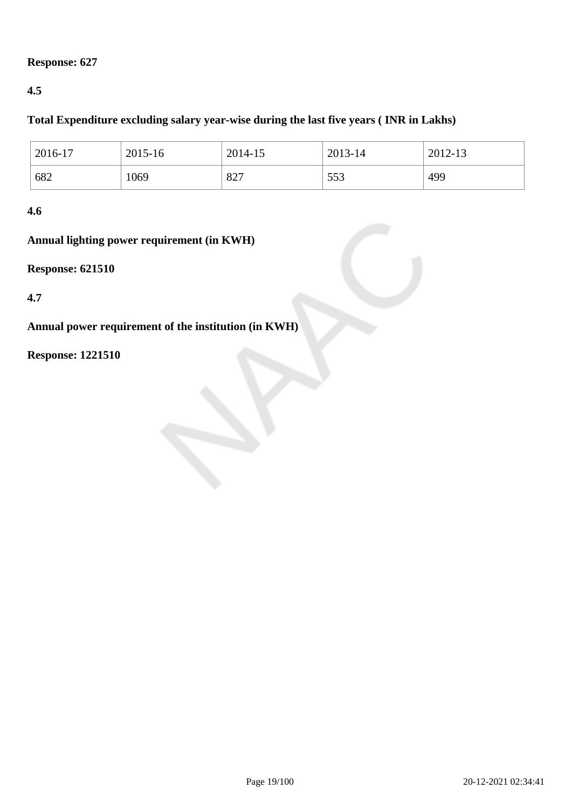#### **Response: 627**

**4.5**

#### **Total Expenditure excluding salary year-wise during the last five years ( INR in Lakhs)**

| 2016-17 | 2015-16 | 2014-15 | 2013-14 | 2012-13 |
|---------|---------|---------|---------|---------|
| 682     | 1069    | 827     | 553     | 499     |

**4.6**

**Annual lighting power requirement (in KWH)**

**Response: 621510**

**4.7**

**Annual power requirement of the institution (in KWH)**

**Response: 1221510**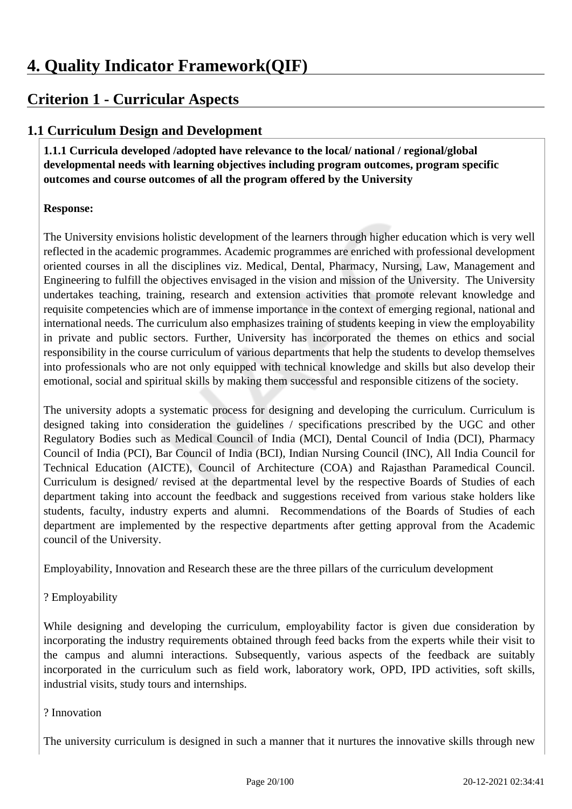## **Criterion 1 - Curricular Aspects**

### **1.1 Curriculum Design and Development**

 **1.1.1 Curricula developed /adopted have relevance to the local/ national / regional/global developmental needs with learning objectives including program outcomes, program specific outcomes and course outcomes of all the program offered by the University**

#### **Response:**

The University envisions holistic development of the learners through higher education which is very well reflected in the academic programmes. Academic programmes are enriched with professional development oriented courses in all the disciplines viz. Medical, Dental, Pharmacy, Nursing, Law, Management and Engineering to fulfill the objectives envisaged in the vision and mission of the University. The University undertakes teaching, training, research and extension activities that promote relevant knowledge and requisite competencies which are of immense importance in the context of emerging regional, national and international needs. The curriculum also emphasizes training of students keeping in view the employability in private and public sectors. Further, University has incorporated the themes on ethics and social responsibility in the course curriculum of various departments that help the students to develop themselves into professionals who are not only equipped with technical knowledge and skills but also develop their emotional, social and spiritual skills by making them successful and responsible citizens of the society.

The university adopts a systematic process for designing and developing the curriculum. Curriculum is designed taking into consideration the guidelines / specifications prescribed by the UGC and other Regulatory Bodies such as Medical Council of India (MCI), Dental Council of India (DCI), Pharmacy Council of India (PCI), Bar Council of India (BCI), Indian Nursing Council (INC), All India Council for Technical Education (AICTE), Council of Architecture (COA) and Rajasthan Paramedical Council. Curriculum is designed/ revised at the departmental level by the respective Boards of Studies of each department taking into account the feedback and suggestions received from various stake holders like students, faculty, industry experts and alumni. Recommendations of the Boards of Studies of each department are implemented by the respective departments after getting approval from the Academic council of the University.

Employability, Innovation and Research these are the three pillars of the curriculum development

? Employability

While designing and developing the curriculum, employability factor is given due consideration by incorporating the industry requirements obtained through feed backs from the experts while their visit to the campus and alumni interactions. Subsequently, various aspects of the feedback are suitably incorporated in the curriculum such as field work, laboratory work, OPD, IPD activities, soft skills, industrial visits, study tours and internships.

? Innovation

The university curriculum is designed in such a manner that it nurtures the innovative skills through new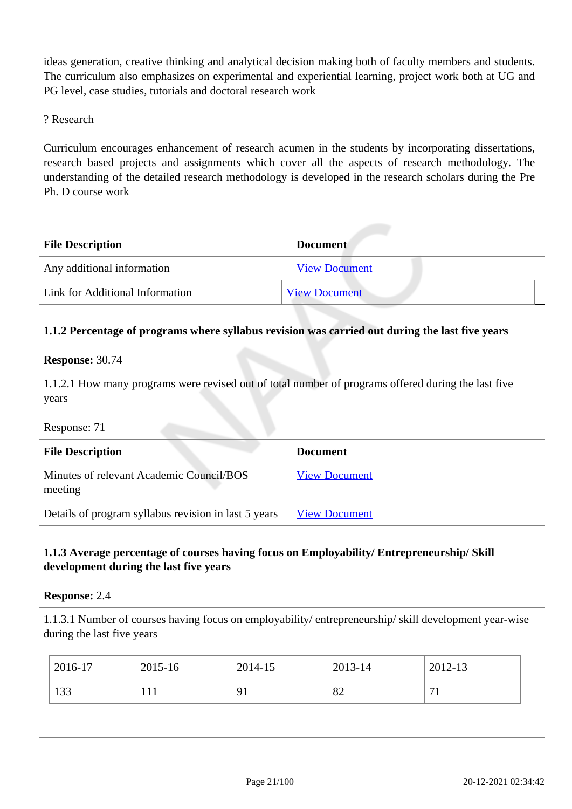ideas generation, creative thinking and analytical decision making both of faculty members and students. The curriculum also emphasizes on experimental and experiential learning, project work both at UG and PG level, case studies, tutorials and doctoral research work

#### ? Research

Curriculum encourages enhancement of research acumen in the students by incorporating dissertations, research based projects and assignments which cover all the aspects of research methodology. The understanding of the detailed research methodology is developed in the research scholars during the Pre Ph. D course work

| <b>File Description</b>         | <b>Document</b>      |
|---------------------------------|----------------------|
| Any additional information      | <b>View Document</b> |
| Link for Additional Information | <b>View Document</b> |

#### **1.1.2 Percentage of programs where syllabus revision was carried out during the last five years**

#### **Response:** 30.74

1.1.2.1 How many programs were revised out of total number of programs offered during the last five years

#### Response: 71

| <b>File Description</b>                              | <b>Document</b>      |
|------------------------------------------------------|----------------------|
| Minutes of relevant Academic Council/BOS<br>meeting  | <b>View Document</b> |
| Details of program syllabus revision in last 5 years | <b>View Document</b> |

#### **1.1.3 Average percentage of courses having focus on Employability/ Entrepreneurship/ Skill development during the last five years**

#### **Response:** 2.4

1.1.3.1 Number of courses having focus on employability/ entrepreneurship/ skill development year-wise during the last five years

| 133<br>82<br>91<br>111<br>− |
|-----------------------------|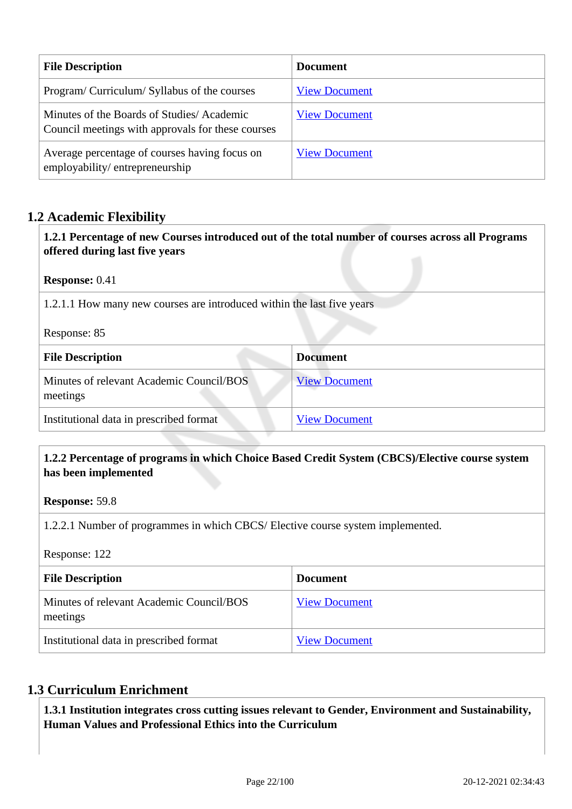| <b>File Description</b>                                                                        | <b>Document</b>      |
|------------------------------------------------------------------------------------------------|----------------------|
| Program/Curriculum/Syllabus of the courses                                                     | <b>View Document</b> |
| Minutes of the Boards of Studies/Academic<br>Council meetings with approvals for these courses | <b>View Document</b> |
| Average percentage of courses having focus on<br>employability/entrepreneurship                | <b>View Document</b> |

## **1.2 Academic Flexibility**

| 1.2.1 Percentage of new Courses introduced out of the total number of courses across all Programs<br>offered during last five years |                      |  |
|-------------------------------------------------------------------------------------------------------------------------------------|----------------------|--|
| <b>Response:</b> 0.41                                                                                                               |                      |  |
| 1.2.1.1 How many new courses are introduced within the last five years<br>Response: 85                                              |                      |  |
| <b>Document</b><br><b>File Description</b>                                                                                          |                      |  |
| Minutes of relevant Academic Council/BOS<br>meetings                                                                                | <b>View Document</b> |  |
| Institutional data in prescribed format                                                                                             | <b>View Document</b> |  |

#### **1.2.2 Percentage of programs in which Choice Based Credit System (CBCS)/Elective course system has been implemented**

**Response:** 59.8

1.2.2.1 Number of programmes in which CBCS/ Elective course system implemented.

Response: 122

| <b>File Description</b>                              | <b>Document</b>      |
|------------------------------------------------------|----------------------|
| Minutes of relevant Academic Council/BOS<br>meetings | <b>View Document</b> |
| Institutional data in prescribed format              | <b>View Document</b> |

### **1.3 Curriculum Enrichment**

 **1.3.1 Institution integrates cross cutting issues relevant to Gender, Environment and Sustainability, Human Values and Professional Ethics into the Curriculum**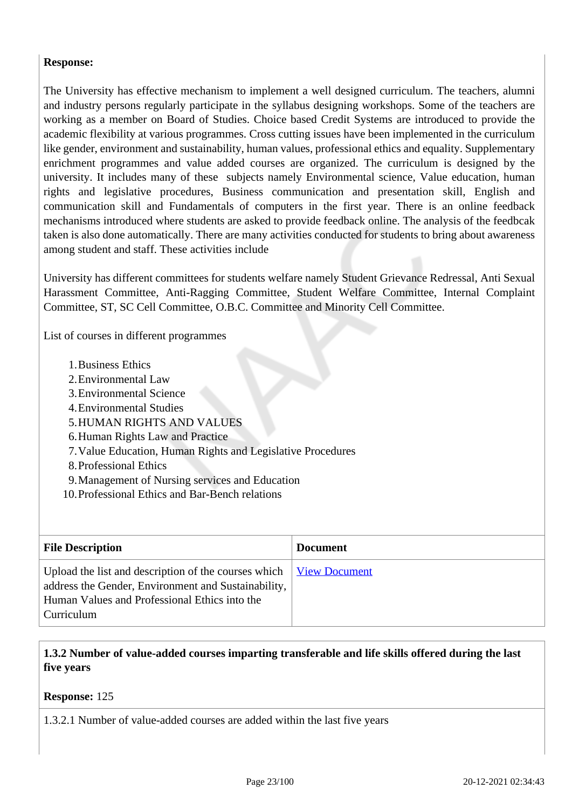#### **Response:**

The University has effective mechanism to implement a well designed curriculum. The teachers, alumni and industry persons regularly participate in the syllabus designing workshops. Some of the teachers are working as a member on Board of Studies. Choice based Credit Systems are introduced to provide the academic flexibility at various programmes. Cross cutting issues have been implemented in the curriculum like gender, environment and sustainability, human values, professional ethics and equality. Supplementary enrichment programmes and value added courses are organized. The curriculum is designed by the university. It includes many of these subjects namely Environmental science, Value education, human rights and legislative procedures, Business communication and presentation skill, English and communication skill and Fundamentals of computers in the first year. There is an online feedback mechanisms introduced where students are asked to provide feedback online. The analysis of the feedbcak taken is also done automatically. There are many activities conducted for students to bring about awareness among student and staff. These activities include

University has different committees for students welfare namely Student Grievance Redressal, Anti Sexual Harassment Committee, Anti-Ragging Committee, Student Welfare Committee, Internal Complaint Committee, ST, SC Cell Committee, O.B.C. Committee and Minority Cell Committee.

List of courses in different programmes

- 1.Business Ethics
- 2.Environmental Law
- 3.Environmental Science
- 4.Environmental Studies
- 5.HUMAN RIGHTS AND VALUES
- 6.Human Rights Law and Practice
- 7.Value Education, Human Rights and Legislative Procedures
- 8.Professional Ethics
- 9.Management of Nursing services and Education
- 10.Professional Ethics and Bar-Bench relations

| <b>File Description</b>                                                                                                                                                                               | <b>Document</b> |
|-------------------------------------------------------------------------------------------------------------------------------------------------------------------------------------------------------|-----------------|
| Upload the list and description of the courses which $\frac{V_i}{V_i}$ Document<br>address the Gender, Environment and Sustainability,<br>Human Values and Professional Ethics into the<br>Curriculum |                 |

#### **1.3.2 Number of value-added courses imparting transferable and life skills offered during the last five years**

#### **Response:** 125

1.3.2.1 Number of value-added courses are added within the last five years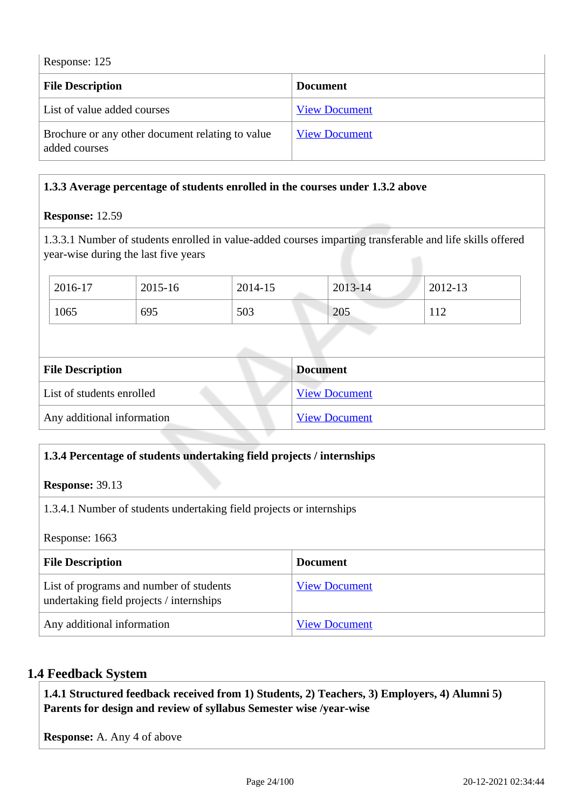Response: 125

| <b>File Description</b>                                           | <b>Document</b>      |
|-------------------------------------------------------------------|----------------------|
| List of value added courses                                       | <b>View Document</b> |
| Brochure or any other document relating to value<br>added courses | <b>View Document</b> |

#### **1.3.3 Average percentage of students enrolled in the courses under 1.3.2 above**

#### **Response:** 12.59

1.3.3.1 Number of students enrolled in value-added courses imparting transferable and life skills offered year-wise during the last five years

| 2016-17 | 2015-16 | 2014-15 | 2013-14 | 2012-13        |
|---------|---------|---------|---------|----------------|
| 1065    | 695     | 503     | 205     | $\overline{1}$ |

| <b>File Description</b>    | <b>Document</b>      |
|----------------------------|----------------------|
| List of students enrolled  | <b>View Document</b> |
| Any additional information | <b>View Document</b> |

#### **1.3.4 Percentage of students undertaking field projects / internships**

**Response:** 39.13

1.3.4.1 Number of students undertaking field projects or internships

Response: 1663

| <b>File Description</b>                                                             | <b>Document</b>      |
|-------------------------------------------------------------------------------------|----------------------|
| List of programs and number of students<br>undertaking field projects / internships | <b>View Document</b> |
| Any additional information                                                          | <b>View Document</b> |

#### **1.4 Feedback System**

 **1.4.1 Structured feedback received from 1) Students, 2) Teachers, 3) Employers, 4) Alumni 5) Parents for design and review of syllabus Semester wise /year-wise**

**Response:** A. Any 4 of above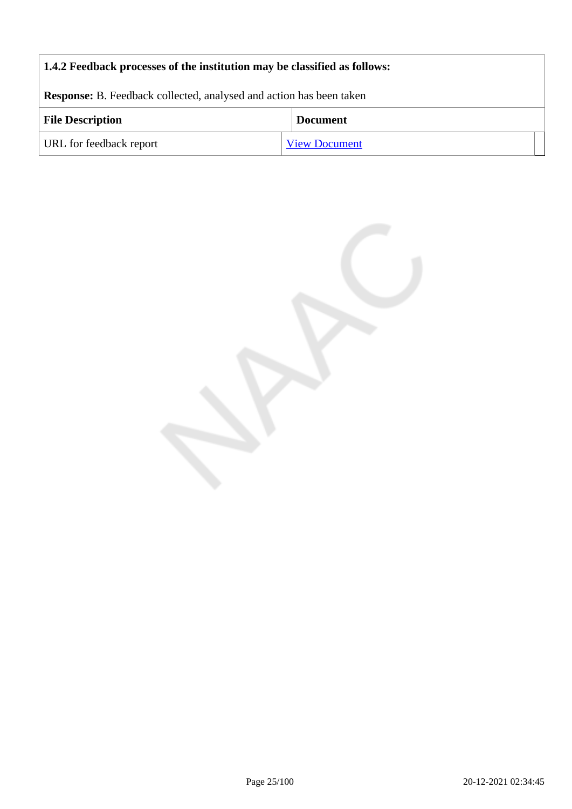#### **1.4.2 Feedback processes of the institution may be classified as follows:**

**Response:** B. Feedback collected, analysed and action has been taken

| <b>File Description</b> | <b>Document</b>      |
|-------------------------|----------------------|
| URL for feedback report | <b>View Document</b> |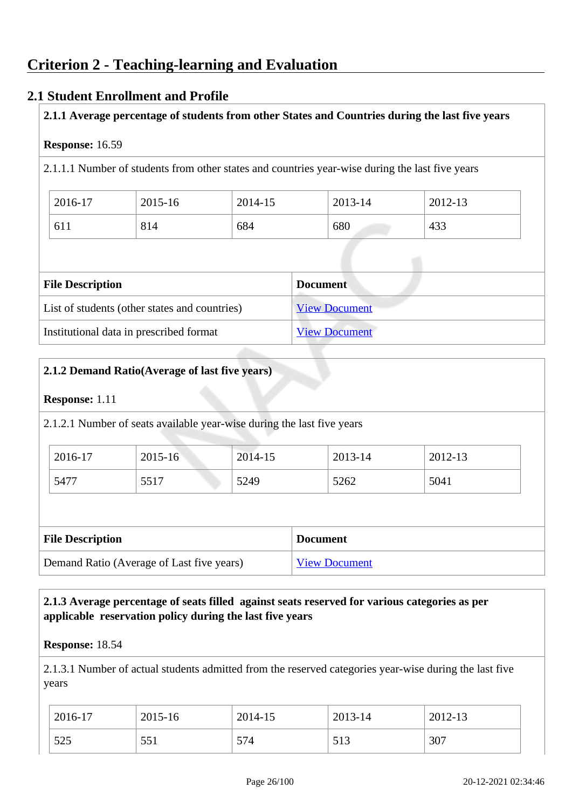### **2.1 Student Enrollment and Profile**

#### **2.1.1 Average percentage of students from other States and Countries during the last five years**

#### **Response:** 16.59

2.1.1.1 Number of students from other states and countries year-wise during the last five years

| 2016-17 | 2015-16 | 2014-15 | 2013-14 | 2012-13 |
|---------|---------|---------|---------|---------|
| 611     | 814     | 684     | 680     | 433     |

| <b>File Description</b>                       | <b>Document</b>      |
|-----------------------------------------------|----------------------|
| List of students (other states and countries) | <b>View Document</b> |
| Institutional data in prescribed format       | <b>View Document</b> |

# **2.1.2 Demand Ratio(Average of last five years) Response:** 1.11 2.1.2.1 Number of seats available year-wise during the last five years 2016-17 2015-16 2014-15 2013-14 2012-13 5477 5517 5249 5262 5041 **File Description Document** Demand Ratio (Average of Last five years) [View Document](https://assessmentonline.naac.gov.in/storage/app/hei/SSR/100222/2.1.2_1519642436_546.xls)

#### **2.1.3 Average percentage of seats filled against seats reserved for various categories as per applicable reservation policy during the last five years**

#### **Response:** 18.54

2.1.3.1 Number of actual students admitted from the reserved categories year-wise during the last five years

| 2016-17 | 2015-16 | 2014-15 | 2013-14    | 2012-13 |
|---------|---------|---------|------------|---------|
| 525     | 551     | 574     | 512<br>JIJ | 307     |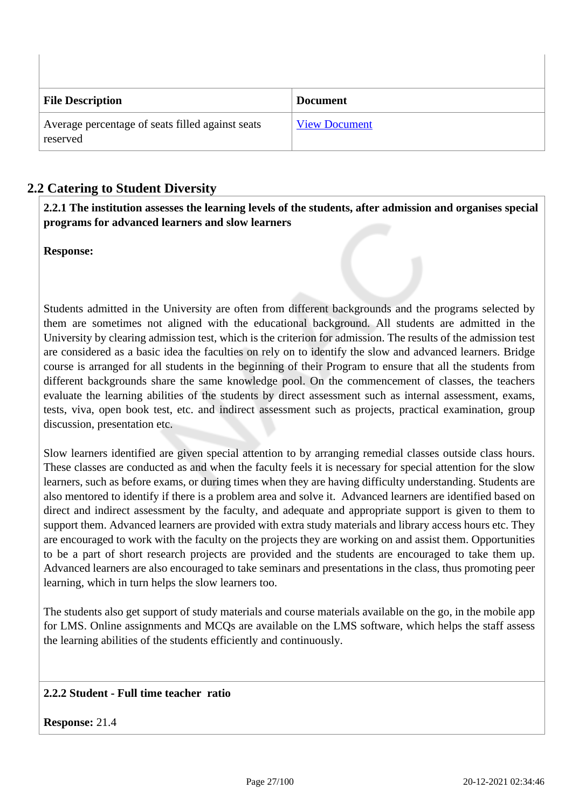| <b>File Description</b>                                      | <b>Document</b>      |
|--------------------------------------------------------------|----------------------|
| Average percentage of seats filled against seats<br>reserved | <b>View Document</b> |

### **2.2 Catering to Student Diversity**

 **2.2.1 The institution assesses the learning levels of the students, after admission and organises special programs for advanced learners and slow learners**

**Response:** 

Students admitted in the University are often from different backgrounds and the programs selected by them are sometimes not aligned with the educational background. All students are admitted in the University by clearing admission test, which is the criterion for admission. The results of the admission test are considered as a basic idea the faculties on rely on to identify the slow and advanced learners. Bridge course is arranged for all students in the beginning of their Program to ensure that all the students from different backgrounds share the same knowledge pool. On the commencement of classes, the teachers evaluate the learning abilities of the students by direct assessment such as internal assessment, exams, tests, viva, open book test, etc. and indirect assessment such as projects, practical examination, group discussion, presentation etc.

Slow learners identified are given special attention to by arranging remedial classes outside class hours. These classes are conducted as and when the faculty feels it is necessary for special attention for the slow learners, such as before exams, or during times when they are having difficulty understanding. Students are also mentored to identify if there is a problem area and solve it. Advanced learners are identified based on direct and indirect assessment by the faculty, and adequate and appropriate support is given to them to support them. Advanced learners are provided with extra study materials and library access hours etc. They are encouraged to work with the faculty on the projects they are working on and assist them. Opportunities to be a part of short research projects are provided and the students are encouraged to take them up. Advanced learners are also encouraged to take seminars and presentations in the class, thus promoting peer learning, which in turn helps the slow learners too.

The students also get support of study materials and course materials available on the go, in the mobile app for LMS. Online assignments and MCQs are available on the LMS software, which helps the staff assess the learning abilities of the students efficiently and continuously.

#### **2.2.2 Student - Full time teacher ratio**

**Response:** 21.4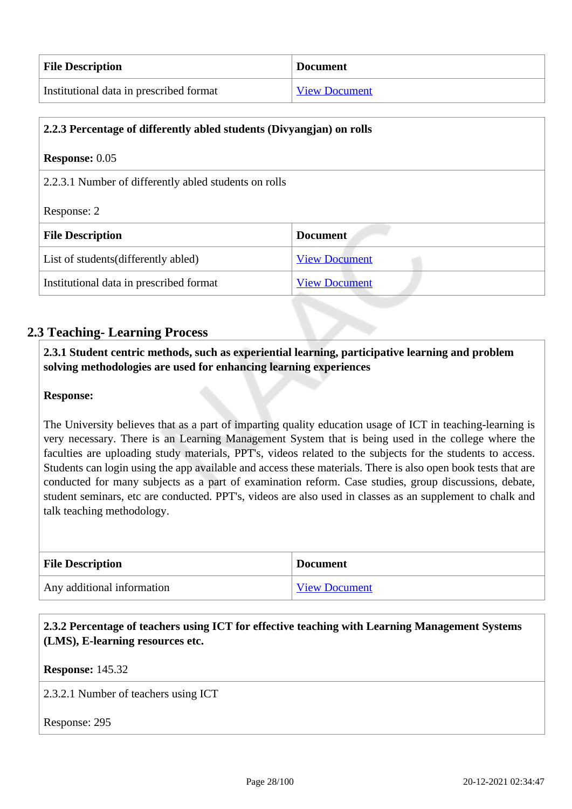| <b>File Description</b>                 | <b>Document</b>      |
|-----------------------------------------|----------------------|
| Institutional data in prescribed format | <b>View Document</b> |

| 2.2.3 Percentage of differently abled students (Divyangjan) on rolls           |                      |  |
|--------------------------------------------------------------------------------|----------------------|--|
| <b>Response: 0.05</b><br>2.2.3.1 Number of differently abled students on rolls |                      |  |
|                                                                                |                      |  |
| <b>File Description</b>                                                        | <b>Document</b>      |  |
| List of students (differently abled)                                           | <b>View Document</b> |  |
| Institutional data in prescribed format                                        | <b>View Document</b> |  |

#### **2.3 Teaching- Learning Process**

#### **2.3.1 Student centric methods, such as experiential learning, participative learning and problem solving methodologies are used for enhancing learning experiences**

#### **Response:**

The University believes that as a part of imparting quality education usage of ICT in teaching-learning is very necessary. There is an Learning Management System that is being used in the college where the faculties are uploading study materials, PPT's, videos related to the subjects for the students to access. Students can login using the app available and access these materials. There is also open book tests that are conducted for many subjects as a part of examination reform. Case studies, group discussions, debate, student seminars, etc are conducted. PPT's, videos are also used in classes as an supplement to chalk and talk teaching methodology.

| <b>File Description</b>    | Document             |
|----------------------------|----------------------|
| Any additional information | <b>View Document</b> |

 **2.3.2 Percentage of teachers using ICT for effective teaching with Learning Management Systems (LMS), E-learning resources etc.**

**Response:** 145.32

2.3.2.1 Number of teachers using ICT

Response: 295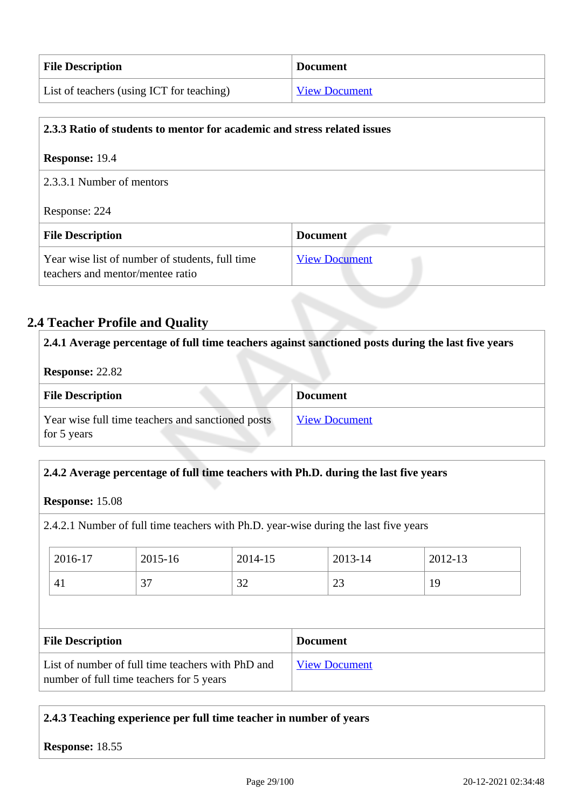| <b>File Description</b>                   | <b>Document</b>      |
|-------------------------------------------|----------------------|
| List of teachers (using ICT for teaching) | <b>View Document</b> |

| 2.3.3 Ratio of students to mentor for academic and stress related issues            |                      |  |
|-------------------------------------------------------------------------------------|----------------------|--|
| <b>Response: 19.4</b>                                                               |                      |  |
| 2.3.3.1 Number of mentors                                                           |                      |  |
| Response: 224                                                                       |                      |  |
| <b>File Description</b>                                                             | <b>Document</b>      |  |
| Year wise list of number of students, full time<br>teachers and mentor/mentee ratio | <b>View Document</b> |  |

### **2.4 Teacher Profile and Quality**

**2.4.1 Average percentage of full time teachers against sanctioned posts during the last five years**

| <b>Response: 22.82</b>                                           |                      |
|------------------------------------------------------------------|----------------------|
| <b>File Description</b>                                          | <b>Document</b>      |
| Year wise full time teachers and sanctioned posts<br>for 5 years | <b>View Document</b> |

#### **2.4.2 Average percentage of full time teachers with Ph.D. during the last five years**

**Response:** 15.08

2.4.2.1 Number of full time teachers with Ph.D. year-wise during the last five years

| 2016-17 | 2015-16                  | 2014-15 | 2013-14 | 2012-13 |
|---------|--------------------------|---------|---------|---------|
| 41      | $\sim$<br>$\mathcal{I}'$ | 32      | 23      | 19      |

| <b>File Description</b>                                                                       | <b>Document</b>      |
|-----------------------------------------------------------------------------------------------|----------------------|
| List of number of full time teachers with PhD and<br>number of full time teachers for 5 years | <b>View Document</b> |

#### **2.4.3 Teaching experience per full time teacher in number of years**

#### **Response:** 18.55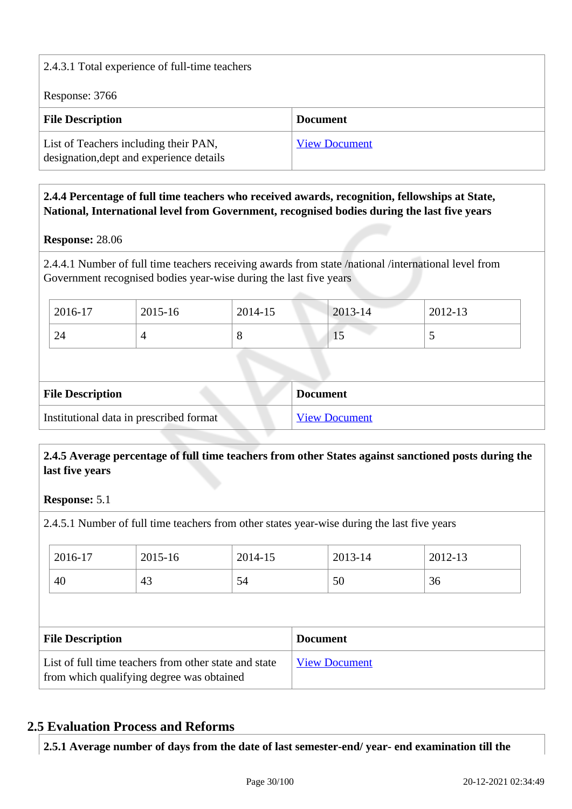| 2.4.3.1 Total experience of full-time teachers                                    |                      |  |
|-----------------------------------------------------------------------------------|----------------------|--|
| Response: 3766                                                                    |                      |  |
| <b>File Description</b>                                                           | <b>Document</b>      |  |
| List of Teachers including their PAN,<br>designation, dept and experience details | <b>View Document</b> |  |

#### **2.4.4 Percentage of full time teachers who received awards, recognition, fellowships at State, National, International level from Government, recognised bodies during the last five years**

#### **Response:** 28.06

2.4.4.1 Number of full time teachers receiving awards from state /national /international level from Government recognised bodies year-wise during the last five years

| 2016-17 | 2015-16 | 2014-15 | 2013-14 | 2012-13 |
|---------|---------|---------|---------|---------|
| 24      |         |         | 10      | ັ       |

| <b>File Description</b>                 | <b>Document</b>      |
|-----------------------------------------|----------------------|
| Institutional data in prescribed format | <b>View Document</b> |

#### **2.4.5 Average percentage of full time teachers from other States against sanctioned posts during the last five years**

**Response:** 5.1

2.4.5.1 Number of full time teachers from other states year-wise during the last five years

| 2016-17<br>2015-16<br>2014-15 |  |    |    | 2013-14         | 2012-13 |    |
|-------------------------------|--|----|----|-----------------|---------|----|
| 40                            |  | 43 | 54 |                 | 50      | 36 |
|                               |  |    |    |                 |         |    |
| <b>File Description</b>       |  |    |    |                 |         |    |
|                               |  |    |    | <b>Document</b> |         |    |

## **2.5 Evaluation Process and Reforms**

**2.5.1 Average number of days from the date of last semester-end/ year- end examination till the**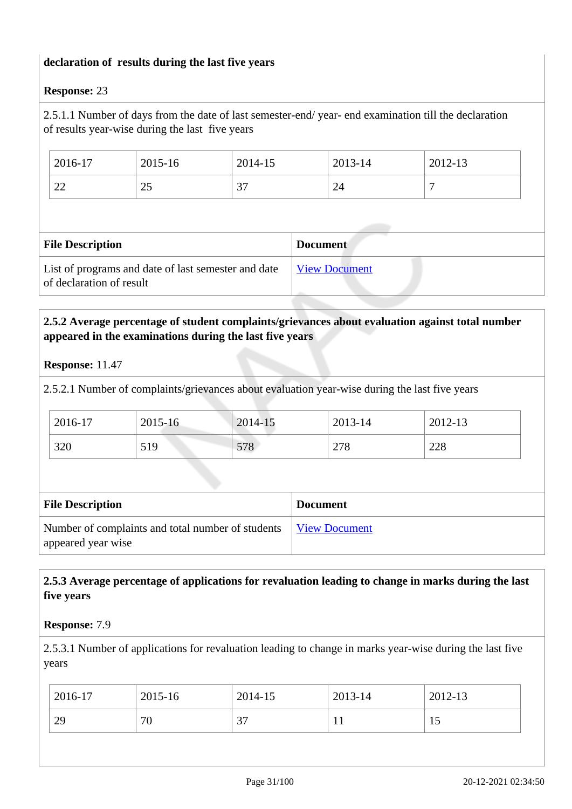#### **declaration of results during the last five years**

#### **Response:** 23

2.5.1.1 Number of days from the date of last semester-end/ year- end examination till the declaration of results year-wise during the last five years

| 2016-17      | 2015-16                   | 2014-15       | 2013-14 | 2012-13 |
|--------------|---------------------------|---------------|---------|---------|
| $\sim$<br>∠∠ | $\Delta$ $\epsilon$<br>رے | $\sim$<br>، ب | 24      |         |

| <b>File Description</b>                                                         | <b>Document</b>      |
|---------------------------------------------------------------------------------|----------------------|
| List of programs and date of last semester and date<br>of declaration of result | <b>View Document</b> |

#### **2.5.2 Average percentage of student complaints/grievances about evaluation against total number appeared in the examinations during the last five years**

**Response:** 11.47

2.5.2.1 Number of complaints/grievances about evaluation year-wise during the last five years

| 2016-17 | 2015-16 | 2014-15 | 2013-14    | 2012-13    |
|---------|---------|---------|------------|------------|
| 320     | 519     | 578     | 270<br>210 | 220<br>220 |

| <b>File Description</b>                                                 | <b>Document</b> |
|-------------------------------------------------------------------------|-----------------|
| Number of complaints and total number of students<br>appeared year wise | View Document   |

#### **2.5.3 Average percentage of applications for revaluation leading to change in marks during the last five years**

#### **Response:** 7.9

2.5.3.1 Number of applications for revaluation leading to change in marks year-wise during the last five years

| $\gamma$ | 2016-17 | 2015-16 | 2014-15          | 2013-14 | 2012-13 |
|----------|---------|---------|------------------|---------|---------|
|          | 29      | 70      | $\mathfrak{I}$ . |         | 10      |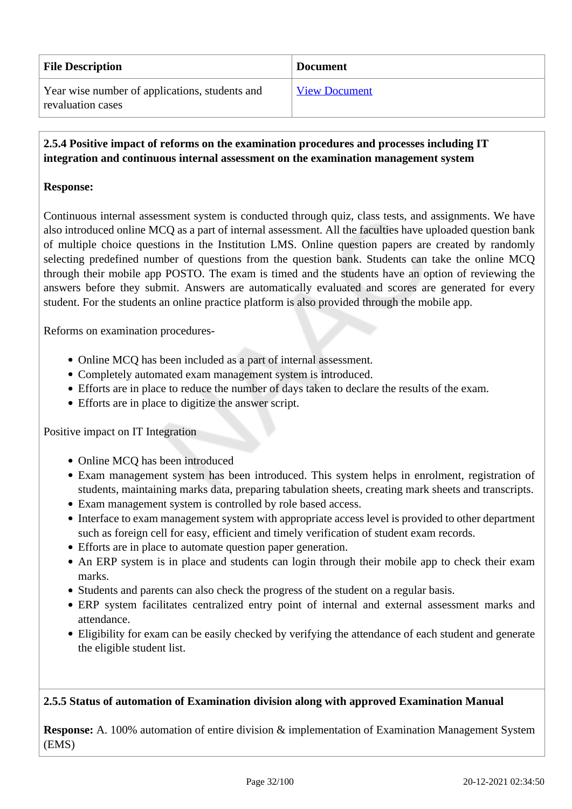| <b>File Description</b>                                             | <b>Document</b>      |
|---------------------------------------------------------------------|----------------------|
| Year wise number of applications, students and<br>revaluation cases | <b>View Document</b> |

#### **2.5.4 Positive impact of reforms on the examination procedures and processes including IT integration and continuous internal assessment on the examination management system**

#### **Response:**

Continuous internal assessment system is conducted through quiz, class tests, and assignments. We have also introduced online MCQ as a part of internal assessment. All the faculties have uploaded question bank of multiple choice questions in the Institution LMS. Online question papers are created by randomly selecting predefined number of questions from the question bank. Students can take the online MCQ through their mobile app POSTO. The exam is timed and the students have an option of reviewing the answers before they submit. Answers are automatically evaluated and scores are generated for every student. For the students an online practice platform is also provided through the mobile app.

Reforms on examination procedures-

- Online MCQ has been included as a part of internal assessment.
- Completely automated exam management system is introduced.
- Efforts are in place to reduce the number of days taken to declare the results of the exam.
- Efforts are in place to digitize the answer script.

#### Positive impact on IT Integration

- Online MCO has been introduced
- Exam management system has been introduced. This system helps in enrolment, registration of students, maintaining marks data, preparing tabulation sheets, creating mark sheets and transcripts.
- Exam management system is controlled by role based access.
- Interface to exam management system with appropriate access level is provided to other department such as foreign cell for easy, efficient and timely verification of student exam records.
- Efforts are in place to automate question paper generation.
- An ERP system is in place and students can login through their mobile app to check their exam marks.
- Students and parents can also check the progress of the student on a regular basis.
- ERP system facilitates centralized entry point of internal and external assessment marks and attendance.
- Eligibility for exam can be easily checked by verifying the attendance of each student and generate the eligible student list.

#### **2.5.5 Status of automation of Examination division along with approved Examination Manual**

**Response:** A. 100% automation of entire division & implementation of Examination Management System (EMS)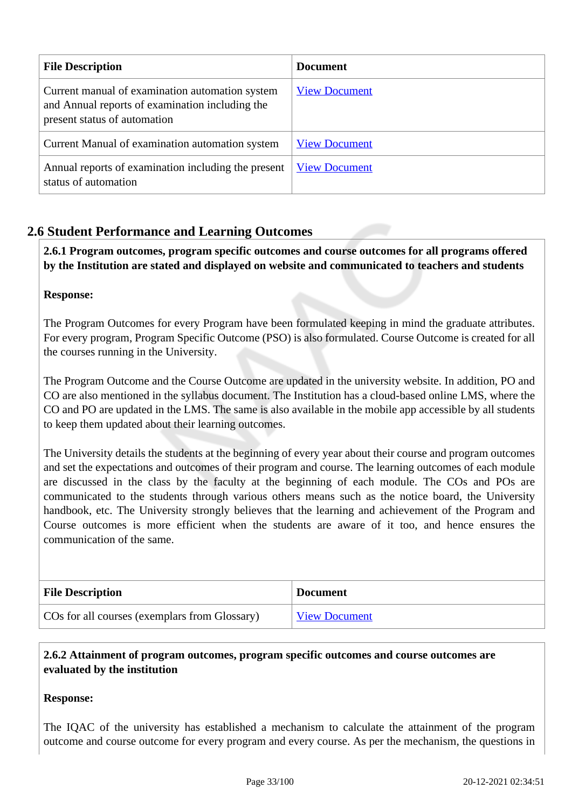| <b>File Description</b>                                                                                                            | <b>Document</b>      |
|------------------------------------------------------------------------------------------------------------------------------------|----------------------|
| Current manual of examination automation system<br>and Annual reports of examination including the<br>present status of automation | <b>View Document</b> |
| Current Manual of examination automation system                                                                                    | <b>View Document</b> |
| Annual reports of examination including the present<br>status of automation                                                        | <b>View Document</b> |

## **2.6 Student Performance and Learning Outcomes**

 **2.6.1 Program outcomes, program specific outcomes and course outcomes for all programs offered by the Institution are stated and displayed on website and communicated to teachers and students**

#### **Response:**

The Program Outcomes for every Program have been formulated keeping in mind the graduate attributes. For every program, Program Specific Outcome (PSO) is also formulated. Course Outcome is created for all the courses running in the University.

The Program Outcome and the Course Outcome are updated in the university website. In addition, PO and CO are also mentioned in the syllabus document. The Institution has a cloud-based online LMS, where the CO and PO are updated in the LMS. The same is also available in the mobile app accessible by all students to keep them updated about their learning outcomes.

The University details the students at the beginning of every year about their course and program outcomes and set the expectations and outcomes of their program and course. The learning outcomes of each module are discussed in the class by the faculty at the beginning of each module. The COs and POs are communicated to the students through various others means such as the notice board, the University handbook, etc. The University strongly believes that the learning and achievement of the Program and Course outcomes is more efficient when the students are aware of it too, and hence ensures the communication of the same.

| <b>File Description</b>                       | <b>Document</b>      |
|-----------------------------------------------|----------------------|
| COs for all courses (exemplars from Glossary) | <b>View Document</b> |

#### **2.6.2 Attainment of program outcomes, program specific outcomes and course outcomes are evaluated by the institution**

#### **Response:**

The IQAC of the university has established a mechanism to calculate the attainment of the program outcome and course outcome for every program and every course. As per the mechanism, the questions in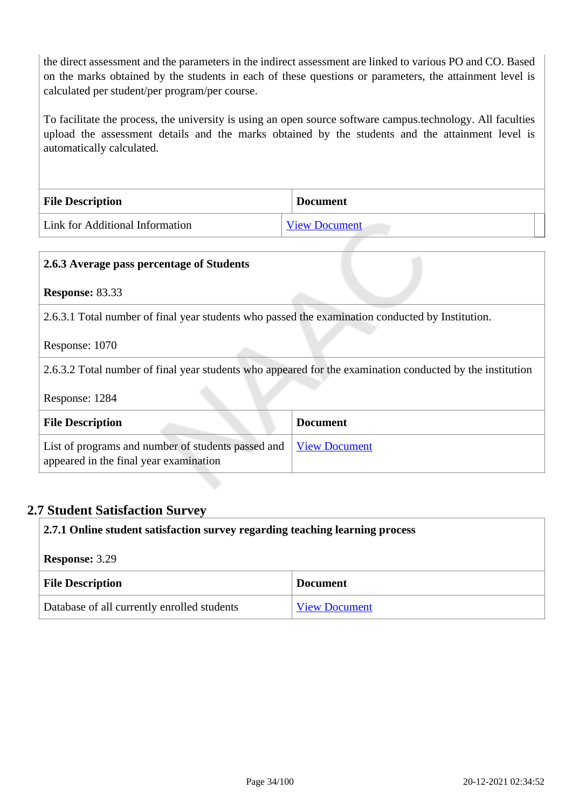the direct assessment and the parameters in the indirect assessment are linked to various PO and CO. Based on the marks obtained by the students in each of these questions or parameters, the attainment level is calculated per student/per program/per course.

To facilitate the process, the university is using an open source software campus.technology. All faculties upload the assessment details and the marks obtained by the students and the attainment level is automatically calculated.

| <b>File Description</b>         | <b>Document</b>      |  |
|---------------------------------|----------------------|--|
| Link for Additional Information | <b>View Document</b> |  |

| 2.6.3 Average pass percentage of Students                                                                 |                      |  |  |  |
|-----------------------------------------------------------------------------------------------------------|----------------------|--|--|--|
| Response: 83.33                                                                                           |                      |  |  |  |
| 2.6.3.1 Total number of final year students who passed the examination conducted by Institution.          |                      |  |  |  |
| Response: 1070                                                                                            |                      |  |  |  |
| 2.6.3.2 Total number of final year students who appeared for the examination conducted by the institution |                      |  |  |  |
| Response: 1284                                                                                            |                      |  |  |  |
| <b>File Description</b>                                                                                   | <b>Document</b>      |  |  |  |
| List of programs and number of students passed and<br>appeared in the final year examination              | <b>View Document</b> |  |  |  |

#### **2.7 Student Satisfaction Survey**

|                       | 2.7.1 Online student satisfaction survey regarding teaching learning process |                      |
|-----------------------|------------------------------------------------------------------------------|----------------------|
| <b>Response: 3.29</b> |                                                                              |                      |
|                       | <b>File Description</b>                                                      | <b>Document</b>      |
|                       | Database of all currently enrolled students                                  | <b>View Document</b> |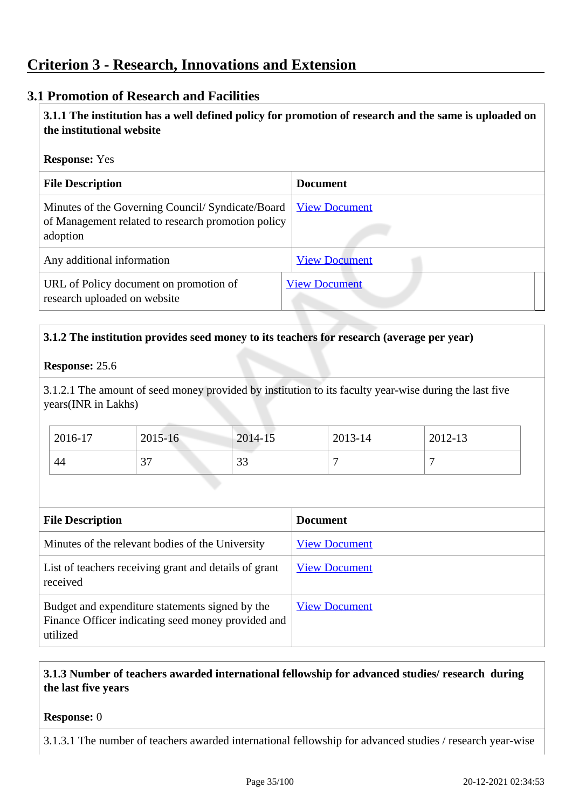## **Criterion 3 - Research, Innovations and Extension**

#### **3.1 Promotion of Research and Facilities**

 **3.1.1 The institution has a well defined policy for promotion of research and the same is uploaded on the institutional website**

#### **Response:** Yes

| <b>File Description</b>                                                                                            | <b>Document</b>      |
|--------------------------------------------------------------------------------------------------------------------|----------------------|
| Minutes of the Governing Council/Syndicate/Board<br>of Management related to research promotion policy<br>adoption | <b>View Document</b> |
| Any additional information                                                                                         | <b>View Document</b> |
| URL of Policy document on promotion of<br>research uploaded on website                                             | <b>View Document</b> |

#### **3.1.2 The institution provides seed money to its teachers for research (average per year)**

#### **Response:** 25.6

3.1.2.1 The amount of seed money provided by institution to its faculty year-wise during the last five years(INR in Lakhs)

| 2016-17 | $2015 - 16$   | 2014-15  | 2013-14 | 2012-13 |
|---------|---------------|----------|---------|---------|
| 44      | $\sim$<br>ا ب | 22<br>ЭJ |         |         |

| <b>File Description</b>                                                                                           | <b>Document</b>      |
|-------------------------------------------------------------------------------------------------------------------|----------------------|
| Minutes of the relevant bodies of the University                                                                  | <b>View Document</b> |
| List of teachers receiving grant and details of grant<br>received                                                 | <b>View Document</b> |
| Budget and expenditure statements signed by the<br>Finance Officer indicating seed money provided and<br>utilized | <b>View Document</b> |

#### **3.1.3 Number of teachers awarded international fellowship for advanced studies/ research during the last five years**

#### **Response:** 0

3.1.3.1 The number of teachers awarded international fellowship for advanced studies / research year-wise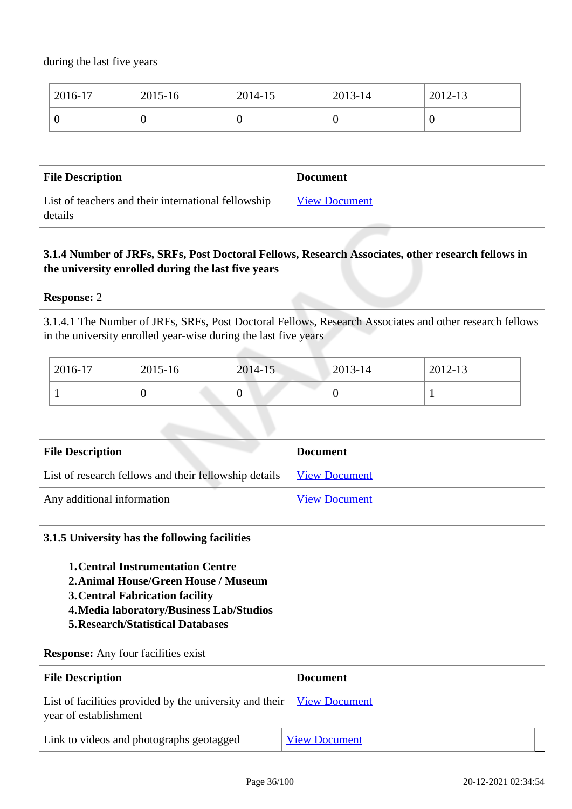#### during the last five years

| 2016-17                 | 2015-16  | 2014-15  | 2013-14         | 2012-13  |  |
|-------------------------|----------|----------|-----------------|----------|--|
| $\theta$                | $\theta$ | $\theta$ | $\theta$        | $\theta$ |  |
|                         |          |          |                 |          |  |
| <b>File Description</b> |          |          |                 |          |  |
|                         |          |          | <b>Document</b> |          |  |

#### **3.1.4 Number of JRFs, SRFs, Post Doctoral Fellows, Research Associates, other research fellows in the university enrolled during the last five years**

#### **Response:** 2

3.1.4.1 The Number of JRFs, SRFs, Post Doctoral Fellows, Research Associates and other research fellows in the university enrolled year-wise during the last five years

| $2016-17$ | 2015-16 | 2014-15 | 2013-14 | 2012-13 |
|-----------|---------|---------|---------|---------|
|           | ν       | v       |         |         |

| <b>File Description</b>                               | <b>Document</b>             |
|-------------------------------------------------------|-----------------------------|
| List of research fellows and their fellowship details | <u><b>View Document</b></u> |
| Any additional information                            | <b>View Document</b>        |

#### **3.1.5 University has the following facilities**

#### **1.Central Instrumentation Centre**

- **2.Animal House/Green House / Museum**
- **3.Central Fabrication facility**
- **4.Media laboratory/Business Lab/Studios**
- **5.Research/Statistical Databases**

#### **Response:** Any four facilities exist

| <b>File Description</b>                                                                                             | <b>Document</b>      |
|---------------------------------------------------------------------------------------------------------------------|----------------------|
| List of facilities provided by the university and their $\sqrt{\frac{1}{2}}$ Niew Document<br>year of establishment |                      |
| Link to videos and photographs geotagged                                                                            | <b>View Document</b> |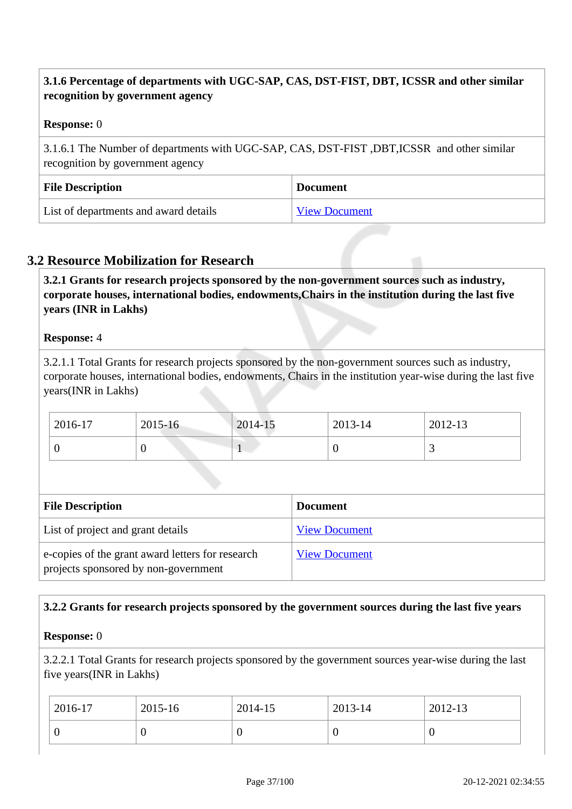## **3.1.6 Percentage of departments with UGC-SAP, CAS, DST-FIST, DBT, ICSSR and other similar recognition by government agency**

## **Response:** 0

3.1.6.1 The Number of departments with UGC-SAP, CAS, DST-FIST ,DBT,ICSSR and other similar recognition by government agency

| <b>File Description</b>               | <b>Document</b>      |
|---------------------------------------|----------------------|
| List of departments and award details | <b>View Document</b> |

## **3.2 Resource Mobilization for Research**

 **3.2.1 Grants for research projects sponsored by the non-government sources such as industry, corporate houses, international bodies, endowments,Chairs in the institution during the last five years (INR in Lakhs)**

## **Response:** 4

3.2.1.1 Total Grants for research projects sponsored by the non-government sources such as industry, corporate houses, international bodies, endowments, Chairs in the institution year-wise during the last five years(INR in Lakhs)

| 2016-17 | $2015 - 16$ | 2014-15           | 2013-14 | 2012-13 |
|---------|-------------|-------------------|---------|---------|
|         |             | <b>CONTRACTOR</b> |         |         |

| <b>File Description</b>                                                                  | <b>Document</b>      |
|------------------------------------------------------------------------------------------|----------------------|
| List of project and grant details                                                        | <b>View Document</b> |
| e-copies of the grant award letters for research<br>projects sponsored by non-government | <b>View Document</b> |

## **3.2.2 Grants for research projects sponsored by the government sources during the last five years**

## **Response:** 0

3.2.2.1 Total Grants for research projects sponsored by the government sources year-wise during the last five years(INR in Lakhs)

| 2016-17 | 2015-16 | 2014-15 | 2013-14 | $2012 - 13$ |
|---------|---------|---------|---------|-------------|
|         |         | ν       | ◡       | U           |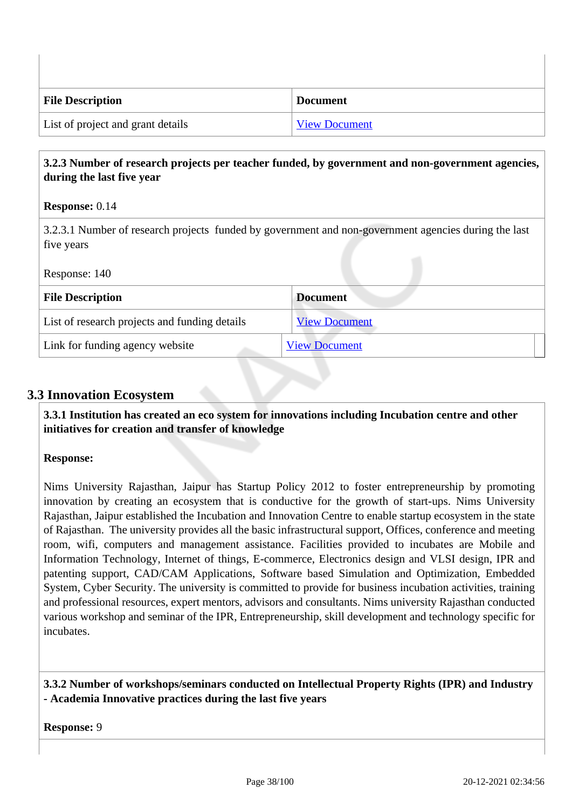| <b>File Description</b>           | <b>Document</b>      |
|-----------------------------------|----------------------|
| List of project and grant details | <b>View Document</b> |

## **3.2.3 Number of research projects per teacher funded, by government and non-government agencies, during the last five year**

## **Response:** 0.14

3.2.3.1 Number of research projects funded by government and non-government agencies during the last five years

#### Response: 140

| <b>File Description</b>                       | <b>Document</b>      |
|-----------------------------------------------|----------------------|
| List of research projects and funding details | <b>View Document</b> |
| Link for funding agency website               | <b>View Document</b> |

## **3.3 Innovation Ecosystem**

 **3.3.1 Institution has created an eco system for innovations including Incubation centre and other initiatives for creation and transfer of knowledge**

## **Response:**

Nims University Rajasthan, Jaipur has Startup Policy 2012 to foster entrepreneurship by promoting innovation by creating an ecosystem that is conductive for the growth of start-ups. Nims University Rajasthan, Jaipur established the Incubation and Innovation Centre to enable startup ecosystem in the state of Rajasthan. The university provides all the basic infrastructural support, Offices, conference and meeting room, wifi, computers and management assistance. Facilities provided to incubates are Mobile and Information Technology, Internet of things, E-commerce, Electronics design and VLSI design, IPR and patenting support, CAD/CAM Applications, Software based Simulation and Optimization, Embedded System, Cyber Security. The university is committed to provide for business incubation activities, training and professional resources, expert mentors, advisors and consultants. Nims university Rajasthan conducted various workshop and seminar of the IPR, Entrepreneurship, skill development and technology specific for incubates.

## **3.3.2 Number of workshops/seminars conducted on Intellectual Property Rights (IPR) and Industry - Academia Innovative practices during the last five years**

#### **Response:** 9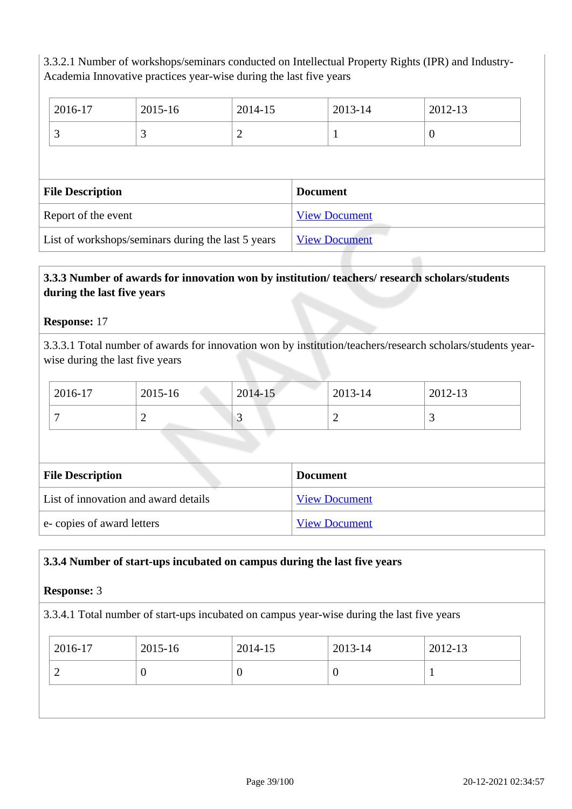3.3.2.1 Number of workshops/seminars conducted on Intellectual Property Rights (IPR) and Industry-Academia Innovative practices year-wise during the last five years

| 2013-14<br>2012-13 | 2014-15 | 2015-16  | 2016-17 |
|--------------------|---------|----------|---------|
| ν                  |         | $\sim$ . |         |
|                    |         |          |         |

| <b>File Description</b>                            | <b>Document</b>      |
|----------------------------------------------------|----------------------|
| Report of the event                                | <b>View Document</b> |
| List of workshops/seminars during the last 5 years | <b>View Document</b> |

## **3.3.3 Number of awards for innovation won by institution/ teachers/ research scholars/students during the last five years**

## **Response:** 17

3.3.3.1 Total number of awards for innovation won by institution/teachers/research scholars/students yearwise during the last five years

| 2016-17 | 2015-16            | 2014-15 | 2013-14 | 2012-13 |
|---------|--------------------|---------|---------|---------|
|         | ∼<br><b>Common</b> |         | ∼       |         |

| <b>File Description</b>              | <b>Document</b>      |
|--------------------------------------|----------------------|
| List of innovation and award details | <b>View Document</b> |
| e-copies of award letters            | <b>View Document</b> |

## **3.3.4 Number of start-ups incubated on campus during the last five years**

#### **Response:** 3

3.3.4.1 Total number of start-ups incubated on campus year-wise during the last five years

| U<br>U |  |
|--------|--|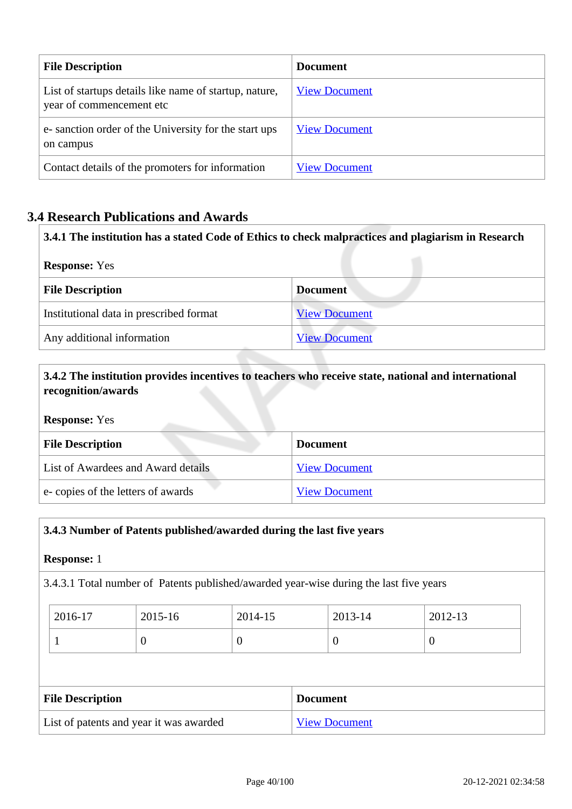| <b>File Description</b>                                                             | <b>Document</b>      |
|-------------------------------------------------------------------------------------|----------------------|
| List of startups details like name of startup, nature,<br>year of commencement etc. | <b>View Document</b> |
| e-sanction order of the University for the start ups<br>on campus                   | <b>View Document</b> |
| Contact details of the promoters for information                                    | <b>View Document</b> |

## **3.4 Research Publications and Awards**

| 3.4.1 The institution has a stated Code of Ethics to check malpractices and plagiarism in Research |                      |
|----------------------------------------------------------------------------------------------------|----------------------|
| <b>Response:</b> Yes                                                                               |                      |
| <b>File Description</b>                                                                            | Document             |
| Institutional data in prescribed format                                                            | <b>View Document</b> |
| Any additional information                                                                         | <b>View Document</b> |

## **3.4.2 The institution provides incentives to teachers who receive state, national and international recognition/awards**

#### **Response:** Yes

| <b>File Description</b>            | <b>Document</b>      |
|------------------------------------|----------------------|
| List of Awardees and Award details | <b>View Document</b> |
| e-copies of the letters of awards  | <b>View Document</b> |

## **3.4.3 Number of Patents published/awarded during the last five years**

## **Response:** 1

3.4.3.1 Total number of Patents published/awarded year-wise during the last five years

| 2016-17 | 2015-16 | 2014-15 | 2013-14 | 2012-13 |
|---------|---------|---------|---------|---------|
|         |         | v       |         | ິ       |

| <b>File Description</b>                 | <b>Document</b>      |
|-----------------------------------------|----------------------|
| List of patents and year it was awarded | <b>View Document</b> |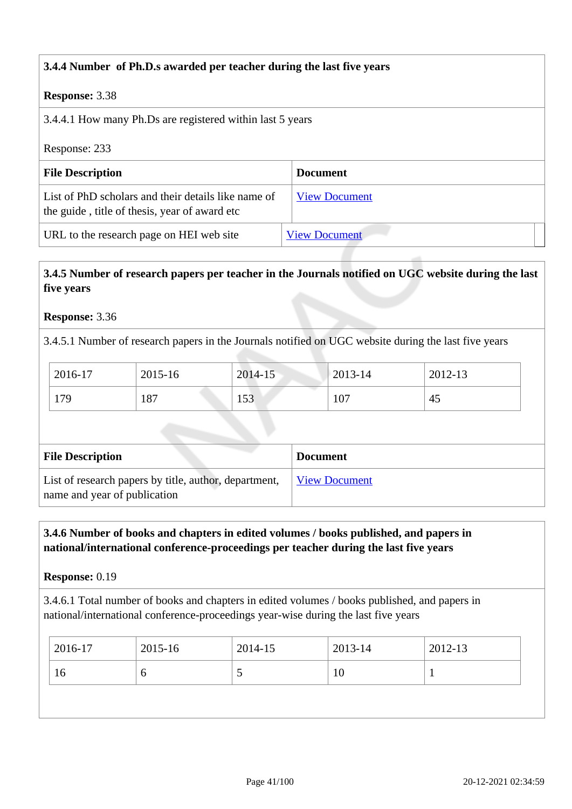## **3.4.4 Number of Ph.D.s awarded per teacher during the last five years**

#### **Response:** 3.38

3.4.4.1 How many Ph.Ds are registered within last 5 years

Response: 233

| <b>File Description</b>                                                                              | <b>Document</b>      |
|------------------------------------------------------------------------------------------------------|----------------------|
| List of PhD scholars and their details like name of<br>the guide, title of thesis, year of award etc | <b>View Document</b> |
| URL to the research page on HEI web site                                                             | <b>View Document</b> |

## **3.4.5 Number of research papers per teacher in the Journals notified on UGC website during the last five years**

#### **Response:** 3.36

3.4.5.1 Number of research papers in the Journals notified on UGC website during the last five years

| 2016-17 | 2015-16 | 2014-15     | $2013 - 14$ | 2012-13 |
|---------|---------|-------------|-------------|---------|
| 179     | 187     | 53<br>1 J J | 107         | 45      |

| <b>File Description</b>                                                               | <b>Document</b>      |
|---------------------------------------------------------------------------------------|----------------------|
| List of research papers by title, author, department,<br>name and year of publication | <b>View Document</b> |

## **3.4.6 Number of books and chapters in edited volumes / books published, and papers in national/international conference-proceedings per teacher during the last five years**

**Response:** 0.19

3.4.6.1 Total number of books and chapters in edited volumes / books published, and papers in national/international conference-proceedings year-wise during the last five years

| 2016-17 | 2015-16 | 2014-15                  | 2013-14 | 2012-13 |
|---------|---------|--------------------------|---------|---------|
| 16      | U       | $\overline{\phantom{0}}$ | 10      |         |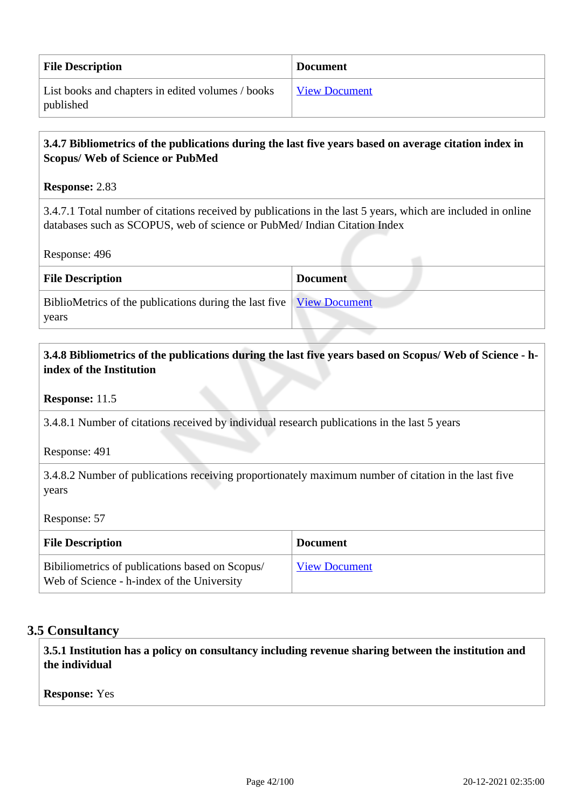| <b>File Description</b>                                        | <b>Document</b>      |
|----------------------------------------------------------------|----------------------|
| List books and chapters in edited volumes / books<br>published | <b>View Document</b> |

## **3.4.7 Bibliometrics of the publications during the last five years based on average citation index in Scopus/ Web of Science or PubMed**

#### **Response:** 2.83

3.4.7.1 Total number of citations received by publications in the last 5 years, which are included in online databases such as SCOPUS, web of science or PubMed/ Indian Citation Index

Response: 496

| <b>File Description</b>                                                     | <b>Document</b> |
|-----------------------------------------------------------------------------|-----------------|
| BiblioMetrics of the publications during the last five <u>View Document</u> |                 |
| years                                                                       |                 |

## **3.4.8 Bibliometrics of the publications during the last five years based on Scopus/ Web of Science - hindex of the Institution**

**Response:** 11.5

3.4.8.1 Number of citations received by individual research publications in the last 5 years

Response: 491

3.4.8.2 Number of publications receiving proportionately maximum number of citation in the last five years

Response: 57

| <b>File Description</b>                                                                       | <b>Document</b>      |
|-----------------------------------------------------------------------------------------------|----------------------|
| Bibiliometrics of publications based on Scopus/<br>Web of Science - h-index of the University | <b>View Document</b> |

## **3.5 Consultancy**

 **3.5.1 Institution has a policy on consultancy including revenue sharing between the institution and the individual**

**Response:** Yes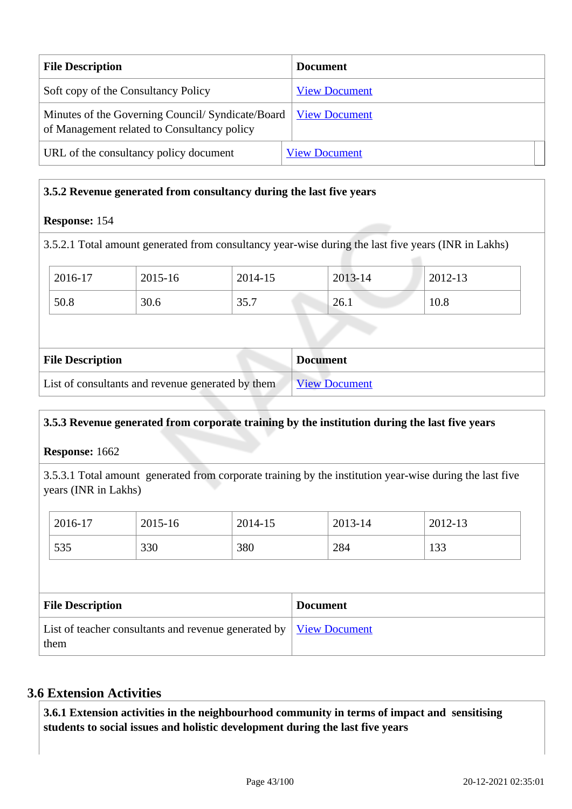| <b>File Description</b>                                                                         | <b>Document</b>      |
|-------------------------------------------------------------------------------------------------|----------------------|
| Soft copy of the Consultancy Policy                                                             | <b>View Document</b> |
| Minutes of the Governing Council/Syndicate/Board<br>of Management related to Consultancy policy | <b>View Document</b> |
| URL of the consultancy policy document                                                          | <b>View Document</b> |

## **3.5.2 Revenue generated from consultancy during the last five years**

## **Response:** 154

3.5.2.1 Total amount generated from consultancy year-wise during the last five years (INR in Lakhs)

| 2016-17 | 2015-16 | 2014-15     | 2013-14 | 2012-13 |
|---------|---------|-------------|---------|---------|
| 50.8    | 30.6    | 257<br>JJ.I | 26.1    | .0.8    |

| <b>File Description</b>                           | <b>Document</b>      |
|---------------------------------------------------|----------------------|
| List of consultants and revenue generated by them | <b>View Document</b> |

## **3.5.3 Revenue generated from corporate training by the institution during the last five years**

**Response:** 1662

3.5.3.1 Total amount generated from corporate training by the institution year-wise during the last five years (INR in Lakhs)

| 2016-17                                                      | 2015-16 | 2014-15 |  | 2013-14              | 2012-13 |  |
|--------------------------------------------------------------|---------|---------|--|----------------------|---------|--|
| 535                                                          | 330     | 380     |  | 284                  | 133     |  |
|                                                              |         |         |  |                      |         |  |
| <b>File Description</b>                                      |         |         |  | <b>Document</b>      |         |  |
| List of teacher consultants and revenue generated by<br>them |         |         |  | <b>View Document</b> |         |  |

## **3.6 Extension Activities**

 **3.6.1 Extension activities in the neighbourhood community in terms of impact and sensitising students to social issues and holistic development during the last five years**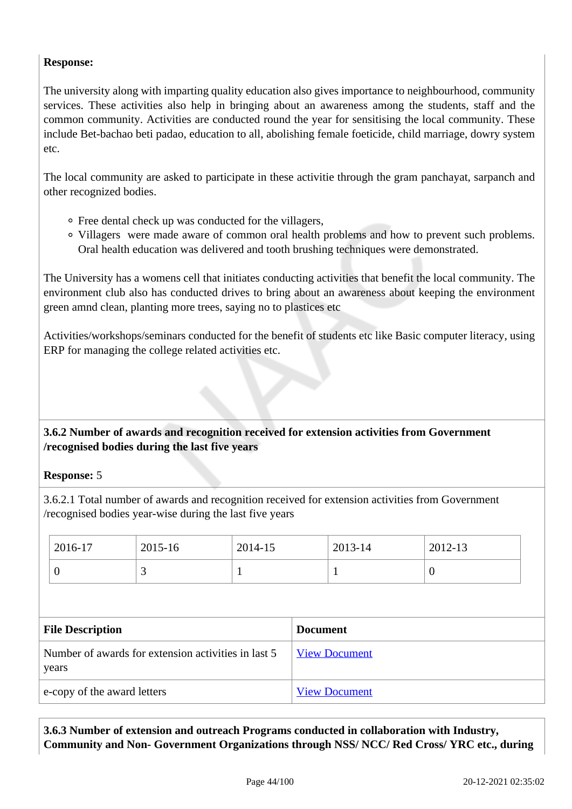## **Response:**

The university along with imparting quality education also gives importance to neighbourhood, community services. These activities also help in bringing about an awareness among the students, staff and the common community. Activities are conducted round the year for sensitising the local community. These include Bet-bachao beti padao, education to all, abolishing female foeticide, child marriage, dowry system etc.

The local community are asked to participate in these activitie through the gram panchayat, sarpanch and other recognized bodies.

- Free dental check up was conducted for the villagers,
- Villagers were made aware of common oral health problems and how to prevent such problems. Oral health education was delivered and tooth brushing techniques were demonstrated.

The University has a womens cell that initiates conducting activities that benefit the local community. The environment club also has conducted drives to bring about an awareness about keeping the environment green amnd clean, planting more trees, saying no to plastices etc

Activities/workshops/seminars conducted for the benefit of students etc like Basic computer literacy, using ERP for managing the college related activities etc.

## **3.6.2 Number of awards and recognition received for extension activities from Government /recognised bodies during the last five years**

## **Response:** 5

3.6.2.1 Total number of awards and recognition received for extension activities from Government /recognised bodies year-wise during the last five years

|  | 2016-17                                                      | 2015-16 | 2014-15 |                 | 2013-14              | 2012-13  |  |
|--|--------------------------------------------------------------|---------|---------|-----------------|----------------------|----------|--|
|  | $\theta$                                                     | 3       | 1       |                 |                      | $\theta$ |  |
|  |                                                              |         |         |                 |                      |          |  |
|  | <b>File Description</b>                                      |         |         | <b>Document</b> |                      |          |  |
|  | Number of awards for extension activities in last 5<br>years |         |         |                 | <b>View Document</b> |          |  |
|  | e-copy of the award letters                                  |         |         |                 | <b>View Document</b> |          |  |

 **3.6.3 Number of extension and outreach Programs conducted in collaboration with Industry, Community and Non- Government Organizations through NSS/ NCC/ Red Cross/ YRC etc., during**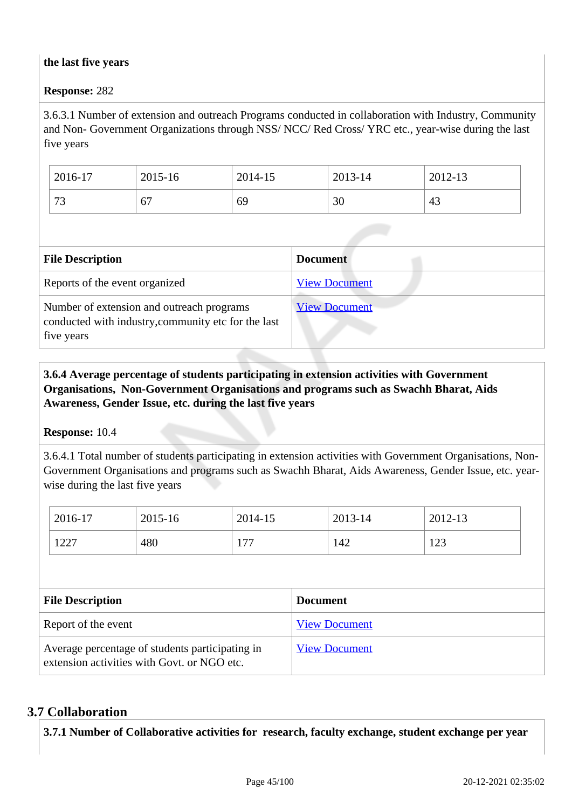## **the last five years**

## **Response:** 282

3.6.3.1 Number of extension and outreach Programs conducted in collaboration with Industry, Community and Non- Government Organizations through NSS/ NCC/ Red Cross/ YRC etc., year-wise during the last five years

| 2016-17               | 2015-16 | 2014-15 | 2013-14 | 2012-13 |
|-----------------------|---------|---------|---------|---------|
| $\overline{a}$<br>ر ا | 67      | 69      | 30      | 43      |

| <b>File Description</b>                                                                                        | <b>Document</b>      |
|----------------------------------------------------------------------------------------------------------------|----------------------|
| Reports of the event organized                                                                                 | <b>View Document</b> |
| Number of extension and outreach programs<br>conducted with industry, community etc for the last<br>five years | <b>View Document</b> |

## **3.6.4 Average percentage of students participating in extension activities with Government Organisations, Non-Government Organisations and programs such as Swachh Bharat, Aids Awareness, Gender Issue, etc. during the last five years**

## **Response:** 10.4

3.6.4.1 Total number of students participating in extension activities with Government Organisations, Non-Government Organisations and programs such as Swachh Bharat, Aids Awareness, Gender Issue, etc. yearwise during the last five years

| 2016-17 | 2015-16 | 2014-15 | 2013-14 | 2012-13              |
|---------|---------|---------|---------|----------------------|
| 1227    | 480     | .77     | 142     | 1 ລາ<br>$1 \angle J$ |

| <b>File Description</b>                                                                        | <b>Document</b>      |
|------------------------------------------------------------------------------------------------|----------------------|
| Report of the event                                                                            | <b>View Document</b> |
| Average percentage of students participating in<br>extension activities with Govt. or NGO etc. | <b>View Document</b> |

## **3.7 Collaboration**

**3.7.1 Number of Collaborative activities for research, faculty exchange, student exchange per year**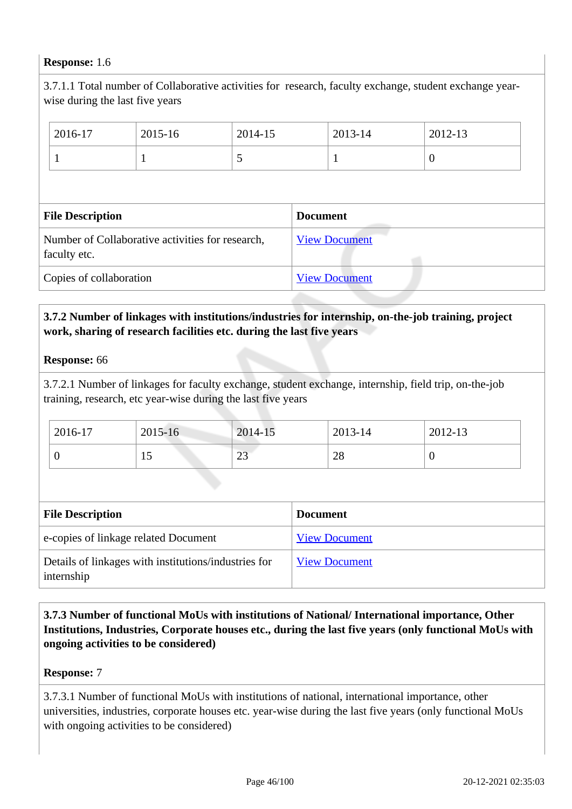#### **Response:** 1.6

3.7.1.1 Total number of Collaborative activities for research, faculty exchange, student exchange yearwise during the last five years

| 2016-17                                    | 2015-16                                          | 2014-15 |  | 2013-14              | 2012-13          |  |
|--------------------------------------------|--------------------------------------------------|---------|--|----------------------|------------------|--|
|                                            |                                                  | 5       |  |                      | $\boldsymbol{0}$ |  |
|                                            |                                                  |         |  |                      |                  |  |
| <b>File Description</b><br><b>Document</b> |                                                  |         |  |                      |                  |  |
|                                            |                                                  |         |  |                      |                  |  |
| faculty etc.                               | Number of Collaborative activities for research, |         |  | <b>View Document</b> |                  |  |

## **3.7.2 Number of linkages with institutions/industries for internship, on-the-job training, project work, sharing of research facilities etc. during the last five years**

#### **Response:** 66

3.7.2.1 Number of linkages for faculty exchange, student exchange, internship, field trip, on-the-job training, research, etc year-wise during the last five years

| 2016-17 | 2015-16 | 2014-15      | 2013-14 | 2012-13 |
|---------|---------|--------------|---------|---------|
| ◡       | 1 J     | $\cap$<br>رے | 28      |         |

| <b>File Description</b>                                            | <b>Document</b>      |
|--------------------------------------------------------------------|----------------------|
| e-copies of linkage related Document                               | <b>View Document</b> |
| Details of linkages with institutions/industries for<br>internship | <b>View Document</b> |

 **3.7.3 Number of functional MoUs with institutions of National/ International importance, Other Institutions, Industries, Corporate houses etc., during the last five years (only functional MoUs with ongoing activities to be considered)** 

#### **Response:** 7

3.7.3.1 Number of functional MoUs with institutions of national, international importance, other universities, industries, corporate houses etc. year-wise during the last five years (only functional MoUs with ongoing activities to be considered)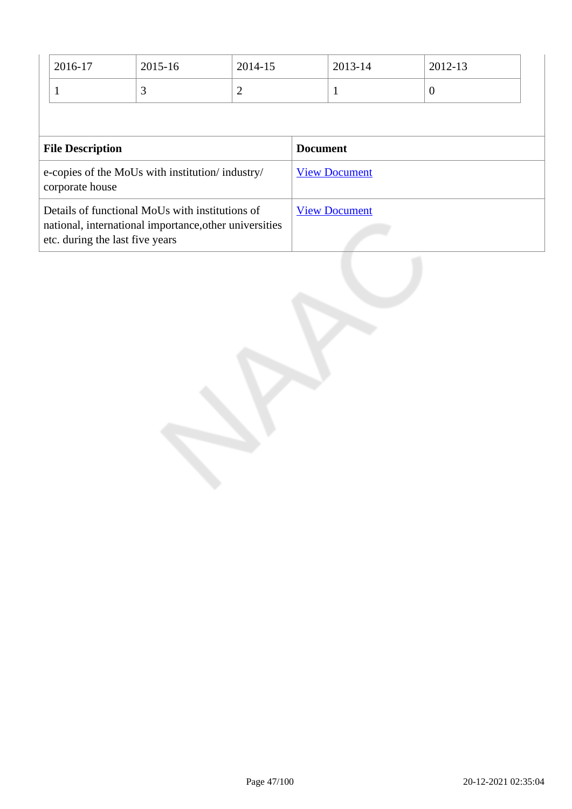| 2016-17                                                                                                                                      | $2015 - 16$ | 2014-15        |  | 2013-14              | 2012-13  |  |
|----------------------------------------------------------------------------------------------------------------------------------------------|-------------|----------------|--|----------------------|----------|--|
| $\mathbf{1}$                                                                                                                                 | 3           | $\overline{2}$ |  |                      | $\theta$ |  |
|                                                                                                                                              |             |                |  |                      |          |  |
| <b>File Description</b>                                                                                                                      |             |                |  | <b>Document</b>      |          |  |
| e-copies of the MoUs with institution/industry/<br>corporate house                                                                           |             |                |  | <b>View Document</b> |          |  |
| Details of functional MoUs with institutions of<br>national, international importance, other universities<br>etc. during the last five years |             |                |  | <b>View Document</b> |          |  |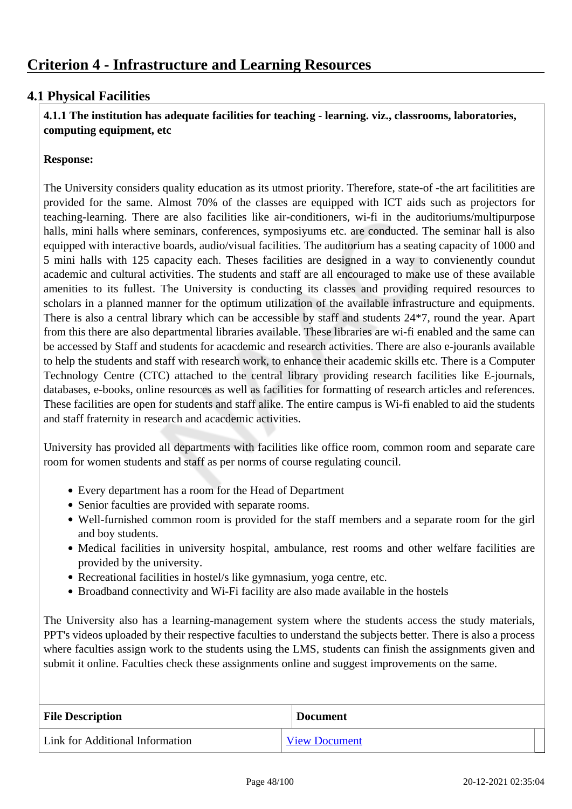# **Criterion 4 - Infrastructure and Learning Resources**

## **4.1 Physical Facilities**

 **4.1.1 The institution has adequate facilities for teaching - learning. viz., classrooms, laboratories, computing equipment, etc**

### **Response:**

The University considers quality education as its utmost priority. Therefore, state-of -the art facilitities are provided for the same. Almost 70% of the classes are equipped with ICT aids such as projectors for teaching-learning. There are also facilities like air-conditioners, wi-fi in the auditoriums/multipurpose halls, mini halls where seminars, conferences, symposiyums etc. are conducted. The seminar hall is also equipped with interactive boards, audio/visual facilities. The auditorium has a seating capacity of 1000 and 5 mini halls with 125 capacity each. Theses facilities are designed in a way to convienently coundut academic and cultural activities. The students and staff are all encouraged to make use of these available amenities to its fullest. The University is conducting its classes and providing required resources to scholars in a planned manner for the optimum utilization of the available infrastructure and equipments. There is also a central library which can be accessible by staff and students 24\*7, round the year. Apart from this there are also departmental libraries available. These libraries are wi-fi enabled and the same can be accessed by Staff and students for acacdemic and research activities. There are also e-jouranls available to help the students and staff with research work, to enhance their academic skills etc. There is a Computer Technology Centre (CTC) attached to the central library providing research facilities like E-journals, databases, e-books, online resources as well as facilities for formatting of research articles and references. These facilities are open for students and staff alike. The entire campus is Wi-fi enabled to aid the students and staff fraternity in research and acacdemic activities.

University has provided all departments with facilities like office room, common room and separate care room for women students and staff as per norms of course regulating council.

- Every department has a room for the Head of Department
- Senior faculties are provided with separate rooms.
- Well-furnished common room is provided for the staff members and a separate room for the girl and boy students.
- Medical facilities in university hospital, ambulance, rest rooms and other welfare facilities are provided by the university.
- Recreational facilities in hostel/s like gymnasium, yoga centre, etc.
- Broadband connectivity and Wi-Fi facility are also made available in the hostels

The University also has a learning-management system where the students access the study materials, PPT's videos uploaded by their respective faculties to understand the subjects better. There is also a process where faculties assign work to the students using the LMS, students can finish the assignments given and submit it online. Faculties check these assignments online and suggest improvements on the same.

| <b>File Description</b>                | <b>Document</b>      |
|----------------------------------------|----------------------|
| <b>Link for Additional Information</b> | <b>View Document</b> |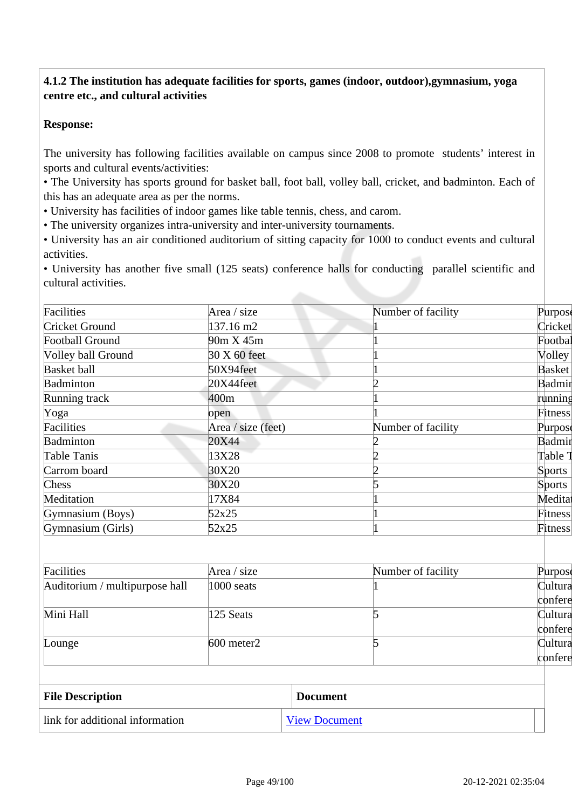## **4.1.2 The institution has adequate facilities for sports, games (indoor, outdoor),gymnasium, yoga centre etc., and cultural activities**

#### **Response:**

The university has following facilities available on campus since 2008 to promote students' interest in sports and cultural events/activities:

• The University has sports ground for basket ball, foot ball, volley ball, cricket, and badminton. Each of this has an adequate area as per the norms.

• University has facilities of indoor games like table tennis, chess, and carom.

• The university organizes intra-university and inter-university tournaments.

• University has an air conditioned auditorium of sitting capacity for 1000 to conduct events and cultural activities.

• University has another five small (125 seats) conference halls for conducting parallel scientific and cultural activities.

| Facilities             | Area / size        | Number of facility | Purpose       |
|------------------------|--------------------|--------------------|---------------|
| <b>Cricket Ground</b>  | 137.16 m2          |                    | Cricket       |
| <b>Football Ground</b> | 90m X 45m          |                    | Footbal       |
| Volley ball Ground     | 30 X 60 feet       |                    | Volley        |
| <b>Basket ball</b>     | 50X94feet          |                    | <b>Basket</b> |
| Badminton              | 20X44feet          |                    | Badmir        |
| Running track          | 400m               |                    | running       |
| Yoga                   | open               |                    | Fitness       |
| Facilities             | Area / size (feet) | Number of facility | Purpose       |
| Badminton              | 20X44              |                    | Badmir        |
| Table Tanis            | 13X28              |                    | Table T       |
| Carrom board           | 30X20              |                    | <b>Sports</b> |
| Chess                  | 30X20              |                    | <b>Sports</b> |
| Meditation             | 17X84              |                    | Meditat       |
| Gymnasium (Boys)       | 52x25              |                    | Fitness       |
| Gymnasium (Girls)      | 52x25              |                    | Fitness       |

| Facilities                     | Area / size  | Number of facility | Purpose |
|--------------------------------|--------------|--------------------|---------|
| Auditorium / multipurpose hall | $1000$ seats |                    | Cultura |
|                                |              |                    | confere |
| Mini Hall                      | 125 Seats    |                    | Cultura |
|                                |              |                    | confere |
| Lounge                         | $600$ meter2 |                    | Cultura |
|                                |              |                    | confere |

| <b>File Description</b>         | <b>Document</b>      |
|---------------------------------|----------------------|
| link for additional information | <b>View Document</b> |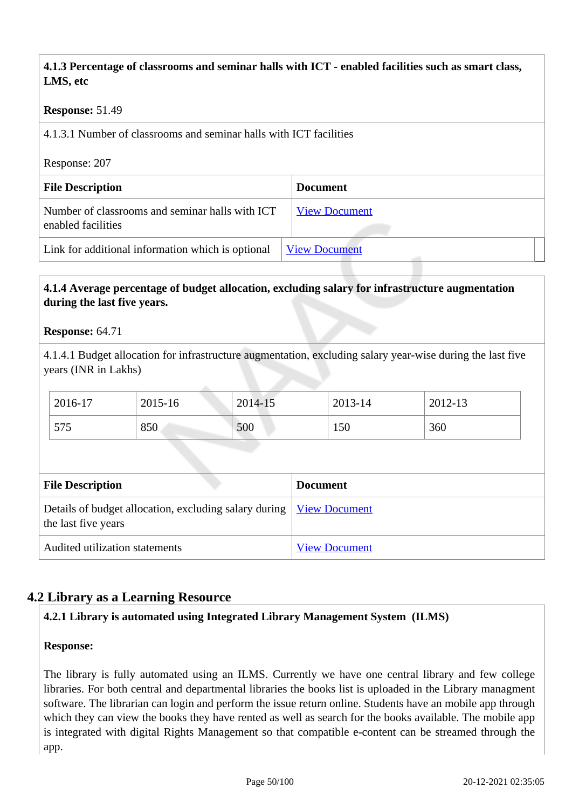## **4.1.3 Percentage of classrooms and seminar halls with ICT - enabled facilities such as smart class, LMS, etc**

### **Response:** 51.49

4.1.3.1 Number of classrooms and seminar halls with ICT facilities

#### Response: 207

| <b>File Description</b>                                               | <b>Document</b>      |
|-----------------------------------------------------------------------|----------------------|
| Number of classrooms and seminar halls with ICT<br>enabled facilities | <b>View Document</b> |
| Link for additional information which is optional                     | <b>View Document</b> |

## **4.1.4 Average percentage of budget allocation, excluding salary for infrastructure augmentation during the last five years.**

#### **Response:** 64.71

4.1.4.1 Budget allocation for infrastructure augmentation, excluding salary year-wise during the last five years (INR in Lakhs)

| $2016-17$ | 2015-16 | 2014-15 | 2013-14 | 2012-13 |
|-----------|---------|---------|---------|---------|
| 575       | 850     | 500     | 150     | 360     |

| <b>File Description</b>                                                                      | <b>Document</b>      |
|----------------------------------------------------------------------------------------------|----------------------|
| Details of budget allocation, excluding salary during   View Document<br>the last five years |                      |
| Audited utilization statements                                                               | <b>View Document</b> |

## **4.2 Library as a Learning Resource**

## **4.2.1 Library is automated using Integrated Library Management System (ILMS)**

#### **Response:**

The library is fully automated using an ILMS. Currently we have one central library and few college libraries. For both central and departmental libraries the books list is uploaded in the Library managment software. The librarian can login and perform the issue return online. Students have an mobile app through which they can view the books they have rented as well as search for the books available. The mobile app is integrated with digital Rights Management so that compatible e-content can be streamed through the app.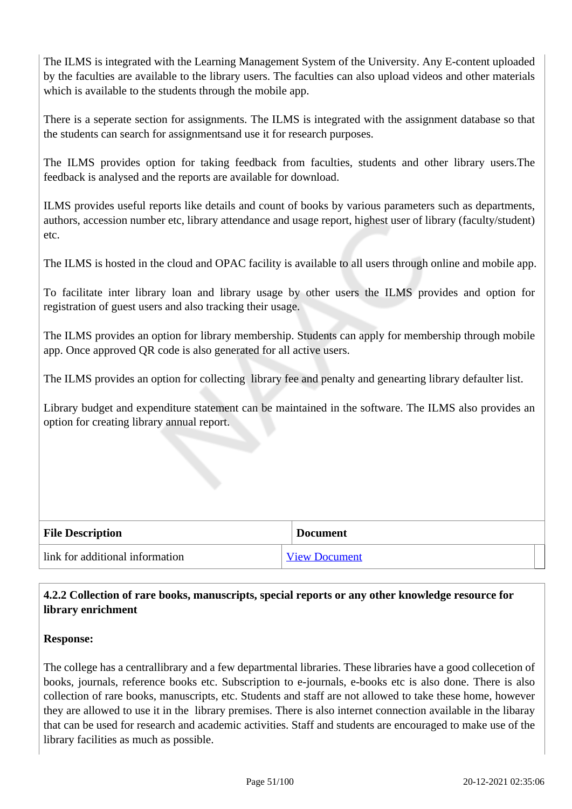The ILMS is integrated with the Learning Management System of the University. Any E-content uploaded by the faculties are available to the library users. The faculties can also upload videos and other materials which is available to the students through the mobile app.

There is a seperate section for assignments. The ILMS is integrated with the assignment database so that the students can search for assignmentsand use it for research purposes.

The ILMS provides option for taking feedback from faculties, students and other library users.The feedback is analysed and the reports are available for download.

ILMS provides useful reports like details and count of books by various parameters such as departments, authors, accession number etc, library attendance and usage report, highest user of library (faculty/student) etc.

The ILMS is hosted in the cloud and OPAC facility is available to all users through online and mobile app.

To facilitate inter library loan and library usage by other users the ILMS provides and option for registration of guest users and also tracking their usage.

The ILMS provides an option for library membership. Students can apply for membership through mobile app. Once approved QR code is also generated for all active users.

The ILMS provides an option for collecting library fee and penalty and genearting library defaulter list.

Library budget and expenditure statement can be maintained in the software. The ILMS also provides an option for creating library annual report.

| <b>File Description</b>         | <b>Document</b>      |  |
|---------------------------------|----------------------|--|
| link for additional information | <b>View Document</b> |  |

## **4.2.2 Collection of rare books, manuscripts, special reports or any other knowledge resource for library enrichment**

## **Response:**

The college has a centrallibrary and a few departmental libraries. These libraries have a good collecetion of books, journals, reference books etc. Subscription to e-journals, e-books etc is also done. There is also collection of rare books, manuscripts, etc. Students and staff are not allowed to take these home, however they are allowed to use it in the library premises. There is also internet connection available in the libaray that can be used for research and academic activities. Staff and students are encouraged to make use of the library facilities as much as possible.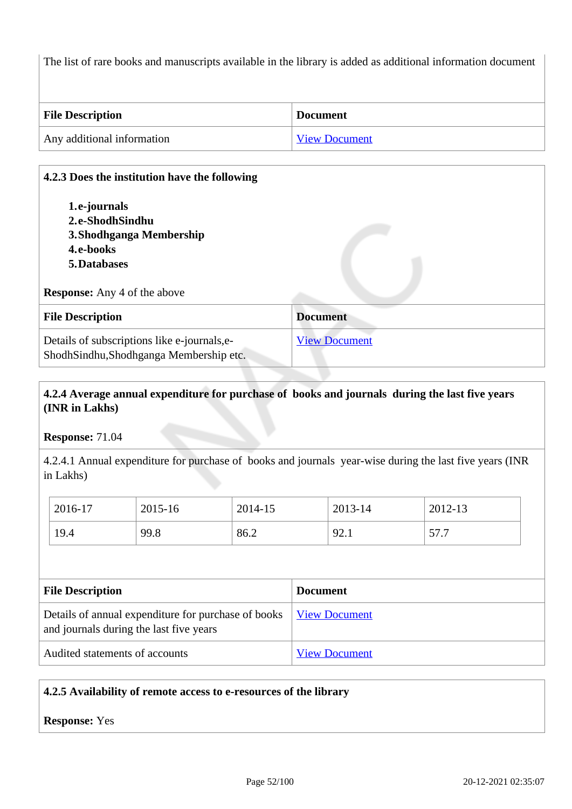The list of rare books and manuscripts available in the library is added as additional information document

| <b>File Description</b>    | <b>Document</b>      |
|----------------------------|----------------------|
| Any additional information | <b>View Document</b> |

| 4.2.3 Does the institution have the following                                                   |                      |
|-------------------------------------------------------------------------------------------------|----------------------|
| 1.e-journals<br>2.e-ShodhSindhu<br>3. Shodhganga Membership<br>4.e-books<br><b>5. Databases</b> |                      |
| <b>Response:</b> Any 4 of the above                                                             |                      |
| <b>File Description</b>                                                                         | <b>Document</b>      |
| Details of subscriptions like e-journals, e-<br>ShodhSindhu,Shodhganga Membership etc.          | <b>View Document</b> |

## **4.2.4 Average annual expenditure for purchase of books and journals during the last five years (INR in Lakhs)**

**Response:** 71.04

4.2.4.1 Annual expenditure for purchase of books and journals year-wise during the last five years (INR in Lakhs)

| 2016-17 | 2015-16 | 2014-15 | 2013-14 | 2012-13       |
|---------|---------|---------|---------|---------------|
| 19.4    | 99.8    | 86.2    | 92.1    | 57 T<br>، ، ر |

| <b>File Description</b>                                                                                               | <b>Document</b>      |
|-----------------------------------------------------------------------------------------------------------------------|----------------------|
| Details of annual expenditure for purchase of books   <u>View Document</u><br>and journals during the last five years |                      |
| Audited statements of accounts                                                                                        | <b>View Document</b> |

## **4.2.5 Availability of remote access to e-resources of the library**

**Response:** Yes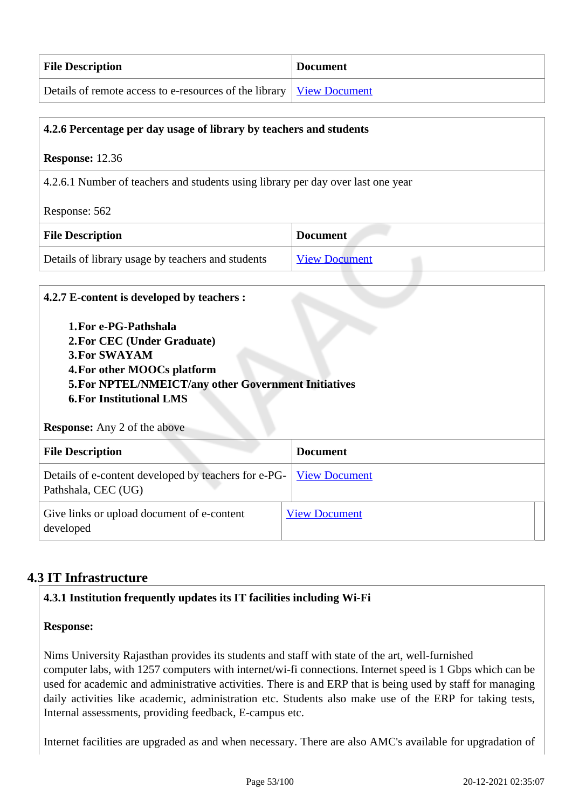| <b>File Description</b>                                                     | <b>Document</b> |
|-----------------------------------------------------------------------------|-----------------|
| Details of remote access to e-resources of the library <u>View Document</u> |                 |

| 4.2.6 Percentage per day usage of library by teachers and students               |                      |
|----------------------------------------------------------------------------------|----------------------|
| <b>Response: 12.36</b>                                                           |                      |
| 4.2.6.1 Number of teachers and students using library per day over last one year |                      |
| Response: 562                                                                    |                      |
| <b>File Description</b>                                                          | <b>Document</b>      |
| Details of library usage by teachers and students                                | <b>View Document</b> |

| 1. For e-PG-Pathshala<br>2. For CEC (Under Graduate)<br><b>3. For SWAYAM</b><br>4. For other MOOCs platform<br><b>5. For NPTEL/NMEICT/any other Government Initiatives</b><br><b>6. For Institutional LMS</b> |                      |
|---------------------------------------------------------------------------------------------------------------------------------------------------------------------------------------------------------------|----------------------|
| <b>Response:</b> Any 2 of the above                                                                                                                                                                           |                      |
| <b>File Description</b>                                                                                                                                                                                       | <b>Document</b>      |
| Details of e-content developed by teachers for e-PG-<br>Pathshala, CEC (UG)                                                                                                                                   | <b>View Document</b> |

## **4.3 IT Infrastructure**

## **4.3.1 Institution frequently updates its IT facilities including Wi-Fi**

## **Response:**

Nims University Rajasthan provides its students and staff with state of the art, well-furnished computer labs, with 1257 computers with internet/wi-fi connections. Internet speed is 1 Gbps which can be used for academic and administrative activities. There is and ERP that is being used by staff for managing daily activities like academic, administration etc. Students also make use of the ERP for taking tests, Internal assessments, providing feedback, E-campus etc.

Internet facilities are upgraded as and when necessary. There are also AMC's available for upgradation of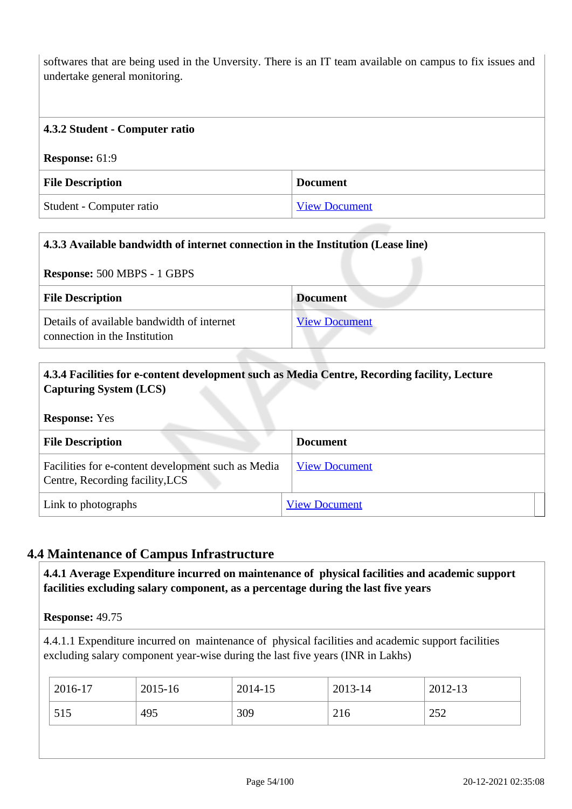softwares that are being used in the Unversity. There is an IT team available on campus to fix issues and undertake general monitoring.

### **4.3.2 Student - Computer ratio**

#### **Response:** 61:9

| <b>File Description</b>  | <b>Document</b>      |  |
|--------------------------|----------------------|--|
| Student - Computer ratio | <b>View Document</b> |  |

## **4.3.3 Available bandwidth of internet connection in the Institution (Lease line)**

| <b>Response: 500 MBPS - 1 GBPS</b>                                          |                      |  |
|-----------------------------------------------------------------------------|----------------------|--|
| <b>File Description</b>                                                     | <b>Document</b>      |  |
| Details of available bandwidth of internet<br>connection in the Institution | <b>View Document</b> |  |

## **4.3.4 Facilities for e-content development such as Media Centre, Recording facility, Lecture Capturing System (LCS)**

| <b>Response:</b> Yes                                                                  |                      |
|---------------------------------------------------------------------------------------|----------------------|
| <b>File Description</b>                                                               | <b>Document</b>      |
| Facilities for e-content development such as Media<br>Centre, Recording facility, LCS | <b>View Document</b> |
| Link to photographs                                                                   | <b>View Document</b> |

## **4.4 Maintenance of Campus Infrastructure**

 **4.4.1 Average Expenditure incurred on maintenance of physical facilities and academic support facilities excluding salary component, as a percentage during the last five years**

**Response:** 49.75

4.4.1.1 Expenditure incurred on maintenance of physical facilities and academic support facilities excluding salary component year-wise during the last five years (INR in Lakhs)

| 2016-17 | 2015-16 | 2014-15 | 2013-14 | 2012-13     |
|---------|---------|---------|---------|-------------|
| 515     | 495     | 309     | 216     | 252<br>ے رے |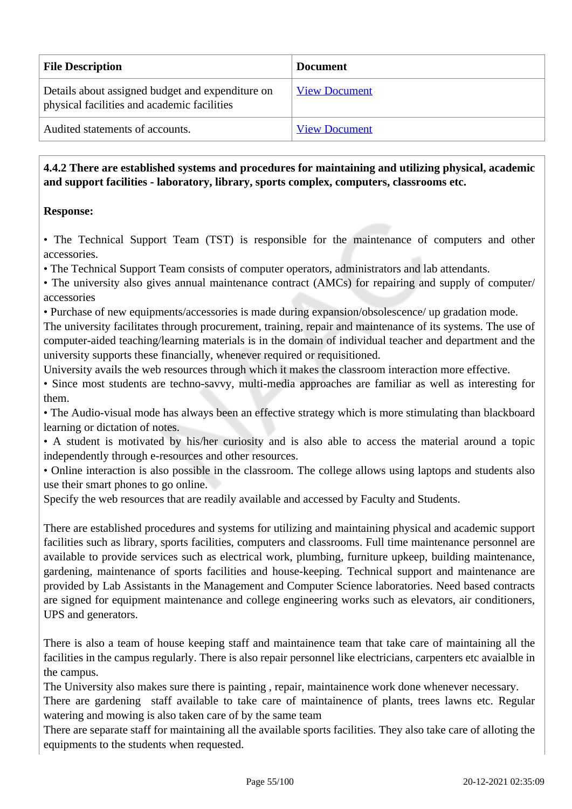| <b>File Description</b>                                                                         | <b>Document</b>      |
|-------------------------------------------------------------------------------------------------|----------------------|
| Details about assigned budget and expenditure on<br>physical facilities and academic facilities | <b>View Document</b> |
| Audited statements of accounts.                                                                 | <b>View Document</b> |

 **4.4.2 There are established systems and procedures for maintaining and utilizing physical, academic and support facilities - laboratory, library, sports complex, computers, classrooms etc.**

## **Response:**

• The Technical Support Team (TST) is responsible for the maintenance of computers and other accessories.

• The Technical Support Team consists of computer operators, administrators and lab attendants.

• The university also gives annual maintenance contract (AMCs) for repairing and supply of computer/ accessories

• Purchase of new equipments/accessories is made during expansion/obsolescence/ up gradation mode.

The university facilitates through procurement, training, repair and maintenance of its systems. The use of computer-aided teaching/learning materials is in the domain of individual teacher and department and the university supports these financially, whenever required or requisitioned.

University avails the web resources through which it makes the classroom interaction more effective.

• Since most students are techno-savvy, multi-media approaches are familiar as well as interesting for them.

• The Audio-visual mode has always been an effective strategy which is more stimulating than blackboard learning or dictation of notes.

• A student is motivated by his/her curiosity and is also able to access the material around a topic independently through e-resources and other resources.

• Online interaction is also possible in the classroom. The college allows using laptops and students also use their smart phones to go online.

Specify the web resources that are readily available and accessed by Faculty and Students.

There are established procedures and systems for utilizing and maintaining physical and academic support facilities such as library, sports facilities, computers and classrooms. Full time maintenance personnel are available to provide services such as electrical work, plumbing, furniture upkeep, building maintenance, gardening, maintenance of sports facilities and house-keeping. Technical support and maintenance are provided by Lab Assistants in the Management and Computer Science laboratories. Need based contracts are signed for equipment maintenance and college engineering works such as elevators, air conditioners, UPS and generators.

There is also a team of house keeping staff and maintainence team that take care of maintaining all the facilities in the campus regularly. There is also repair personnel like electricians, carpenters etc avaialble in the campus.

The University also makes sure there is painting , repair, maintainence work done whenever necessary.

There are gardening staff available to take care of maintainence of plants, trees lawns etc. Regular watering and mowing is also taken care of by the same team

There are separate staff for maintaining all the available sports facilities. They also take care of alloting the equipments to the students when requested.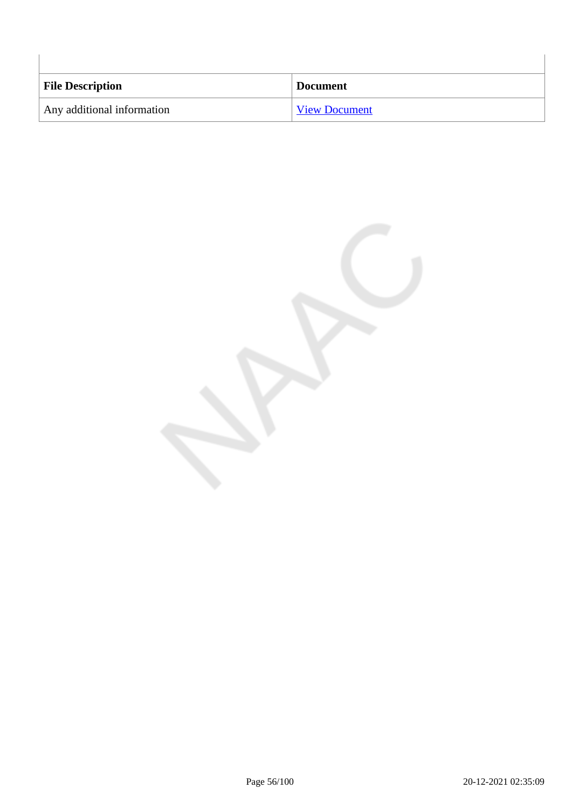| <b>File Description</b>    | <b>Document</b>      |
|----------------------------|----------------------|
| Any additional information | <b>View Document</b> |

 $\overline{\phantom{a}}$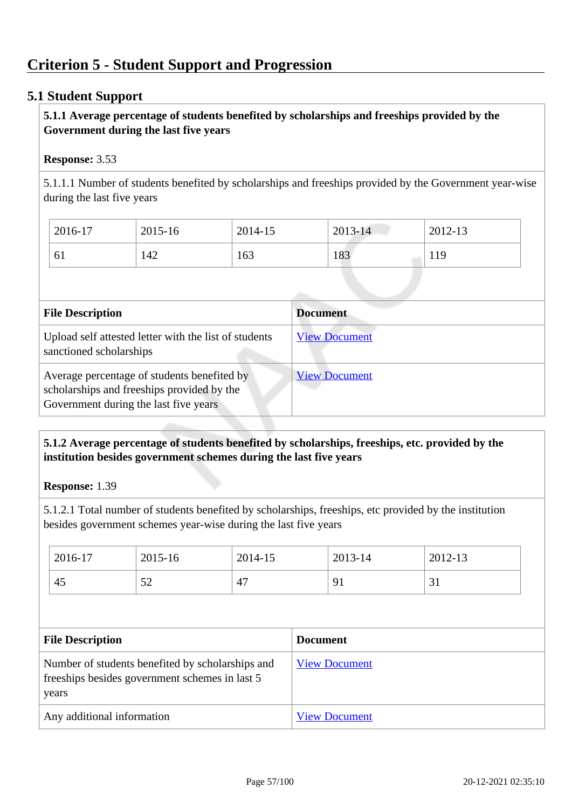## **5.1 Student Support**

## **5.1.1 Average percentage of students benefited by scholarships and freeships provided by the Government during the last five years**

## **Response:** 3.53

5.1.1.1 Number of students benefited by scholarships and freeships provided by the Government year-wise during the last five years

| 2016-17 | 2015-16 | 2014-15 | $2013 - 14$ | 2012-13 |
|---------|---------|---------|-------------|---------|
| 61      | 142     | 163     | 183         | 119     |

| <b>File Description</b>                                                                                                            | <b>Document</b>      |
|------------------------------------------------------------------------------------------------------------------------------------|----------------------|
| Upload self attested letter with the list of students<br>sanctioned scholarships                                                   | <b>View Document</b> |
| Average percentage of students benefited by<br>scholarships and freeships provided by the<br>Government during the last five years | <b>View Document</b> |

## **5.1.2 Average percentage of students benefited by scholarships, freeships, etc. provided by the institution besides government schemes during the last five years**

**Response:** 1.39

5.1.2.1 Total number of students benefited by scholarships, freeships, etc provided by the institution besides government schemes year-wise during the last five years

| 2016-17                                                                                                     | $2015 - 16$ | 2014-15              |                 | 2013-14 | 2012-13 |
|-------------------------------------------------------------------------------------------------------------|-------------|----------------------|-----------------|---------|---------|
| 45                                                                                                          | 52          | 47                   |                 | 91      | 31      |
|                                                                                                             |             |                      |                 |         |         |
| <b>File Description</b>                                                                                     |             |                      | <b>Document</b> |         |         |
| Number of students benefited by scholarships and<br>freeships besides government schemes in last 5<br>years |             | <b>View Document</b> |                 |         |         |
|                                                                                                             |             |                      |                 |         |         |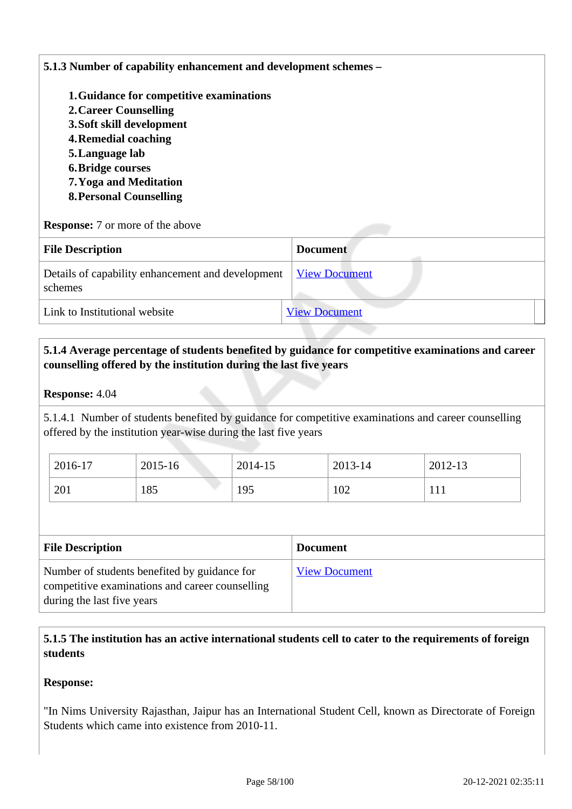| 5.1.3 Number of capability enhancement and development schemes –                                                                                                                                                                                                                           |                      |
|--------------------------------------------------------------------------------------------------------------------------------------------------------------------------------------------------------------------------------------------------------------------------------------------|----------------------|
| 1. Guidance for competitive examinations<br><b>2. Career Counselling</b><br>3. Soft skill development<br><b>4. Remedial coaching</b><br>5. Language lab<br><b>6. Bridge courses</b><br>7. Yoga and Meditation<br><b>8. Personal Counselling</b><br><b>Response:</b> 7 or more of the above |                      |
| <b>File Description</b>                                                                                                                                                                                                                                                                    | <b>Document</b>      |
| Details of capability enhancement and development<br>schemes                                                                                                                                                                                                                               | <b>View Document</b> |
| Link to Institutional website                                                                                                                                                                                                                                                              | <b>View Document</b> |

## **5.1.4 Average percentage of students benefited by guidance for competitive examinations and career counselling offered by the institution during the last five years**

## **Response:** 4.04

5.1.4.1 Number of students benefited by guidance for competitive examinations and career counselling offered by the institution year-wise during the last five years

| 2016-17 | 2015-16 | 2014-15 | 2013-14 | 2012-13 |
|---------|---------|---------|---------|---------|
| 201     | 185     | 195     | 102     |         |

| <b>File Description</b>                                                                                                       | <b>Document</b>      |
|-------------------------------------------------------------------------------------------------------------------------------|----------------------|
| Number of students benefited by guidance for<br>competitive examinations and career counselling<br>during the last five years | <b>View Document</b> |

 **5.1.5 The institution has an active international students cell to cater to the requirements of foreign students**

## **Response:**

"In Nims University Rajasthan, Jaipur has an International Student Cell, known as Directorate of Foreign Students which came into existence from 2010-11.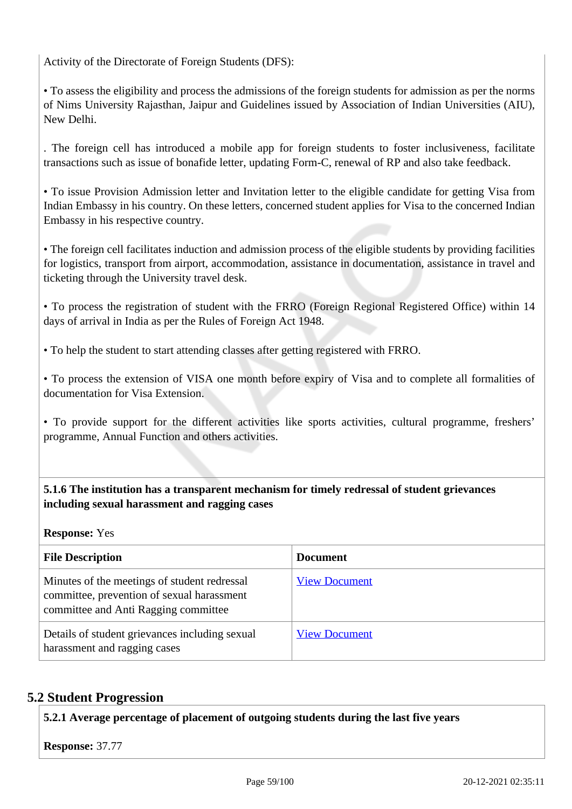Activity of the Directorate of Foreign Students (DFS):

• To assess the eligibility and process the admissions of the foreign students for admission as per the norms of Nims University Rajasthan, Jaipur and Guidelines issued by Association of Indian Universities (AIU), New Delhi.

. The foreign cell has introduced a mobile app for foreign students to foster inclusiveness, facilitate transactions such as issue of bonafide letter, updating Form-C, renewal of RP and also take feedback.

• To issue Provision Admission letter and Invitation letter to the eligible candidate for getting Visa from Indian Embassy in his country. On these letters, concerned student applies for Visa to the concerned Indian Embassy in his respective country.

• The foreign cell facilitates induction and admission process of the eligible students by providing facilities for logistics, transport from airport, accommodation, assistance in documentation, assistance in travel and ticketing through the University travel desk.

• To process the registration of student with the FRRO (Foreign Regional Registered Office) within 14 days of arrival in India as per the Rules of Foreign Act 1948.

• To help the student to start attending classes after getting registered with FRRO.

• To process the extension of VISA one month before expiry of Visa and to complete all formalities of documentation for Visa Extension.

• To provide support for the different activities like sports activities, cultural programme, freshers' programme, Annual Function and others activities.

## **5.1.6 The institution has a transparent mechanism for timely redressal of student grievances including sexual harassment and ragging cases**

**Response:** Yes

| <b>File Description</b>                                                                                                            | <b>Document</b>      |
|------------------------------------------------------------------------------------------------------------------------------------|----------------------|
| Minutes of the meetings of student redressal<br>committee, prevention of sexual harassment<br>committee and Anti Ragging committee | <b>View Document</b> |
| Details of student grievances including sexual<br>harassment and ragging cases                                                     | <b>View Document</b> |

## **5.2 Student Progression**

**5.2.1 Average percentage of placement of outgoing students during the last five years**

**Response:** 37.77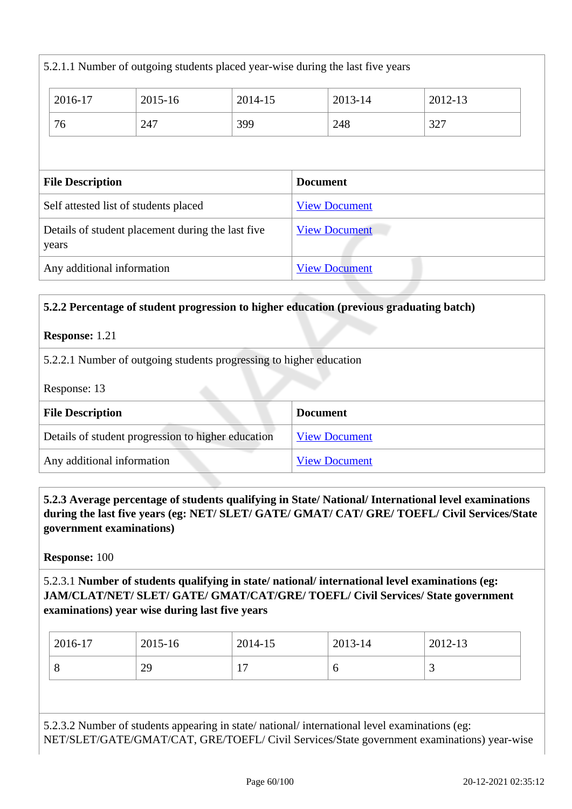5.2.1.1 Number of outgoing students placed year-wise during the last five years

| 2016-17 | 2015-16 | 2014-15 | 2013-14 | 2012-13     |
|---------|---------|---------|---------|-------------|
| 76      | 247     | 399     | 248     | 327<br>ا ڪٽ |

| <b>File Description</b>                                    | <b>Document</b>      |
|------------------------------------------------------------|----------------------|
| Self attested list of students placed                      | <b>View Document</b> |
| Details of student placement during the last five<br>years | <b>View Document</b> |
| Any additional information                                 | <b>View Document</b> |

## **5.2.2 Percentage of student progression to higher education (previous graduating batch)**

## **Response:** 1.21

5.2.2.1 Number of outgoing students progressing to higher education

Response: 13

| <b>File Description</b>                            | <b>Document</b>      |
|----------------------------------------------------|----------------------|
| Details of student progression to higher education | <b>View Document</b> |
| Any additional information                         | <b>View Document</b> |

 **5.2.3 Average percentage of students qualifying in State/ National/ International level examinations during the last five years (eg: NET/ SLET/ GATE/ GMAT/ CAT/ GRE/ TOEFL/ Civil Services/State government examinations)**

**Response:** 100

5.2.3.1 **Number of students qualifying in state/ national/ international level examinations (eg: JAM/CLAT/NET/ SLET/ GATE/ GMAT/CAT/GRE/ TOEFL/ Civil Services/ State government examinations) year wise during last five years**

| 2016-17 | 2015-16 | 2014-15 | 2013-14 | 2012-13 |
|---------|---------|---------|---------|---------|
|         | 29      | . .     | ິ       | ~       |

5.2.3.2 Number of students appearing in state/ national/ international level examinations (eg: NET/SLET/GATE/GMAT/CAT, GRE/TOEFL/ Civil Services/State government examinations) year-wise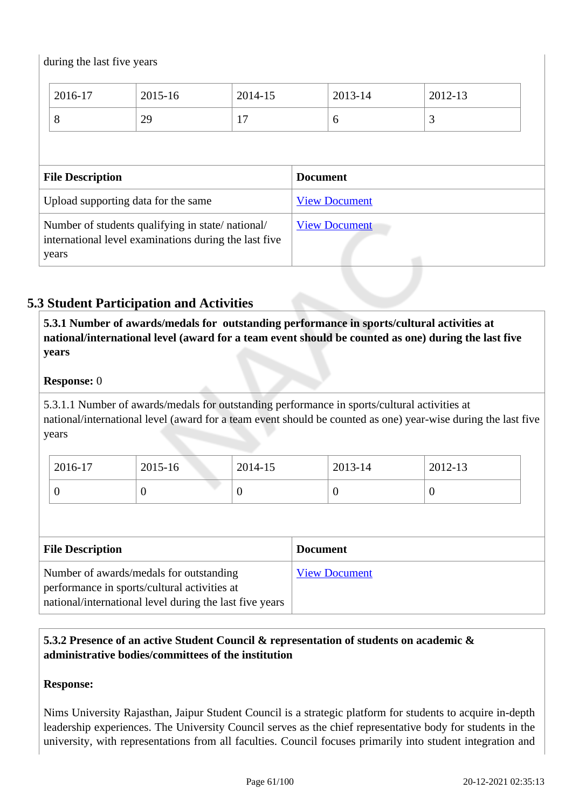during the last five years

|                         | 2016-17                             | 2015-16         | 2014-15 |  | 2013-14              | 2012-13 |
|-------------------------|-------------------------------------|-----------------|---------|--|----------------------|---------|
|                         | 8                                   | 29              | 17      |  | 6                    | 3       |
|                         |                                     |                 |         |  |                      |         |
| <b>File Description</b> |                                     | <b>Document</b> |         |  |                      |         |
|                         | Upload supporting data for the same |                 |         |  |                      |         |
|                         |                                     |                 |         |  | <b>View Document</b> |         |

# **5.3 Student Participation and Activities**

 **5.3.1 Number of awards/medals for outstanding performance in sports/cultural activities at national/international level (award for a team event should be counted as one) during the last five years**

## **Response:** 0

5.3.1.1 Number of awards/medals for outstanding performance in sports/cultural activities at national/international level (award for a team event should be counted as one) year-wise during the last five years

| 2016-17 | 2015-16 | 2014-15 | 2013-14 | 2012-13 |
|---------|---------|---------|---------|---------|
|         |         | v       |         | v       |

| <b>File Description</b>                                                                                                                            | <b>Document</b>      |
|----------------------------------------------------------------------------------------------------------------------------------------------------|----------------------|
| Number of awards/medals for outstanding<br>performance in sports/cultural activities at<br>national/international level during the last five years | <b>View Document</b> |

## **5.3.2 Presence of an active Student Council & representation of students on academic & administrative bodies/committees of the institution**

## **Response:**

Nims University Rajasthan, Jaipur Student Council is a strategic platform for students to acquire in-depth leadership experiences. The University Council serves as the chief representative body for students in the university, with representations from all faculties. Council focuses primarily into student integration and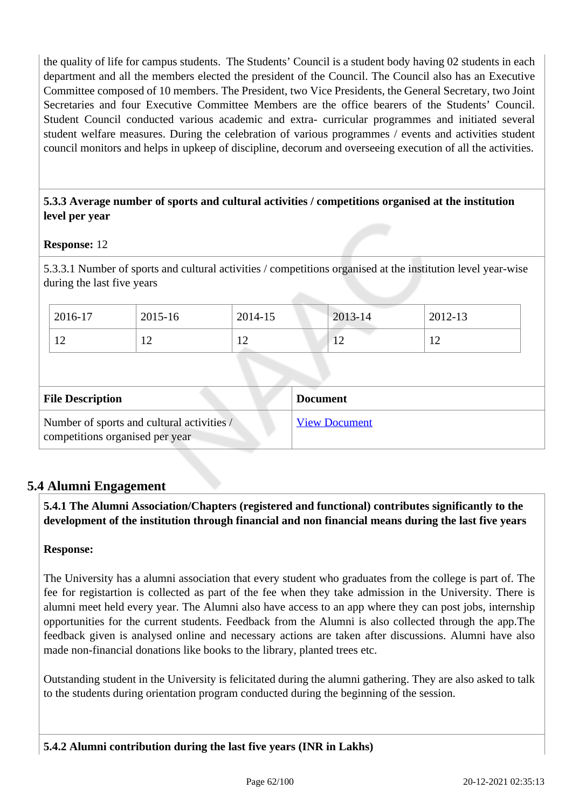the quality of life for campus students. The Students' Council is a student body having 02 students in each department and all the members elected the president of the Council. The Council also has an Executive Committee composed of 10 members. The President, two Vice Presidents, the General Secretary, two Joint Secretaries and four Executive Committee Members are the office bearers of the Students' Council. Student Council conducted various academic and extra- curricular programmes and initiated several student welfare measures. During the celebration of various programmes / events and activities student council monitors and helps in upkeep of discipline, decorum and overseeing execution of all the activities.

## **5.3.3 Average number of sports and cultural activities / competitions organised at the institution level per year**

## **Response:** 12

5.3.3.1 Number of sports and cultural activities / competitions organised at the institution level year-wise during the last five years

| 2016-17               | 2015-16        | 2014-15 | 2013-14 | 2012-13                   |
|-----------------------|----------------|---------|---------|---------------------------|
| 1 ^<br>$\overline{1}$ | $\overline{1}$ | ∸∸      | ∸∸      | 1 <sub>2</sub><br>$\perp$ |

| <b>File Description</b>                                                       | <b>Document</b>      |
|-------------------------------------------------------------------------------|----------------------|
| Number of sports and cultural activities /<br>competitions organised per year | <b>View Document</b> |

## **5.4 Alumni Engagement**

 **5.4.1 The Alumni Association/Chapters (registered and functional) contributes significantly to the development of the institution through financial and non financial means during the last five years**

## **Response:**

The University has a alumni association that every student who graduates from the college is part of. The fee for registartion is collected as part of the fee when they take admission in the University. There is alumni meet held every year. The Alumni also have access to an app where they can post jobs, internship opportunities for the current students. Feedback from the Alumni is also collected through the app.The feedback given is analysed online and necessary actions are taken after discussions. Alumni have also made non-financial donations like books to the library, planted trees etc.

Outstanding student in the University is felicitated during the alumni gathering. They are also asked to talk to the students during orientation program conducted during the beginning of the session.

**5.4.2 Alumni contribution during the last five years (INR in Lakhs)**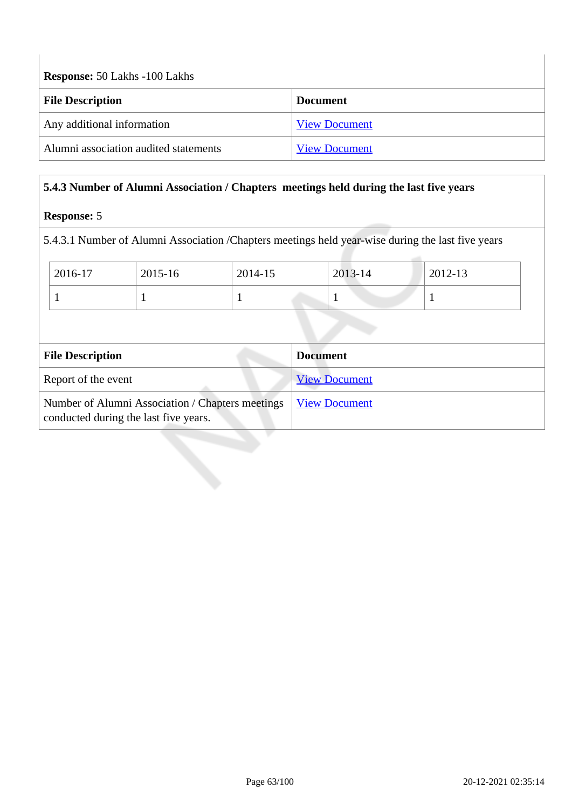| <b>Response:</b> 50 Lakhs -100 Lakhs  |                      |  |  |
|---------------------------------------|----------------------|--|--|
| <b>File Description</b>               | <b>Document</b>      |  |  |
| Any additional information            | <b>View Document</b> |  |  |
| Alumni association audited statements | <b>View Document</b> |  |  |

# **5.4.3 Number of Alumni Association / Chapters meetings held during the last five years**

## **Response:** 5

5.4.3.1 Number of Alumni Association /Chapters meetings held year-wise during the last five years

| 2016-17 | 2015-16 | 2014-15 | 2013-14 | 2012-13 |
|---------|---------|---------|---------|---------|
|         |         |         |         |         |

| <b>File Description</b>                                                                   | <b>Document</b>      |
|-------------------------------------------------------------------------------------------|----------------------|
| Report of the event                                                                       | <b>View Document</b> |
| Number of Alumni Association / Chapters meetings<br>conducted during the last five years. | <b>View Document</b> |

 $\overline{1}$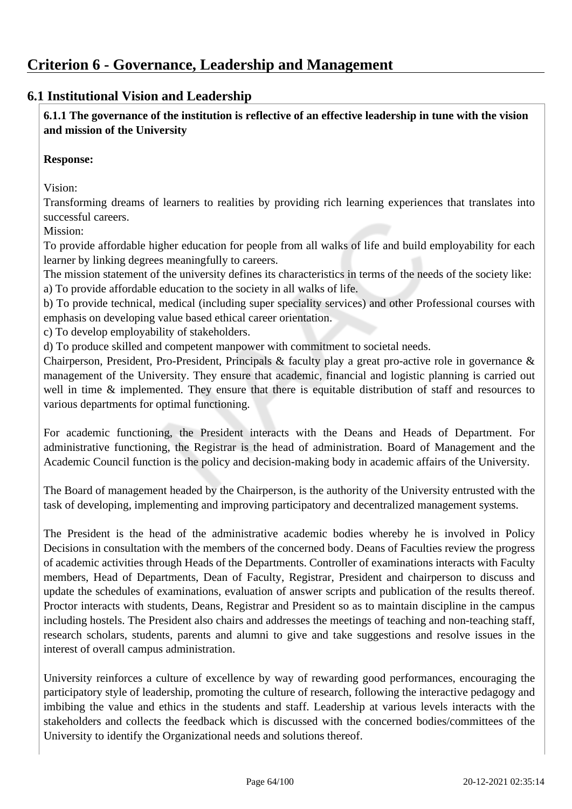## **6.1 Institutional Vision and Leadership**

 **6.1.1 The governance of the institution is reflective of an effective leadership in tune with the vision and mission of the University**

## **Response:**

Vision:

Transforming dreams of learners to realities by providing rich learning experiences that translates into successful careers.

Mission:

To provide affordable higher education for people from all walks of life and build employability for each learner by linking degrees meaningfully to careers.

The mission statement of the university defines its characteristics in terms of the needs of the society like: a) To provide affordable education to the society in all walks of life.

b) To provide technical, medical (including super speciality services) and other Professional courses with emphasis on developing value based ethical career orientation.

c) To develop employability of stakeholders.

d) To produce skilled and competent manpower with commitment to societal needs.

Chairperson, President, Pro-President, Principals & faculty play a great pro-active role in governance & management of the University. They ensure that academic, financial and logistic planning is carried out well in time & implemented. They ensure that there is equitable distribution of staff and resources to various departments for optimal functioning.

For academic functioning, the President interacts with the Deans and Heads of Department. For administrative functioning, the Registrar is the head of administration. Board of Management and the Academic Council function is the policy and decision-making body in academic affairs of the University.

The Board of management headed by the Chairperson, is the authority of the University entrusted with the task of developing, implementing and improving participatory and decentralized management systems.

The President is the head of the administrative academic bodies whereby he is involved in Policy Decisions in consultation with the members of the concerned body. Deans of Faculties review the progress of academic activities through Heads of the Departments. Controller of examinations interacts with Faculty members, Head of Departments, Dean of Faculty, Registrar, President and chairperson to discuss and update the schedules of examinations, evaluation of answer scripts and publication of the results thereof. Proctor interacts with students, Deans, Registrar and President so as to maintain discipline in the campus including hostels. The President also chairs and addresses the meetings of teaching and non-teaching staff, research scholars, students, parents and alumni to give and take suggestions and resolve issues in the interest of overall campus administration.

University reinforces a culture of excellence by way of rewarding good performances, encouraging the participatory style of leadership, promoting the culture of research, following the interactive pedagogy and imbibing the value and ethics in the students and staff. Leadership at various levels interacts with the stakeholders and collects the feedback which is discussed with the concerned bodies/committees of the University to identify the Organizational needs and solutions thereof.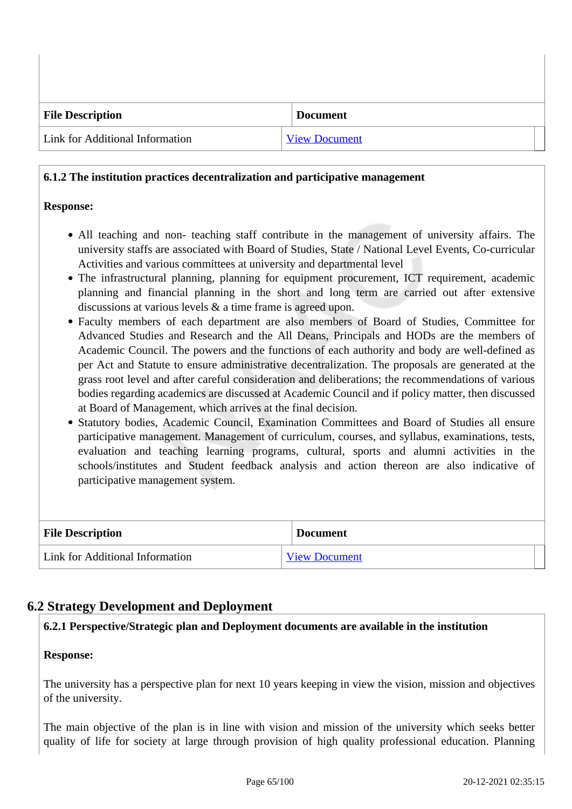| <b>File Description</b>                | <b>Document</b>      |
|----------------------------------------|----------------------|
| <b>Link for Additional Information</b> | <b>View Document</b> |

#### **6.1.2 The institution practices decentralization and participative management**

#### **Response:**

- All teaching and non- teaching staff contribute in the management of university affairs. The university staffs are associated with Board of Studies, State / National Level Events, Co-curricular Activities and various committees at university and departmental level
- The infrastructural planning, planning for equipment procurement, ICT requirement, academic planning and financial planning in the short and long term are carried out after extensive discussions at various levels & a time frame is agreed upon.
- Faculty members of each department are also members of Board of Studies, Committee for Advanced Studies and Research and the All Deans, Principals and HODs are the members of Academic Council. The powers and the functions of each authority and body are well-defined as per Act and Statute to ensure administrative decentralization. The proposals are generated at the grass root level and after careful consideration and deliberations; the recommendations of various bodies regarding academics are discussed at Academic Council and if policy matter, then discussed at Board of Management, which arrives at the final decision.
- Statutory bodies, Academic Council, Examination Committees and Board of Studies all ensure participative management. Management of curriculum, courses, and syllabus, examinations, tests, evaluation and teaching learning programs, cultural, sports and alumni activities in the schools/institutes and Student feedback analysis and action thereon are also indicative of participative management system.

| <b>File Description</b>         | <b>Document</b>      |
|---------------------------------|----------------------|
| Link for Additional Information | <b>View Document</b> |

## **6.2 Strategy Development and Deployment**

## **6.2.1 Perspective/Strategic plan and Deployment documents are available in the institution**

## **Response:**

The university has a perspective plan for next 10 years keeping in view the vision, mission and objectives of the university.

The main objective of the plan is in line with vision and mission of the university which seeks better quality of life for society at large through provision of high quality professional education. Planning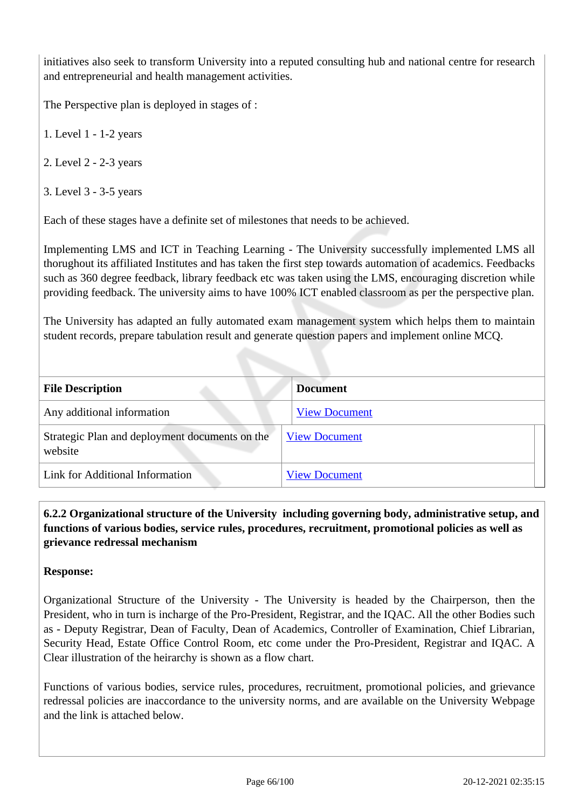initiatives also seek to transform University into a reputed consulting hub and national centre for research and entrepreneurial and health management activities.

The Perspective plan is deployed in stages of :

1. Level 1 - 1-2 years

2. Level 2 - 2-3 years

3. Level 3 - 3-5 years

Each of these stages have a definite set of milestones that needs to be achieved.

Implementing LMS and ICT in Teaching Learning - The University successfully implemented LMS all thorughout its affiliated Institutes and has taken the first step towards automation of academics. Feedbacks such as 360 degree feedback, library feedback etc was taken using the LMS, encouraging discretion while providing feedback. The university aims to have 100% ICT enabled classroom as per the perspective plan.

The University has adapted an fully automated exam management system which helps them to maintain student records, prepare tabulation result and generate question papers and implement online MCQ.

| <b>File Description</b>                                   | <b>Document</b>      |
|-----------------------------------------------------------|----------------------|
| Any additional information                                | <b>View Document</b> |
| Strategic Plan and deployment documents on the<br>website | <b>View Document</b> |
| Link for Additional Information                           | <b>View Document</b> |

 **6.2.2 Organizational structure of the University including governing body, administrative setup, and functions of various bodies, service rules, procedures, recruitment, promotional policies as well as grievance redressal mechanism**

## **Response:**

Organizational Structure of the University - The University is headed by the Chairperson, then the President, who in turn is incharge of the Pro-President, Registrar, and the IQAC. All the other Bodies such as - Deputy Registrar, Dean of Faculty, Dean of Academics, Controller of Examination, Chief Librarian, Security Head, Estate Office Control Room, etc come under the Pro-President, Registrar and IQAC. A Clear illustration of the heirarchy is shown as a flow chart.

Functions of various bodies, service rules, procedures, recruitment, promotional policies, and grievance redressal policies are inaccordance to the university norms, and are available on the University Webpage and the link is attached below.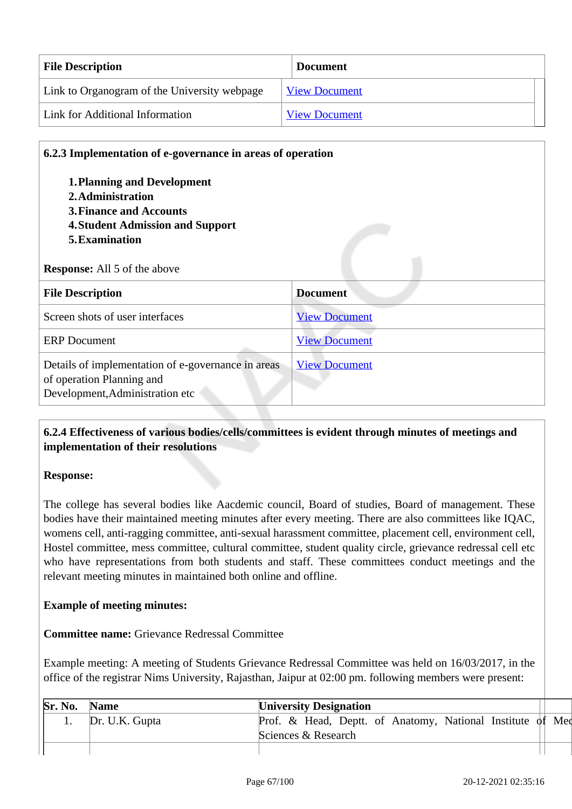| <b>File Description</b>                      | <b>Document</b>      |
|----------------------------------------------|----------------------|
| Link to Organogram of the University webpage | <b>View Document</b> |
| Link for Additional Information              | <b>View Document</b> |

| 6.2.3 Implementation of e-governance in areas of operation<br><b>1. Planning and Development</b><br>2. Administration<br><b>3. Finance and Accounts</b><br><b>4. Student Admission and Support</b> |                      |  |  |
|----------------------------------------------------------------------------------------------------------------------------------------------------------------------------------------------------|----------------------|--|--|
| 5. Examination                                                                                                                                                                                     |                      |  |  |
| <b>Response:</b> All 5 of the above                                                                                                                                                                |                      |  |  |
| <b>File Description</b>                                                                                                                                                                            | <b>Document</b>      |  |  |
| Screen shots of user interfaces                                                                                                                                                                    | <b>View Document</b> |  |  |
| <b>ERP</b> Document                                                                                                                                                                                | <b>View Document</b> |  |  |
| Details of implementation of e-governance in areas<br>of operation Planning and<br>Development, Administration etc                                                                                 | <b>View Document</b> |  |  |

## **6.2.4 Effectiveness of various bodies/cells/committees is evident through minutes of meetings and implementation of their resolutions**

## **Response:**

The college has several bodies like Aacdemic council, Board of studies, Board of management. These bodies have their maintained meeting minutes after every meeting. There are also committees like IQAC, womens cell, anti-ragging committee, anti-sexual harassment committee, placement cell, environment cell, Hostel committee, mess committee, cultural committee, student quality circle, grievance redressal cell etc who have representations from both students and staff. These committees conduct meetings and the relevant meeting minutes in maintained both online and offline.

## **Example of meeting minutes:**

## **Committee name:** Grievance Redressal Committee

Example meeting: A meeting of Students Grievance Redressal Committee was held on 16/03/2017, in the office of the registrar Nims University, Rajasthan, Jaipur at 02:00 pm. following members were present:

| Sr. No. | <b>Name</b>    | <b>University Designation</b>                              |  |
|---------|----------------|------------------------------------------------------------|--|
| 1.      | Dr. U.K. Gupta | Prof. & Head, Deptt. of Anatomy, National Institute of Med |  |
|         |                | Sciences & Research                                        |  |
|         |                |                                                            |  |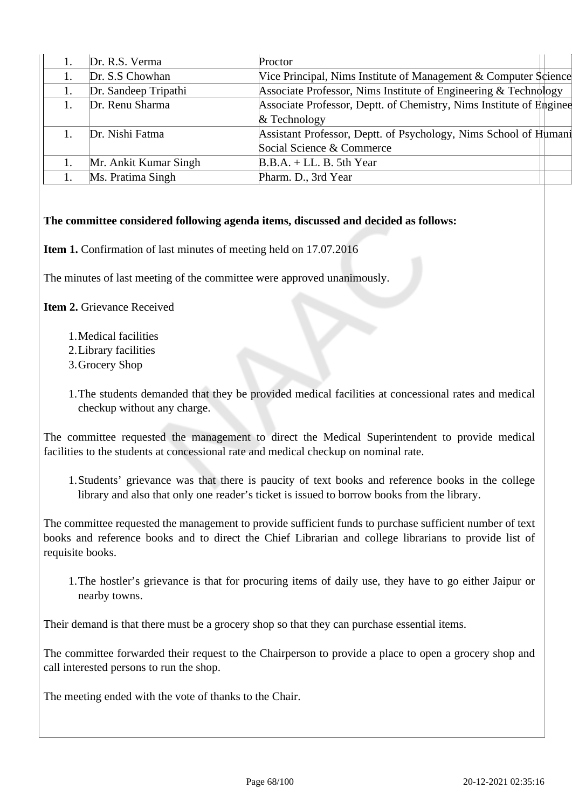| Dr. R.S. Verma        | Proctor                                                             |  |
|-----------------------|---------------------------------------------------------------------|--|
| Dr. S.S Chowhan       | Vice Principal, Nims Institute of Management & Computer Science     |  |
| Dr. Sandeep Tripathi  | Associate Professor, Nims Institute of Engineering & Technology     |  |
| Dr. Renu Sharma       | Associate Professor, Deptt. of Chemistry, Nims Institute of Enginee |  |
|                       | & Technology                                                        |  |
| Dr. Nishi Fatma       | Assistant Professor, Deptt. of Psychology, Nims School of Humani    |  |
|                       | Social Science & Commerce                                           |  |
| Mr. Ankit Kumar Singh | $B.B.A. + LL.B. 5th Year$                                           |  |
| Ms. Pratima Singh     | Pharm. D., 3rd Year                                                 |  |

## **The committee considered following agenda items, discussed and decided as follows:**

**Item 1.** Confirmation of last minutes of meeting held on 17.07.2016

The minutes of last meeting of the committee were approved unanimously.

**Item 2. Grievance Received** 

- 1.Medical facilities
- 2.Library facilities
- 3.Grocery Shop

1.The students demanded that they be provided medical facilities at concessional rates and medical checkup without any charge.

The committee requested the management to direct the Medical Superintendent to provide medical facilities to the students at concessional rate and medical checkup on nominal rate.

1.Students' grievance was that there is paucity of text books and reference books in the college library and also that only one reader's ticket is issued to borrow books from the library.

The committee requested the management to provide sufficient funds to purchase sufficient number of text books and reference books and to direct the Chief Librarian and college librarians to provide list of requisite books.

1.The hostler's grievance is that for procuring items of daily use, they have to go either Jaipur or nearby towns.

Their demand is that there must be a grocery shop so that they can purchase essential items.

The committee forwarded their request to the Chairperson to provide a place to open a grocery shop and call interested persons to run the shop.

The meeting ended with the vote of thanks to the Chair.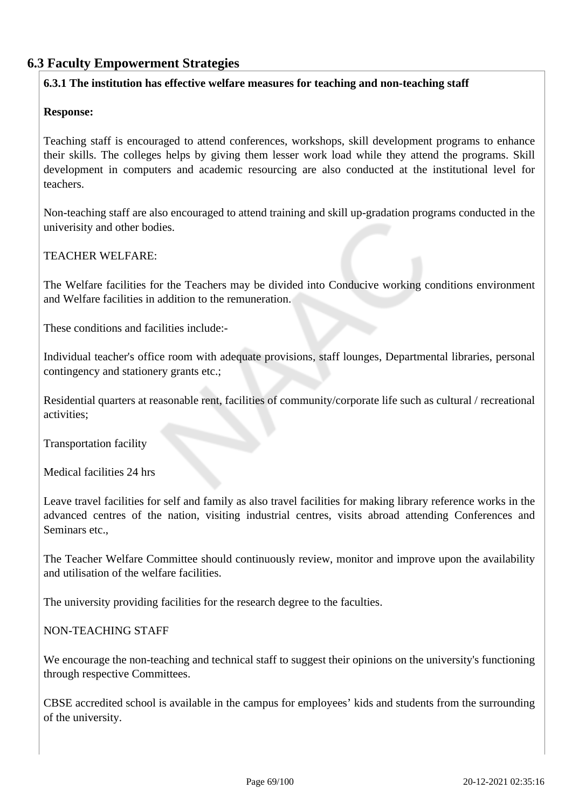# **6.3 Faculty Empowerment Strategies**

## **6.3.1 The institution has effective welfare measures for teaching and non-teaching staff**

### **Response:**

Teaching staff is encouraged to attend conferences, workshops, skill development programs to enhance their skills. The colleges helps by giving them lesser work load while they attend the programs. Skill development in computers and academic resourcing are also conducted at the institutional level for teachers.

Non-teaching staff are also encouraged to attend training and skill up-gradation programs conducted in the univerisity and other bodies.

TEACHER WELFARE:

The Welfare facilities for the Teachers may be divided into Conducive working conditions environment and Welfare facilities in addition to the remuneration.

These conditions and facilities include:-

Individual teacher's office room with adequate provisions, staff lounges, Departmental libraries, personal contingency and stationery grants etc.;

Residential quarters at reasonable rent, facilities of community/corporate life such as cultural / recreational activities;

Transportation facility

Medical facilities 24 hrs

Leave travel facilities for self and family as also travel facilities for making library reference works in the advanced centres of the nation, visiting industrial centres, visits abroad attending Conferences and Seminars etc.,

The Teacher Welfare Committee should continuously review, monitor and improve upon the availability and utilisation of the welfare facilities.

The university providing facilities for the research degree to the faculties.

NON-TEACHING STAFF

We encourage the non-teaching and technical staff to suggest their opinions on the university's functioning through respective Committees.

CBSE accredited school is available in the campus for employees' kids and students from the surrounding of the university.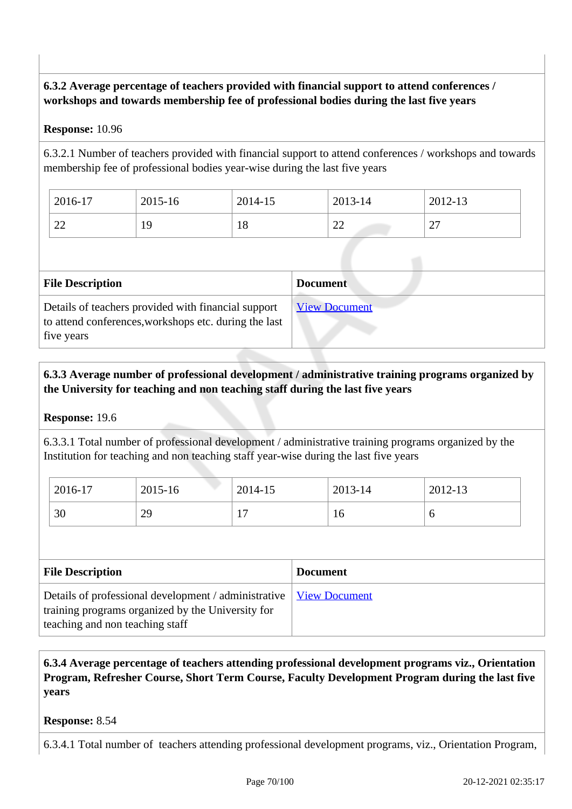## **6.3.2 Average percentage of teachers provided with financial support to attend conferences / workshops and towards membership fee of professional bodies during the last five years**

## **Response:** 10.96

6.3.2.1 Number of teachers provided with financial support to attend conferences / workshops and towards membership fee of professional bodies year-wise during the last five years

| 2016-17      | 2015-16 | 2014-15 | 2013-14      | 2012-13     |
|--------------|---------|---------|--------------|-------------|
| $\cap$<br>∠∠ | 19      | 18      | $\sim$<br>∠∠ | $\sim$<br>∼ |

| <b>File Description</b>                                                                                                    | <b>Document</b>      |
|----------------------------------------------------------------------------------------------------------------------------|----------------------|
| Details of teachers provided with financial support<br>to attend conferences, workshops etc. during the last<br>five years | <b>View Document</b> |

## **6.3.3 Average number of professional development / administrative training programs organized by the University for teaching and non teaching staff during the last five years**

## **Response:** 19.6

6.3.3.1 Total number of professional development / administrative training programs organized by the Institution for teaching and non teaching staff year-wise during the last five years

| 2016-17 | 2015-16  | 2014-15            | 2013-14 | 2012-13 |
|---------|----------|--------------------|---------|---------|
| 30      | 20<br>42 | 17<br>$\mathbf{r}$ | 10      | υ       |

| <b>File Description</b>                                                                                                                                             | <b>Document</b> |
|---------------------------------------------------------------------------------------------------------------------------------------------------------------------|-----------------|
| Details of professional development / administrative   <u>View Document</u><br>training programs organized by the University for<br>teaching and non teaching staff |                 |

 **6.3.4 Average percentage of teachers attending professional development programs viz., Orientation Program, Refresher Course, Short Term Course, Faculty Development Program during the last five years**

## **Response:** 8.54

6.3.4.1 Total number of teachers attending professional development programs, viz., Orientation Program,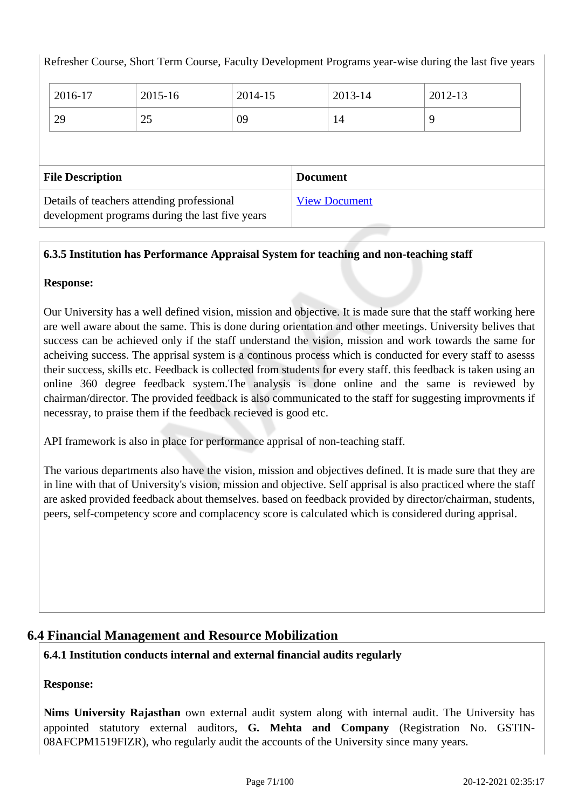## Refresher Course, Short Term Course, Faculty Development Programs year-wise during the last five years

| 2016-17                 | 2015-16 | 2014-15 |                 | 2013-14 | 2012-13 |  |
|-------------------------|---------|---------|-----------------|---------|---------|--|
| 29                      | 25      | 09      |                 | 14      | 9       |  |
|                         |         |         |                 |         |         |  |
|                         |         |         |                 |         |         |  |
| <b>File Description</b> |         |         | <b>Document</b> |         |         |  |

## **6.3.5 Institution has Performance Appraisal System for teaching and non-teaching staff**

## **Response:**

Our University has a well defined vision, mission and objective. It is made sure that the staff working here are well aware about the same. This is done during orientation and other meetings. University belives that success can be achieved only if the staff understand the vision, mission and work towards the same for acheiving success. The apprisal system is a continous process which is conducted for every staff to asesss their success, skills etc. Feedback is collected from students for every staff. this feedback is taken using an online 360 degree feedback system.The analysis is done online and the same is reviewed by chairman/director. The provided feedback is also communicated to the staff for suggesting improvments if necessray, to praise them if the feedback recieved is good etc.

API framework is also in place for performance apprisal of non-teaching staff.

The various departments also have the vision, mission and objectives defined. It is made sure that they are in line with that of University's vision, mission and objective. Self apprisal is also practiced where the staff are asked provided feedback about themselves. based on feedback provided by director/chairman, students, peers, self-competency score and complacency score is calculated which is considered during apprisal.

## **6.4 Financial Management and Resource Mobilization**

## **6.4.1 Institution conducts internal and external financial audits regularly**

#### **Response:**

**Nims University Rajasthan** own external audit system along with internal audit. The University has appointed statutory external auditors, **G. Mehta and Company** (Registration No. GSTIN-08AFCPM1519FIZR), who regularly audit the accounts of the University since many years.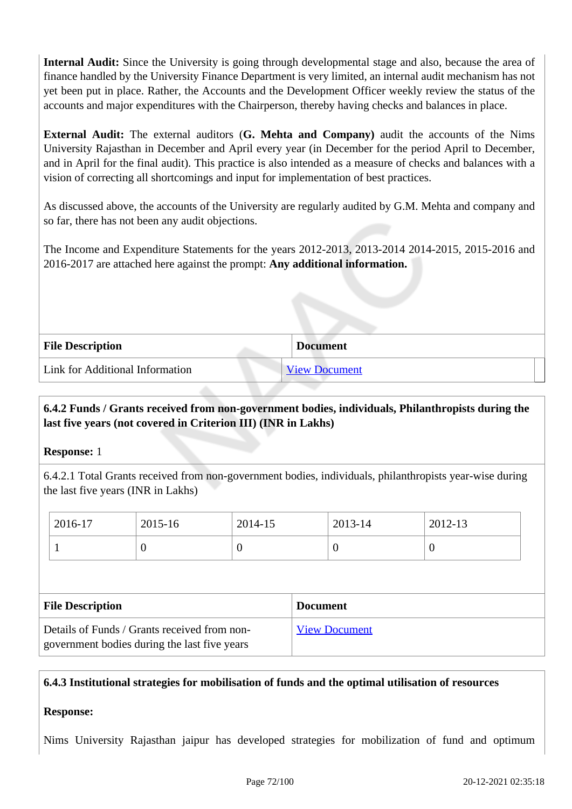**Internal Audit:** Since the University is going through developmental stage and also, because the area of finance handled by the University Finance Department is very limited, an internal audit mechanism has not yet been put in place. Rather, the Accounts and the Development Officer weekly review the status of the accounts and major expenditures with the Chairperson, thereby having checks and balances in place.

**External Audit:** The external auditors (**G. Mehta and Company)** audit the accounts of the Nims University Rajasthan in December and April every year (in December for the period April to December, and in April for the final audit). This practice is also intended as a measure of checks and balances with a vision of correcting all shortcomings and input for implementation of best practices.

As discussed above, the accounts of the University are regularly audited by G.M. Mehta and company and so far, there has not been any audit objections.

The Income and Expenditure Statements for the years 2012-2013, 2013-2014 2014-2015, 2015-2016 and 2016-2017 are attached here against the prompt: **Any additional information.**

| <b>File Description</b>         | <b>Document</b>      |
|---------------------------------|----------------------|
| Link for Additional Information | <b>View Document</b> |

## **6.4.2 Funds / Grants received from non-government bodies, individuals, Philanthropists during the last five years (not covered in Criterion III) (INR in Lakhs)**

## **Response:** 1

6.4.2.1 Total Grants received from non-government bodies, individuals, philanthropists year-wise during the last five years (INR in Lakhs)

| 2016-17                                                                                      | 2015-16  | 2014-15              |                 | 2013-14  | 2012-13  |
|----------------------------------------------------------------------------------------------|----------|----------------------|-----------------|----------|----------|
|                                                                                              | $\theta$ | 0                    |                 | $\theta$ | $\theta$ |
|                                                                                              |          |                      |                 |          |          |
| <b>File Description</b>                                                                      |          |                      | <b>Document</b> |          |          |
| Details of Funds / Grants received from non-<br>government bodies during the last five years |          | <b>View Document</b> |                 |          |          |

## **6.4.3 Institutional strategies for mobilisation of funds and the optimal utilisation of resources**

#### **Response:**

Nims University Rajasthan jaipur has developed strategies for mobilization of fund and optimum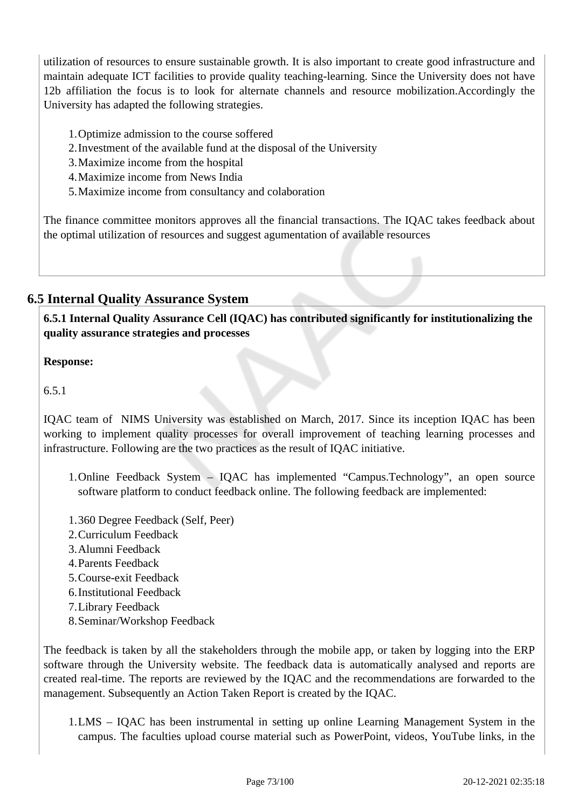utilization of resources to ensure sustainable growth. It is also important to create good infrastructure and maintain adequate ICT facilities to provide quality teaching-learning. Since the University does not have 12b affiliation the focus is to look for alternate channels and resource mobilization.Accordingly the University has adapted the following strategies.

- 1.Optimize admission to the course soffered
- 2.Investment of the available fund at the disposal of the University
- 3.Maximize income from the hospital
- 4.Maximize income from News India
- 5.Maximize income from consultancy and colaboration

The finance committee monitors approves all the financial transactions. The IQAC takes feedback about the optimal utilization of resources and suggest agumentation of available resources

## **6.5 Internal Quality Assurance System**

 **6.5.1 Internal Quality Assurance Cell (IQAC) has contributed significantly for institutionalizing the quality assurance strategies and processes**

#### **Response:**

6.5.1

IQAC team of NIMS University was established on March, 2017. Since its inception IQAC has been working to implement quality processes for overall improvement of teaching learning processes and infrastructure. Following are the two practices as the result of IQAC initiative.

- 1.Online Feedback System IQAC has implemented "Campus.Technology", an open source software platform to conduct feedback online. The following feedback are implemented:
- 1.360 Degree Feedback (Self, Peer)
- 2.Curriculum Feedback
- 3.Alumni Feedback
- 4.Parents Feedback
- 5.Course-exit Feedback
- 6.Institutional Feedback
- 7.Library Feedback
- 8.Seminar/Workshop Feedback

The feedback is taken by all the stakeholders through the mobile app, or taken by logging into the ERP software through the University website. The feedback data is automatically analysed and reports are created real-time. The reports are reviewed by the IQAC and the recommendations are forwarded to the management. Subsequently an Action Taken Report is created by the IQAC.

1.LMS – IQAC has been instrumental in setting up online Learning Management System in the campus. The faculties upload course material such as PowerPoint, videos, YouTube links, in the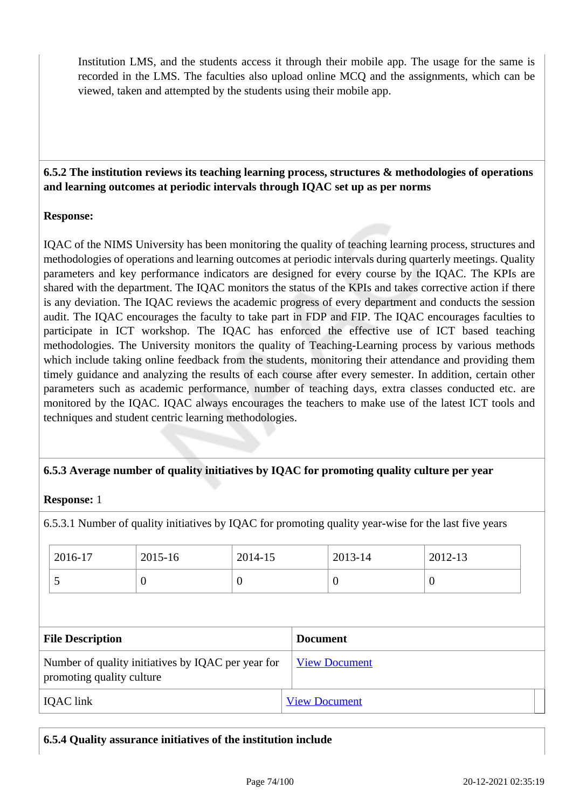Institution LMS, and the students access it through their mobile app. The usage for the same is recorded in the LMS. The faculties also upload online MCQ and the assignments, which can be viewed, taken and attempted by the students using their mobile app.

 **6.5.2 The institution reviews its teaching learning process, structures & methodologies of operations and learning outcomes at periodic intervals through IQAC set up as per norms**

## **Response:**

IQAC of the NIMS University has been monitoring the quality of teaching learning process, structures and methodologies of operations and learning outcomes at periodic intervals during quarterly meetings. Quality parameters and key performance indicators are designed for every course by the IQAC. The KPIs are shared with the department. The IQAC monitors the status of the KPIs and takes corrective action if there is any deviation. The IQAC reviews the academic progress of every department and conducts the session audit. The IQAC encourages the faculty to take part in FDP and FIP. The IQAC encourages faculties to participate in ICT workshop. The IQAC has enforced the effective use of ICT based teaching methodologies. The University monitors the quality of Teaching-Learning process by various methods which include taking online feedback from the students, monitoring their attendance and providing them timely guidance and analyzing the results of each course after every semester. In addition, certain other parameters such as academic performance, number of teaching days, extra classes conducted etc. are monitored by the IQAC. IQAC always encourages the teachers to make use of the latest ICT tools and techniques and student centric learning methodologies.

## **6.5.3 Average number of quality initiatives by IQAC for promoting quality culture per year**

#### **Response:** 1

6.5.3.1 Number of quality initiatives by IQAC for promoting quality year-wise for the last five years

|                                                                                 | 2016-17 | 2015-16              | 2014-15         |                      | 2013-14        | 2012-13  |  |
|---------------------------------------------------------------------------------|---------|----------------------|-----------------|----------------------|----------------|----------|--|
|                                                                                 | 5       | $\boldsymbol{0}$     | $\overline{0}$  |                      | $\overline{0}$ | $\theta$ |  |
|                                                                                 |         |                      |                 |                      |                |          |  |
| <b>File Description</b>                                                         |         |                      | <b>Document</b> |                      |                |          |  |
| Number of quality initiatives by IQAC per year for<br>promoting quality culture |         |                      |                 | <b>View Document</b> |                |          |  |
| <b>IQAC</b> link                                                                |         | <b>View Document</b> |                 |                      |                |          |  |

## **6.5.4 Quality assurance initiatives of the institution include**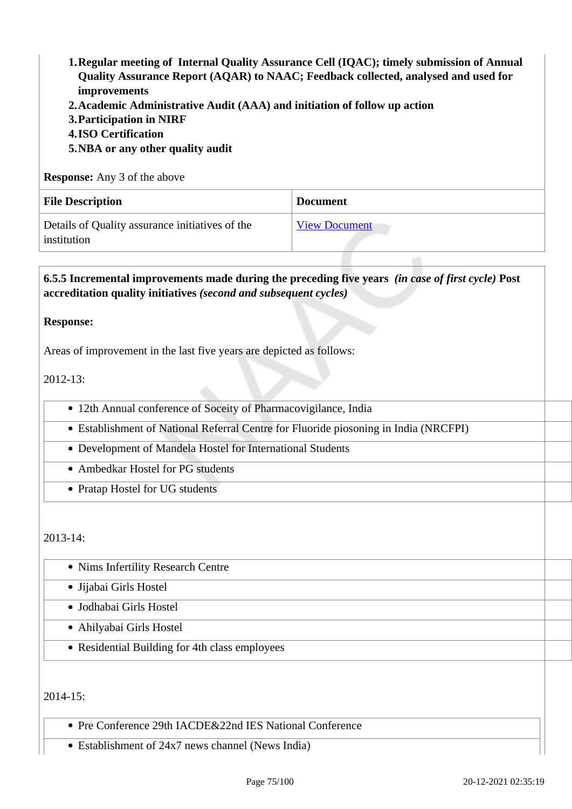## **1.Regular meeting of Internal Quality Assurance Cell (IQAC); timely submission of Annual Quality Assurance Report (AQAR) to NAAC; Feedback collected, analysed and used for improvements**

- **2.Academic Administrative Audit (AAA) and initiation of follow up action**
- **3.Participation in NIRF**
- **4.ISO Certification**

**Response:** Any 3 of the above

**5.NBA or any other quality audit**

| <b>Response:</b> Any 3 or the above                            |                      |  |  |
|----------------------------------------------------------------|----------------------|--|--|
| <b>File Description</b>                                        | <b>Document</b>      |  |  |
| Details of Quality assurance initiatives of the<br>institution | <b>View Document</b> |  |  |

 **6.5.5 Incremental improvements made during the preceding five years** *(in case of first cycle)* **Post accreditation quality initiatives** *(second and subsequent cycles)*

**Response:** 

Areas of improvement in the last five years are depicted as follows:

2012-13:

- 12th Annual conference of Soceity of Pharmacovigilance, India
- Establishment of National Referral Centre for Fluoride piosoning in India (NRCFPI)
- Development of Mandela Hostel for International Students
- Ambedkar Hostel for PG students
- Pratap Hostel for UG students

2013-14:

Nims Infertility Research Centre

Jijabai Girls Hostel

- Jodhabai Girls Hostel
- Ahilyabai Girls Hostel
- Residential Building for 4th class employees

 $2014 - 15$ 

- Pre Conference 29th IACDE&22nd IES National Conference
- Establishment of 24x7 news channel (News India)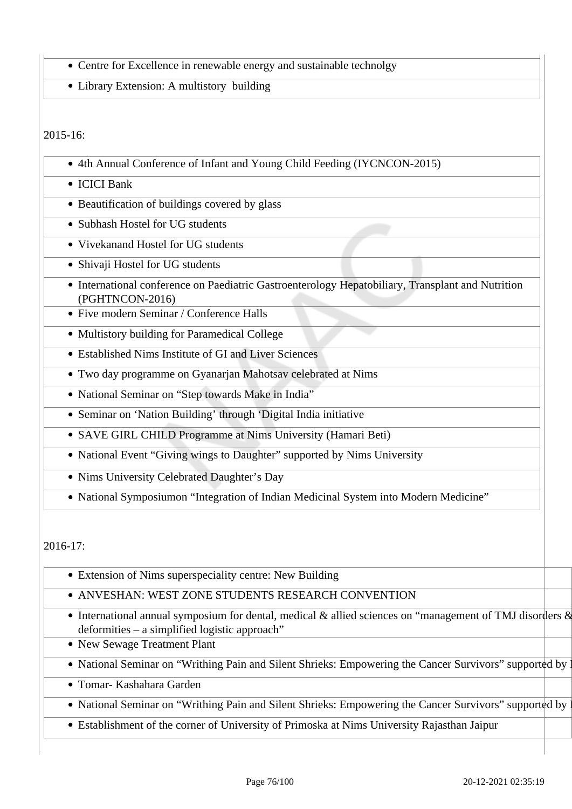- Centre for Excellence in renewable energy and sustainable technolgy
- Library Extension: A multistory building

2015-16:

- 4th Annual Conference of Infant and Young Child Feeding (IYCNCON-2015)
- ICICI Bank
- Beautification of buildings covered by glass
- Subhash Hostel for UG students
- Vivekanand Hostel for UG students
- Shivaji Hostel for UG students
- International conference on Paediatric Gastroenterology Hepatobiliary, Transplant and Nutrition (PGHTNCON-2016)
- Five modern Seminar / Conference Halls
- Multistory building for Paramedical College
- Established Nims Institute of GI and Liver Sciences
- Two day programme on Gyanarjan Mahotsav celebrated at Nims
- National Seminar on "Step towards Make in India"
- Seminar on 'Nation Building' through 'Digital India initiative
- SAVE GIRL CHILD Programme at Nims University (Hamari Beti)
- National Event "Giving wings to Daughter" supported by Nims University
- Nims University Celebrated Daughter's Day
- National Symposiumon "Integration of Indian Medicinal System into Modern Medicine"

2016-17:

- Extension of Nims superspeciality centre: New Building
- ANVESHAN: WEST ZONE STUDENTS RESEARCH CONVENTION
- International annual symposium for dental, medical & allied sciences on "management of TMJ disorders & deformities – a simplified logistic approach"
- New Sewage Treatment Plant
- National Seminar on "Writhing Pain and Silent Shrieks: Empowering the Cancer Survivors" supported by
- Tomar- Kashahara Garden
- National Seminar on "Writhing Pain and Silent Shrieks: Empowering the Cancer Survivors" supported by
- Establishment of the corner of University of Primoska at Nims University Rajasthan Jaipur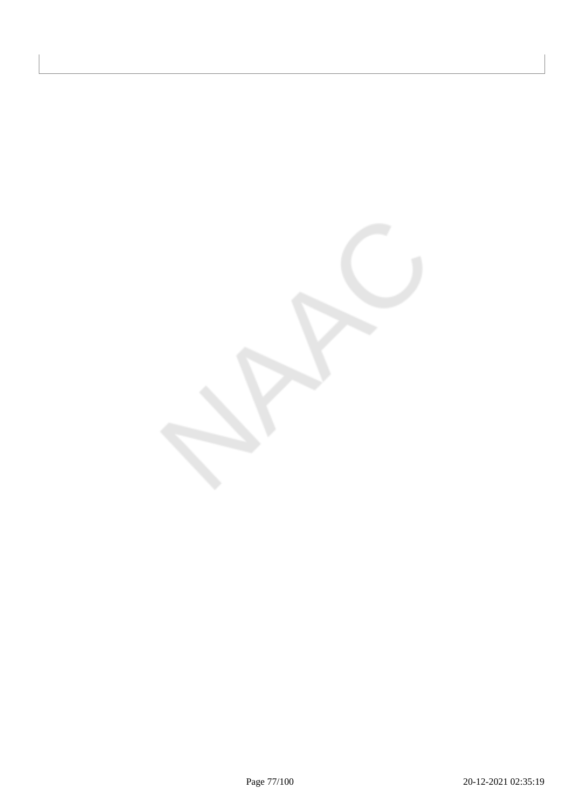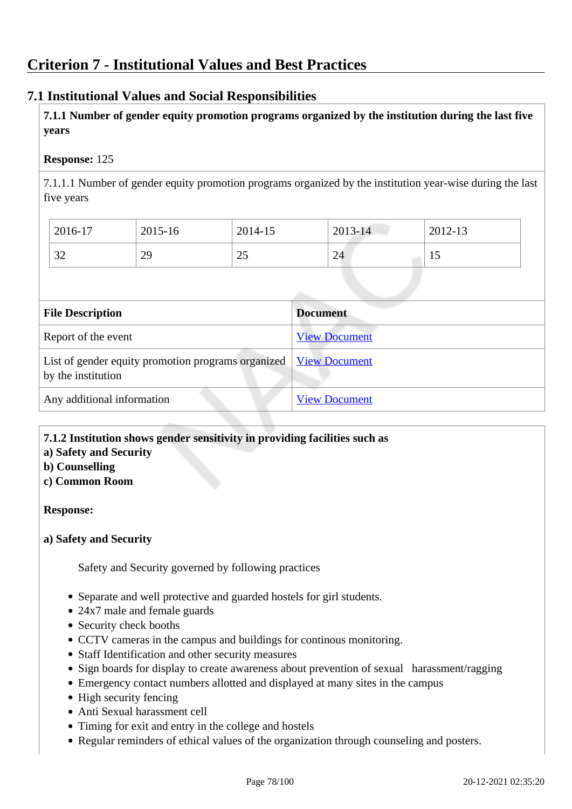## **Criterion 7 - Institutional Values and Best Practices**

## **7.1 Institutional Values and Social Responsibilities**

 **7.1.1 Number of gender equity promotion programs organized by the institution during the last five years** 

#### **Response:** 125

7.1.1.1 Number of gender equity promotion programs organized by the institution year-wise during the last five years

| 2016-17       | 2015-16 | 2014-15        | 2013-14 | 2012-13 |
|---------------|---------|----------------|---------|---------|
| $\cap$<br>ے ر | 29      | $\Omega$<br>رے | 24      | . L.J   |

| <b>File Description</b>                                                                  | <b>Document</b>      |
|------------------------------------------------------------------------------------------|----------------------|
| Report of the event                                                                      | <b>View Document</b> |
| List of gender equity promotion programs organized   View Document<br>by the institution |                      |
| Any additional information                                                               | <b>View Document</b> |

#### **7.1.2 Institution shows gender sensitivity in providing facilities such as**

**a) Safety and Security**

- **b) Counselling**
- **c) Common Room**

**Response:** 

#### **a) Safety and Security**

Safety and Security governed by following practices

- Separate and well protective and guarded hostels for girl students.
- 24x7 male and female guards
- Security check booths
- CCTV cameras in the campus and buildings for continous monitoring.
- Staff Identification and other security measures
- Sign boards for display to create awareness about prevention of sexual harassment/ragging
- Emergency contact numbers allotted and displayed at many sites in the campus
- High security fencing
- Anti Sexual harassment cell
- Timing for exit and entry in the college and hostels
- Regular reminders of ethical values of the organization through counseling and posters.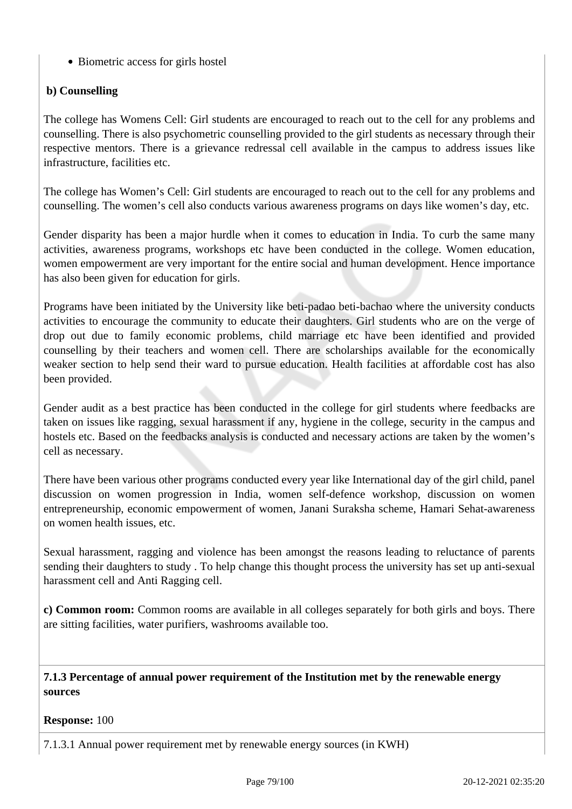• Biometric access for girls hostel

## **b) Counselling**

The college has Womens Cell: Girl students are encouraged to reach out to the cell for any problems and counselling. There is also psychometric counselling provided to the girl students as necessary through their respective mentors. There is a grievance redressal cell available in the campus to address issues like infrastructure, facilities etc.

The college has Women's Cell: Girl students are encouraged to reach out to the cell for any problems and counselling. The women's cell also conducts various awareness programs on days like women's day, etc.

Gender disparity has been a major hurdle when it comes to education in India. To curb the same many activities, awareness programs, workshops etc have been conducted in the college. Women education, women empowerment are very important for the entire social and human development. Hence importance has also been given for education for girls.

Programs have been initiated by the University like beti-padao beti-bachao where the university conducts activities to encourage the community to educate their daughters. Girl students who are on the verge of drop out due to family economic problems, child marriage etc have been identified and provided counselling by their teachers and women cell. There are scholarships available for the economically weaker section to help send their ward to pursue education. Health facilities at affordable cost has also been provided.

Gender audit as a best practice has been conducted in the college for girl students where feedbacks are taken on issues like ragging, sexual harassment if any, hygiene in the college, security in the campus and hostels etc. Based on the feedbacks analysis is conducted and necessary actions are taken by the women's cell as necessary.

There have been various other programs conducted every year like International day of the girl child, panel discussion on women progression in India, women self-defence workshop, discussion on women entrepreneurship, economic empowerment of women, Janani Suraksha scheme, Hamari Sehat-awareness on women health issues, etc.

Sexual harassment, ragging and violence has been amongst the reasons leading to reluctance of parents sending their daughters to study . To help change this thought process the university has set up anti-sexual harassment cell and Anti Ragging cell.

**c) Common room:** Common rooms are available in all colleges separately for both girls and boys. There are sitting facilities, water purifiers, washrooms available too.

 **7.1.3 Percentage of annual power requirement of the Institution met by the renewable energy sources**

#### **Response:** 100

7.1.3.1 Annual power requirement met by renewable energy sources (in KWH)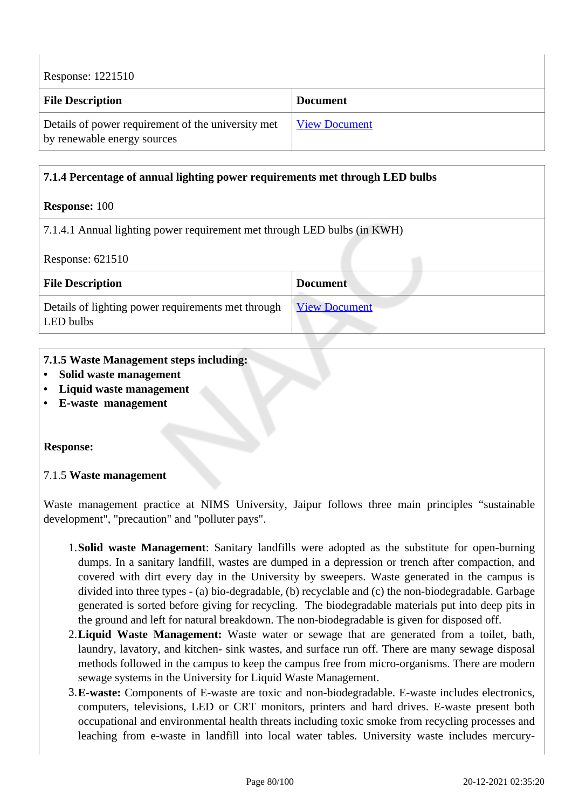| Response: 1221510                                                                 |                      |  |  |  |
|-----------------------------------------------------------------------------------|----------------------|--|--|--|
| <b>File Description</b>                                                           | <b>Document</b>      |  |  |  |
| Details of power requirement of the university met<br>by renewable energy sources | <b>View Document</b> |  |  |  |

#### **7.1.4 Percentage of annual lighting power requirements met through LED bulbs**

#### **Response:** 100

 $\overline{\phantom{a}}$ 

7.1.4.1 Annual lighting power requirement met through LED bulbs (in KWH)

Response: 621510

| <b>File Description</b>                                                       | <b>Document</b> |  |
|-------------------------------------------------------------------------------|-----------------|--|
| Details of lighting power requirements met through View Document<br>LED bulbs |                 |  |

#### **7.1.5 Waste Management steps including:**

- **Solid waste management**
- **Liquid waste management**
- **E-waste management**

#### **Response:**

#### 7.1.5 **Waste management**

Waste management practice at NIMS University, Jaipur follows three main principles "sustainable development", "precaution" and "polluter pays".

- 1.**Solid waste Management**: Sanitary landfills were adopted as the substitute for open-burning dumps. In a sanitary landfill, wastes are dumped in a depression or trench after compaction, and covered with dirt every day in the University by sweepers. Waste generated in the campus is divided into three types - (a) bio-degradable, (b) recyclable and (c) the non-biodegradable. Garbage generated is sorted before giving for recycling. The biodegradable materials put into deep pits in the ground and left for natural breakdown. The non-biodegradable is given for disposed off.
- 2.**Liquid Waste Management:** Waste water or sewage that are generated from a toilet, bath, laundry, lavatory, and kitchen- sink wastes, and surface run off. There are many sewage disposal methods followed in the campus to keep the campus free from micro-organisms. There are modern sewage systems in the University for Liquid Waste Management.
- 3.**E-waste:** Components of E-waste are toxic and non-biodegradable. E-waste includes electronics, computers, televisions, LED or CRT monitors, printers and hard drives. E-waste present both occupational and environmental health threats including toxic smoke from recycling processes and leaching from e-waste in landfill into local water tables. University waste includes mercury-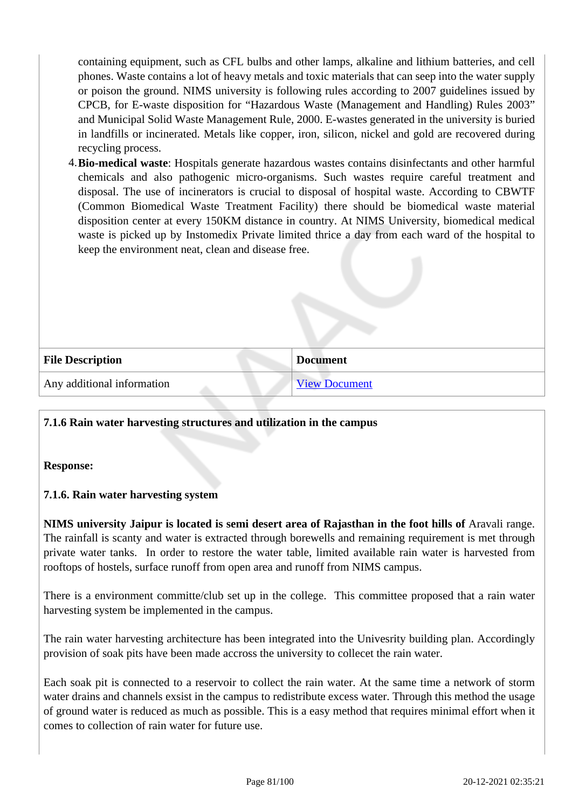containing equipment, such as CFL bulbs and other lamps, alkaline and lithium batteries, and cell phones. Waste contains a lot of heavy metals and toxic materials that can seep into the water supply or poison the ground. NIMS university is following rules according to 2007 guidelines issued by CPCB, for E-waste disposition for "Hazardous Waste (Management and Handling) Rules 2003" and Municipal Solid Waste Management Rule, 2000. E-wastes generated in the university is buried in landfills or incinerated. Metals like copper, iron, silicon, nickel and gold are recovered during recycling process.

4.**Bio-medical waste**: Hospitals generate hazardous wastes contains disinfectants and other harmful chemicals and also pathogenic micro-organisms. Such wastes require careful treatment and disposal. The use of incinerators is crucial to disposal of hospital waste. According to CBWTF (Common Biomedical Waste Treatment Facility) there should be biomedical waste material disposition center at every 150KM distance in country. At NIMS University, biomedical medical waste is picked up by Instomedix Private limited thrice a day from each ward of the hospital to keep the environment neat, clean and disease free.

| <b>File Description</b>    | <b>Document</b>      |
|----------------------------|----------------------|
| Any additional information | <b>View Document</b> |

#### **7.1.6 Rain water harvesting structures and utilization in the campus**

**Response:** 

#### **7.1.6. Rain water harvesting system**

**NIMS university Jaipur is located is semi desert area of Rajasthan in the foot hills of Aravali range.** The rainfall is scanty and water is extracted through borewells and remaining requirement is met through private water tanks. In order to restore the water table, limited available rain water is harvested from rooftops of hostels, surface runoff from open area and runoff from NIMS campus.

There is a environment committe/club set up in the college. This committee proposed that a rain water harvesting system be implemented in the campus.

The rain water harvesting architecture has been integrated into the Univesrity building plan. Accordingly provision of soak pits have been made accross the university to collecet the rain water.

Each soak pit is connected to a reservoir to collect the rain water. At the same time a network of storm water drains and channels exsist in the campus to redistribute excess water. Through this method the usage of ground water is reduced as much as possible. This is a easy method that requires minimal effort when it comes to collection of rain water for future use.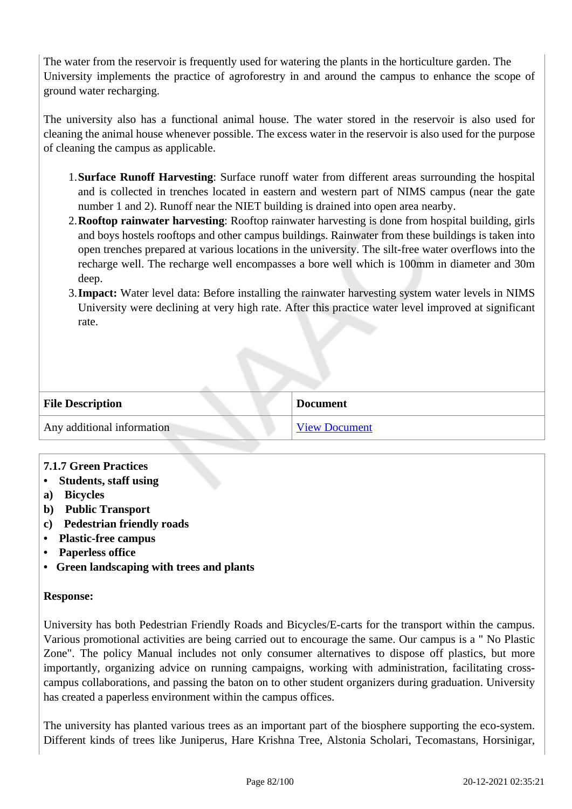The water from the reservoir is frequently used for watering the plants in the horticulture garden. The University implements the practice of agroforestry in and around the campus to enhance the scope of ground water recharging.

The university also has a functional animal house. The water stored in the reservoir is also used for cleaning the animal house whenever possible. The excess water in the reservoir is also used for the purpose of cleaning the campus as applicable.

- 1.**Surface Runoff Harvesting**: Surface runoff water from different areas surrounding the hospital and is collected in trenches located in eastern and western part of NIMS campus (near the gate number 1 and 2). Runoff near the NIET building is drained into open area nearby.
- 2.**Rooftop rainwater harvesting**: Rooftop rainwater harvesting is done from hospital building, girls and boys hostels rooftops and other campus buildings. Rainwater from these buildings is taken into open trenches prepared at various locations in the university. The silt-free water overflows into the recharge well. The recharge well encompasses a bore well which is 100mm in diameter and 30m deep.
- 3.**Impact:** Water level data: Before installing the rainwater harvesting system water levels in NIMS University were declining at very high rate. After this practice water level improved at significant rate.

| <b>File Description</b>    | <b>Document</b> |
|----------------------------|-----------------|
| Any additional information | View Document   |

#### **7.1.7 Green Practices**

- **Students, staff using**
- **a) Bicycles**
- **b) Public Transport**
- **c) Pedestrian friendly roads**
- **Plastic-free campus**
- **Paperless office**
- **Green landscaping with trees and plants**

#### **Response:**

University has both Pedestrian Friendly Roads and Bicycles/E-carts for the transport within the campus. Various promotional activities are being carried out to encourage the same. Our campus is a " No Plastic Zone". The policy Manual includes not only consumer alternatives to dispose off plastics, but more importantly, organizing advice on running campaigns, working with administration, facilitating crosscampus collaborations, and passing the baton on to other student organizers during graduation. University has created a paperless environment within the campus offices.

The university has planted various trees as an important part of the biosphere supporting the eco-system. Different kinds of trees like Juniperus, Hare Krishna Tree, Alstonia Scholari, Tecomastans, Horsinigar,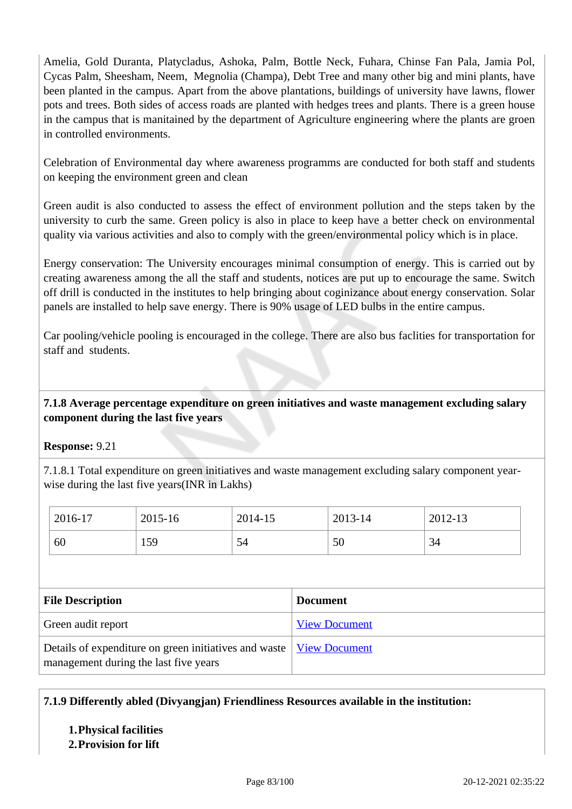Amelia, Gold Duranta, Platycladus, Ashoka, Palm, Bottle Neck, Fuhara, Chinse Fan Pala, Jamia Pol, Cycas Palm, Sheesham, Neem, Megnolia (Champa), Debt Tree and many other big and mini plants, have been planted in the campus. Apart from the above plantations, buildings of university have lawns, flower pots and trees. Both sides of access roads are planted with hedges trees and plants. There is a green house in the campus that is manitained by the department of Agriculture engineering where the plants are groen in controlled environments.

Celebration of Environmental day where awareness programms are conducted for both staff and students on keeping the environment green and clean

Green audit is also conducted to assess the effect of environment pollution and the steps taken by the university to curb the same. Green policy is also in place to keep have a better check on environmental quality via various activities and also to comply with the green/environmental policy which is in place.

Energy conservation: The University encourages minimal consumption of energy. This is carried out by creating awareness among the all the staff and students, notices are put up to encourage the same. Switch off drill is conducted in the institutes to help bringing about coginizance about energy conservation. Solar panels are installed to help save energy. There is 90% usage of LED bulbs in the entire campus.

Car pooling/vehicle pooling is encouraged in the college. There are also bus faclities for transportation for staff and students.

## **7.1.8 Average percentage expenditure on green initiatives and waste management excluding salary component during the last five years**

#### **Response:** 9.21

7.1.8.1 Total expenditure on green initiatives and waste management excluding salary component yearwise during the last five years(INR in Lakhs)

| 2016-17 | 2015-16 | 2014-15 | 2013-14 | 2012-13 |
|---------|---------|---------|---------|---------|
| 60      | 159     | 54      | 50      | 34      |

| <b>File Description</b>                                                                                        | <b>Document</b>      |
|----------------------------------------------------------------------------------------------------------------|----------------------|
| Green audit report                                                                                             | <b>View Document</b> |
| Details of expenditure on green initiatives and waste   View Document<br>management during the last five years |                      |

#### **7.1.9 Differently abled (Divyangjan) Friendliness Resources available in the institution:**

#### **1.Physical facilities**

#### **2.Provision for lift**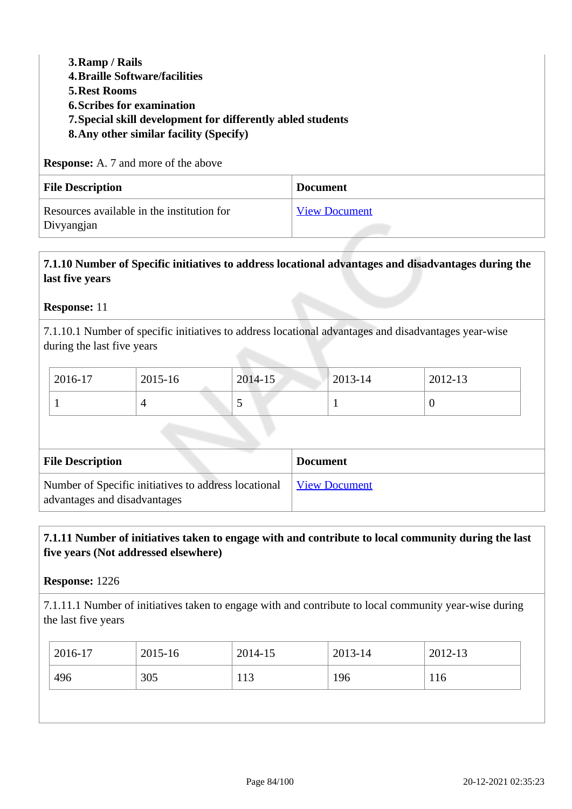| 3. Ramp / Rails<br><b>4. Braille Software/facilities</b><br><b>5. Rest Rooms</b><br><b>6. Scribes for examination</b><br>7. Special skill development for differently abled students<br><b>8. Any other similar facility (Specify)</b><br><b>Response:</b> A. 7 and more of the above |                      |  |
|---------------------------------------------------------------------------------------------------------------------------------------------------------------------------------------------------------------------------------------------------------------------------------------|----------------------|--|
| <b>File Description</b>                                                                                                                                                                                                                                                               | <b>Document</b>      |  |
| Resources available in the institution for<br>Divyangjan                                                                                                                                                                                                                              | <b>View Document</b> |  |

## **7.1.10 Number of Specific initiatives to address locational advantages and disadvantages during the last five years**

#### **Response:** 11

7.1.10.1 Number of specific initiatives to address locational advantages and disadvantages year-wise during the last five years

| 2016-17 | 2015-16 | 2014-15 | $2013 - 14$ | 2012-13 |
|---------|---------|---------|-------------|---------|
|         |         |         |             |         |

| <b>File Description</b>                                                              | <b>Document</b> |
|--------------------------------------------------------------------------------------|-----------------|
| Number of Specific initiatives to address locational<br>advantages and disadvantages | View Document   |

#### **7.1.11 Number of initiatives taken to engage with and contribute to local community during the last five years (Not addressed elsewhere)**

**Response:** 1226

7.1.11.1 Number of initiatives taken to engage with and contribute to local community year-wise during the last five years

| 2016-17<br>2015-16 | 2014-15 | 2013-14 | 2012-13 |
|--------------------|---------|---------|---------|
| 496<br>305         | 113     | 196     | 116     |
|                    |         |         |         |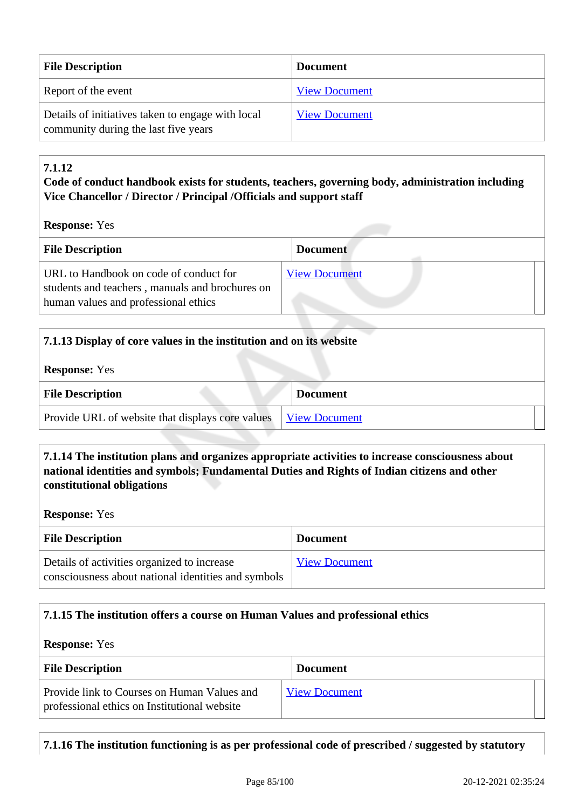| <b>File Description</b>                                                                   | <b>Document</b>      |
|-------------------------------------------------------------------------------------------|----------------------|
| Report of the event                                                                       | <b>View Document</b> |
| Details of initiatives taken to engage with local<br>community during the last five years | <b>View Document</b> |

## **7.1.12**

## **Code of conduct handbook exists for students, teachers, governing body, administration including Vice Chancellor / Director / Principal /Officials and support staff**

**Response:** Yes

| <b>File Description</b>                                                                                                           | <b>Document</b>      |
|-----------------------------------------------------------------------------------------------------------------------------------|----------------------|
| URL to Handbook on code of conduct for<br>students and teachers, manuals and brochures on<br>human values and professional ethics | <b>View Document</b> |

| 7.1.13 Display of core values in the institution and on its website |                      |
|---------------------------------------------------------------------|----------------------|
| <b>Response:</b> Yes                                                |                      |
| <b>File Description</b>                                             | <b>Document</b>      |
| Provide URL of website that displays core values                    | <b>View Document</b> |

## **7.1.14 The institution plans and organizes appropriate activities to increase consciousness about national identities and symbols; Fundamental Duties and Rights of Indian citizens and other constitutional obligations**

**Response:** Yes

| <b>File Description</b>                                                                            | <b>Document</b>      |
|----------------------------------------------------------------------------------------------------|----------------------|
| Details of activities organized to increase<br>consciousness about national identities and symbols | <b>View Document</b> |

#### **7.1.15 The institution offers a course on Human Values and professional ethics**

#### **Response:** Yes

| <b>File Description</b>                                                                     | <b>Document</b>      |  |
|---------------------------------------------------------------------------------------------|----------------------|--|
| Provide link to Courses on Human Values and<br>professional ethics on Institutional website | <b>View Document</b> |  |

**7.1.16 The institution functioning is as per professional code of prescribed / suggested by statutory**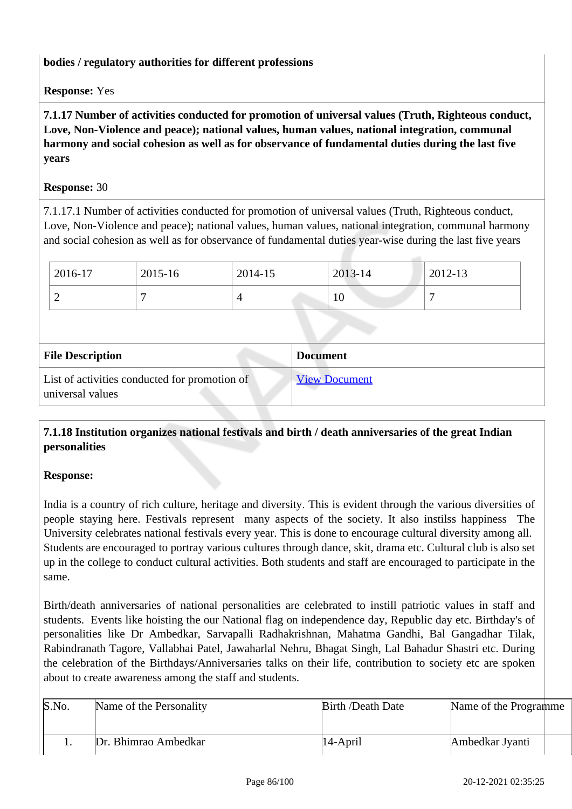## **bodies / regulatory authorities for different professions**

**Response:** Yes

 **7.1.17 Number of activities conducted for promotion of universal values (Truth, Righteous conduct, Love, Non-Violence and peace); national values, human values, national integration, communal harmony and social cohesion as well as for observance of fundamental duties during the last five years**

#### **Response:** 30

7.1.17.1 Number of activities conducted for promotion of universal values (Truth, Righteous conduct, Love, Non-Violence and peace); national values, human values, national integration, communal harmony and social cohesion as well as for observance of fundamental duties year-wise during the last five years

| 2016-17 | 2015-16 | 2014-15 | 2013-14 | 2012-13 |
|---------|---------|---------|---------|---------|
|         |         |         | 1 V     |         |

| <b>File Description</b>                                           | <b>Document</b>      |
|-------------------------------------------------------------------|----------------------|
| List of activities conducted for promotion of<br>universal values | <b>View Document</b> |

## **7.1.18 Institution organizes national festivals and birth / death anniversaries of the great Indian personalities**

#### **Response:**

India is a country of rich culture, heritage and diversity. This is evident through the various diversities of people staying here. Festivals represent many aspects of the society. It also instilss happiness The University celebrates national festivals every year. This is done to encourage cultural diversity among all. Students are encouraged to portray various cultures through dance, skit, drama etc. Cultural club is also set up in the college to conduct cultural activities. Both students and staff are encouraged to participate in the same.

Birth/death anniversaries of national personalities are celebrated to instill patriotic values in staff and students. Events like hoisting the our National flag on independence day, Republic day etc. Birthday's of personalities like Dr Ambedkar, Sarvapalli Radhakrishnan, Mahatma Gandhi, Bal Gangadhar Tilak, Rabindranath Tagore, Vallabhai Patel, Jawaharlal Nehru, Bhagat Singh, Lal Bahadur Shastri etc. During the celebration of the Birthdays/Anniversaries talks on their life, contribution to society etc are spoken about to create awareness among the staff and students.

| S.No. | Name of the Personality | Birth /Death Date     | Name of the Programme |  |
|-------|-------------------------|-----------------------|-----------------------|--|
|       |                         |                       |                       |  |
|       | Dr. Bhimrao Ambedkar    | $ 14 - \text{April} $ | Ambedkar Jyanti       |  |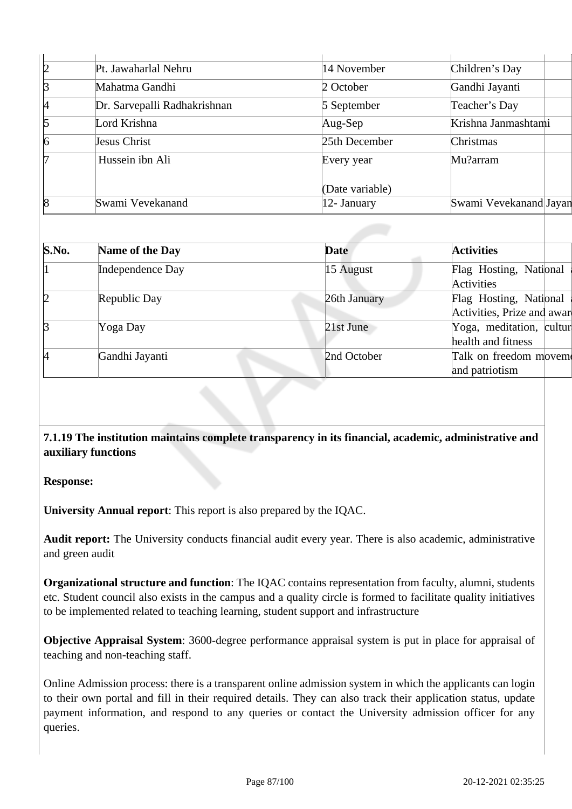| $\mathsf{b}$    | Pt. Jawaharlal Nehru         | 14 November     | Children's Day         |
|-----------------|------------------------------|-----------------|------------------------|
| $\beta$         | Mahatma Gandhi               | 2 October       | Gandhi Jayanti         |
| <b>4</b>        | Dr. Sarvepalli Radhakrishnan | 5 September     | Teacher's Day          |
| $\mathfrak b$   | Lord Krishna                 | Aug-Sep         | Krishna Janmashtami    |
| $\vert 6 \vert$ | Jesus Christ                 | 25th December   | Christmas              |
| l7              | Hussein ibn Ali              | Every year      | Mu?arram               |
|                 |                              | (Date variable) |                        |
| $\vert 8$       | Swami Vevekanand             | 12- January     | Swami Vevekanand Jayan |

| S.No. | Name of the Day  | <b>Date</b>  | <b>Activities</b>          |
|-------|------------------|--------------|----------------------------|
|       | Independence Day | $15$ August  | Flag Hosting, National     |
|       |                  |              | Activities                 |
| þ     | Republic Day     | 26th January | Flag Hosting, National     |
|       |                  |              | Activities, Prize and awar |
| B     | Yoga Day         | 21st June    | Yoga, meditation, cultur   |
|       |                  |              | health and fitness         |
| 14    | Gandhi Jayanti   | 2nd October  | Talk on freedom moveme     |
|       |                  |              | and patriotism             |

 **7.1.19 The institution maintains complete transparency in its financial, academic, administrative and auxiliary functions**

**Response:** 

**University Annual report**: This report is also prepared by the IQAC.

**Audit report:** The University conducts financial audit every year. There is also academic, administrative and green audit

**Organizational structure and function**: The IQAC contains representation from faculty, alumni, students etc. Student council also exists in the campus and a quality circle is formed to facilitate quality initiatives to be implemented related to teaching learning, student support and infrastructure

**Objective Appraisal System**: 3600-degree performance appraisal system is put in place for appraisal of teaching and non-teaching staff.

Online Admission process: there is a transparent online admission system in which the applicants can login to their own portal and fill in their required details. They can also track their application status, update payment information, and respond to any queries or contact the University admission officer for any queries.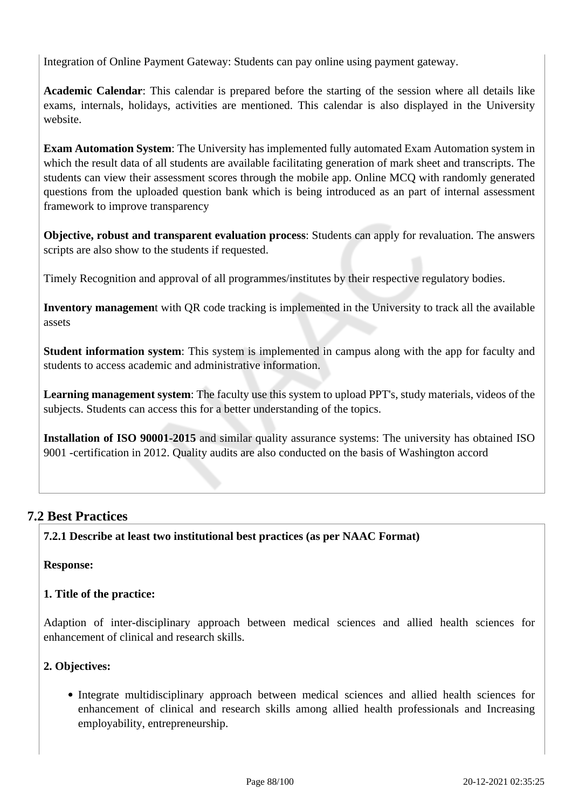Integration of Online Payment Gateway: Students can pay online using payment gateway.

**Academic Calendar**: This calendar is prepared before the starting of the session where all details like exams, internals, holidays, activities are mentioned. This calendar is also displayed in the University website.

**Exam Automation System**: The University has implemented fully automated Exam Automation system in which the result data of all students are available facilitating generation of mark sheet and transcripts. The students can view their assessment scores through the mobile app. Online MCQ with randomly generated questions from the uploaded question bank which is being introduced as an part of internal assessment framework to improve transparency

**Objective, robust and transparent evaluation process**: Students can apply for revaluation. The answers scripts are also show to the students if requested.

Timely Recognition and approval of all programmes/institutes by their respective regulatory bodies.

**Inventory managemen**t with QR code tracking is implemented in the University to track all the available assets

**Student information system**: This system is implemented in campus along with the app for faculty and students to access academic and administrative information.

**Learning management system**: The faculty use this system to upload PPT's, study materials, videos of the subjects. Students can access this for a better understanding of the topics.

**Installation of ISO 90001-2015** and similar quality assurance systems: The university has obtained ISO 9001 -certification in 2012. Quality audits are also conducted on the basis of Washington accord

## **7.2 Best Practices**

**7.2.1 Describe at least two institutional best practices (as per NAAC Format)**

**Response:** 

#### **1. Title of the practice:**

Adaption of inter-disciplinary approach between medical sciences and allied health sciences for enhancement of clinical and research skills.

#### **2. Objectives:**

Integrate multidisciplinary approach between medical sciences and allied health sciences for enhancement of clinical and research skills among allied health professionals and Increasing employability, entrepreneurship.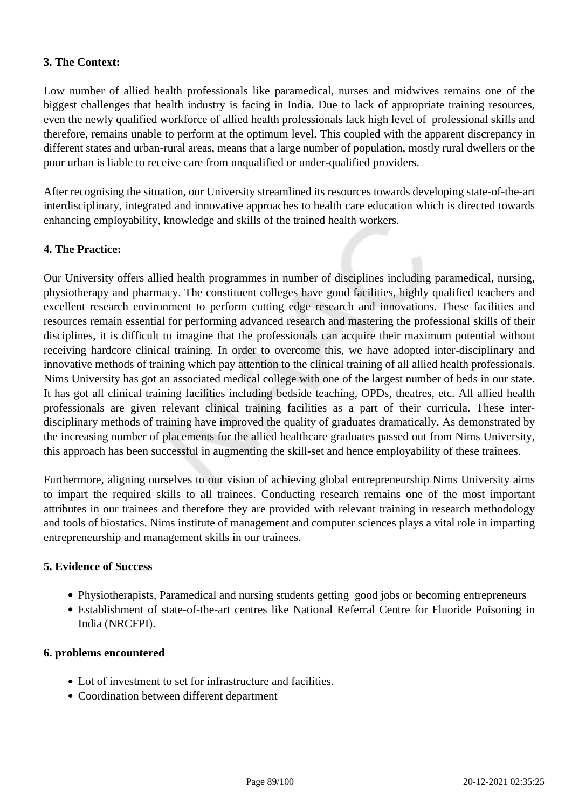## **3. The Context:**

Low number of allied health professionals like paramedical, nurses and midwives remains one of the biggest challenges that health industry is facing in India. Due to lack of appropriate training resources, even the newly qualified workforce of allied health professionals lack high level of professional skills and therefore, remains unable to perform at the optimum level. This coupled with the apparent discrepancy in different states and urban-rural areas, means that a large number of population, mostly rural dwellers or the poor urban is liable to receive care from unqualified or under-qualified providers.

After recognising the situation, our University streamlined its resources towards developing state-of-the-art interdisciplinary, integrated and innovative approaches to health care education which is directed towards enhancing employability, knowledge and skills of the trained health workers.

## **4. The Practice:**

Our University offers allied health programmes in number of disciplines including paramedical, nursing, physiotherapy and pharmacy. The constituent colleges have good facilities, highly qualified teachers and excellent research environment to perform cutting edge research and innovations. These facilities and resources remain essential for performing advanced research and mastering the professional skills of their disciplines, it is difficult to imagine that the professionals can acquire their maximum potential without receiving hardcore clinical training. In order to overcome this, we have adopted inter-disciplinary and innovative methods of training which pay attention to the clinical training of all allied health professionals. Nims University has got an associated medical college with one of the largest number of beds in our state. It has got all clinical training facilities including bedside teaching, OPDs, theatres, etc. All allied health professionals are given relevant clinical training facilities as a part of their curricula. These interdisciplinary methods of training have improved the quality of graduates dramatically. As demonstrated by the increasing number of placements for the allied healthcare graduates passed out from Nims University, this approach has been successful in augmenting the skill-set and hence employability of these trainees.

Furthermore, aligning ourselves to our vision of achieving global entrepreneurship Nims University aims to impart the required skills to all trainees. Conducting research remains one of the most important attributes in our trainees and therefore they are provided with relevant training in research methodology and tools of biostatics. Nims institute of management and computer sciences plays a vital role in imparting entrepreneurship and management skills in our trainees.

#### **5. Evidence of Success**

- Physiotherapists, Paramedical and nursing students getting good jobs or becoming entrepreneurs
- Establishment of state-of-the-art centres like National Referral Centre for Fluoride Poisoning in India (NRCFPI).

#### **6. problems encountered**

- Lot of investment to set for infrastructure and facilities.
- Coordination between different department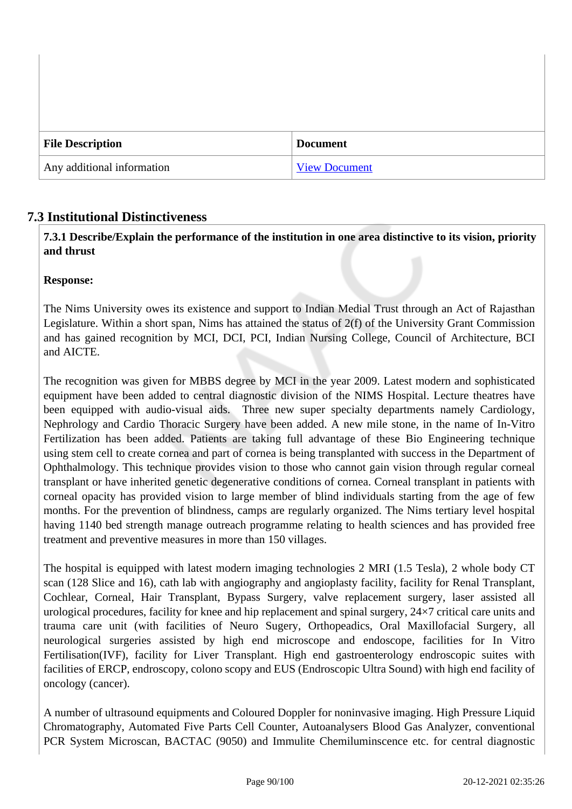| <b>File Description</b>    | <b>Document</b>      |  |  |  |  |
|----------------------------|----------------------|--|--|--|--|
| Any additional information | <b>View Document</b> |  |  |  |  |

## **7.3 Institutional Distinctiveness**

 **7.3.1 Describe/Explain the performance of the institution in one area distinctive to its vision, priority and thrust**

#### **Response:**

The Nims University owes its existence and support to Indian Medial Trust through an Act of Rajasthan Legislature. Within a short span, Nims has attained the status of 2(f) of the University Grant Commission and has gained recognition by MCI, DCI, PCI, Indian Nursing College, Council of Architecture, BCI and AICTE.

The recognition was given for MBBS degree by MCI in the year 2009. Latest modern and sophisticated equipment have been added to central diagnostic division of the NIMS Hospital. Lecture theatres have been equipped with audio-visual aids. Three new super specialty departments namely Cardiology, Nephrology and Cardio Thoracic Surgery have been added. A new mile stone, in the name of In-Vitro Fertilization has been added. Patients are taking full advantage of these Bio Engineering technique using stem cell to create cornea and part of cornea is being transplanted with success in the Department of Ophthalmology. This technique provides vision to those who cannot gain vision through regular corneal transplant or have inherited genetic degenerative conditions of cornea. Corneal transplant in patients with corneal opacity has provided vision to large member of blind individuals starting from the age of few months. For the prevention of blindness, camps are regularly organized. The Nims tertiary level hospital having 1140 bed strength manage outreach programme relating to health sciences and has provided free treatment and preventive measures in more than 150 villages.

The hospital is equipped with latest modern imaging technologies 2 MRI (1.5 Tesla), 2 whole body CT scan (128 Slice and 16), cath lab with angiography and angioplasty facility, facility for Renal Transplant, Cochlear, Corneal, Hair Transplant, Bypass Surgery, valve replacement surgery, laser assisted all urological procedures, facility for knee and hip replacement and spinal surgery, 24×7 critical care units and trauma care unit (with facilities of Neuro Sugery, Orthopeadics, Oral Maxillofacial Surgery, all neurological surgeries assisted by high end microscope and endoscope, facilities for In Vitro Fertilisation(IVF), facility for Liver Transplant. High end gastroenterology endroscopic suites with facilities of ERCP, endroscopy, colono scopy and EUS (Endroscopic Ultra Sound) with high end facility of oncology (cancer).

A number of ultrasound equipments and Coloured Doppler for noninvasive imaging. High Pressure Liquid Chromatography, Automated Five Parts Cell Counter, Autoanalysers Blood Gas Analyzer, conventional PCR System Microscan, BACTAC (9050) and Immulite Chemiluminscence etc. for central diagnostic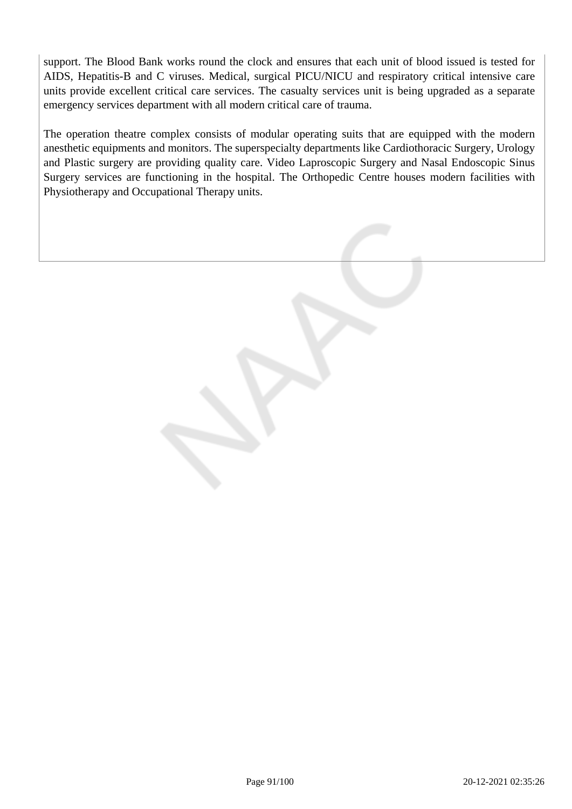support. The Blood Bank works round the clock and ensures that each unit of blood issued is tested for AIDS, Hepatitis-B and C viruses. Medical, surgical PICU/NICU and respiratory critical intensive care units provide excellent critical care services. The casualty services unit is being upgraded as a separate emergency services department with all modern critical care of trauma.

The operation theatre complex consists of modular operating suits that are equipped with the modern anesthetic equipments and monitors. The superspecialty departments like Cardiothoracic Surgery, Urology and Plastic surgery are providing quality care. Video Laproscopic Surgery and Nasal Endoscopic Sinus Surgery services are functioning in the hospital. The Orthopedic Centre houses modern facilities with Physiotherapy and Occupational Therapy units.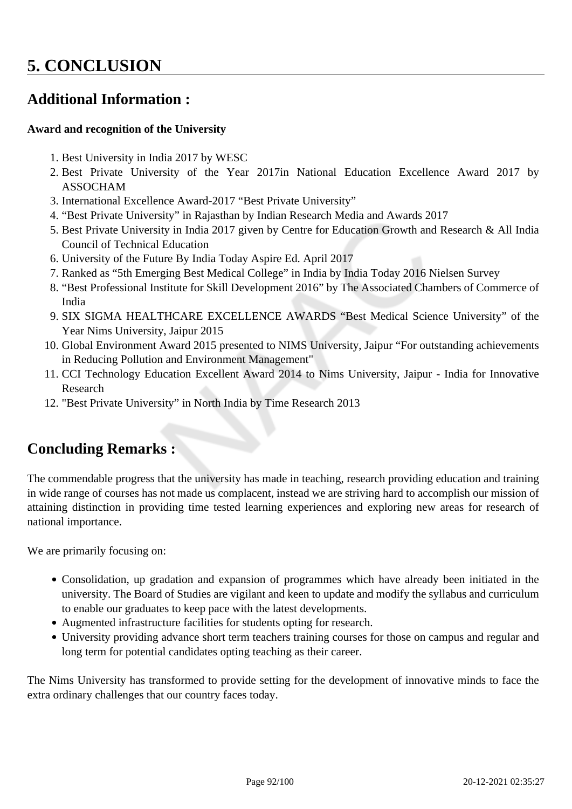# **5. CONCLUSION**

## **Additional Information :**

#### **Award and recognition of the University**

- 1. Best University in India 2017 by WESC
- 2. Best Private University of the Year 2017in National Education Excellence Award 2017 by ASSOCHAM
- 3. International Excellence Award-2017 "Best Private University"
- 4. "Best Private University" in Rajasthan by Indian Research Media and Awards 2017
- 5. Best Private University in India 2017 given by Centre for Education Growth and Research & All India Council of Technical Education
- 6. University of the Future By India Today Aspire Ed. April 2017
- 7. Ranked as "5th Emerging Best Medical College" in India by India Today 2016 Nielsen Survey
- 8. "Best Professional Institute for Skill Development 2016" by The Associated Chambers of Commerce of India
- 9. SIX SIGMA HEALTHCARE EXCELLENCE AWARDS "Best Medical Science University" of the Year Nims University, Jaipur 2015
- 10. Global Environment Award 2015 presented to NIMS University, Jaipur "For outstanding achievements in Reducing Pollution and Environment Management"
- 11. CCI Technology Education Excellent Award 2014 to Nims University, Jaipur India for Innovative Research
- 12. "Best Private University" in North India by Time Research 2013

## **Concluding Remarks :**

The commendable progress that the university has made in teaching, research providing education and training in wide range of courses has not made us complacent, instead we are striving hard to accomplish our mission of attaining distinction in providing time tested learning experiences and exploring new areas for research of national importance.

We are primarily focusing on:

- Consolidation, up gradation and expansion of programmes which have already been initiated in the university. The Board of Studies are vigilant and keen to update and modify the syllabus and curriculum to enable our graduates to keep pace with the latest developments.
- Augmented infrastructure facilities for students opting for research.
- University providing advance short term teachers training courses for those on campus and regular and long term for potential candidates opting teaching as their career.

The Nims University has transformed to provide setting for the development of innovative minds to face the extra ordinary challenges that our country faces today.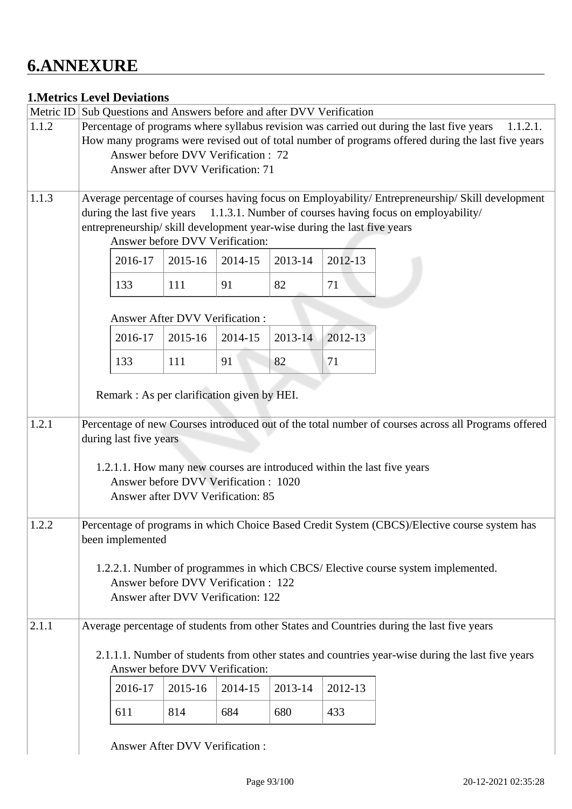# **6.ANNEXURE**

## **1.Metrics Level Deviations**

| Metric ID | Sub Questions and Answers before and after DVV Verification                                                                                                                                                                                                                                            |                                             |         |         |         |         |  |  |  |  |
|-----------|--------------------------------------------------------------------------------------------------------------------------------------------------------------------------------------------------------------------------------------------------------------------------------------------------------|---------------------------------------------|---------|---------|---------|---------|--|--|--|--|
| 1.1.2     | Percentage of programs where syllabus revision was carried out during the last five years<br>1.1.2.1.                                                                                                                                                                                                  |                                             |         |         |         |         |  |  |  |  |
|           | How many programs were revised out of total number of programs offered during the last five years                                                                                                                                                                                                      |                                             |         |         |         |         |  |  |  |  |
|           | Answer before DVV Verification : 72                                                                                                                                                                                                                                                                    |                                             |         |         |         |         |  |  |  |  |
|           | Answer after DVV Verification: 71                                                                                                                                                                                                                                                                      |                                             |         |         |         |         |  |  |  |  |
|           |                                                                                                                                                                                                                                                                                                        |                                             |         |         |         |         |  |  |  |  |
| 1.1.3     | Average percentage of courses having focus on Employability/ Entrepreneurship/ Skill development<br>during the last five years 1.1.3.1. Number of courses having focus on employability/<br>entrepreneurship/skill development year-wise during the last five years<br>Answer before DVV Verification: |                                             |         |         |         |         |  |  |  |  |
|           | 2012-13<br>2016-17<br>2015-16<br>2014-15<br>2013-14                                                                                                                                                                                                                                                    |                                             |         |         |         |         |  |  |  |  |
|           |                                                                                                                                                                                                                                                                                                        | 133                                         | 111     | 91      | 82      | 71      |  |  |  |  |
|           |                                                                                                                                                                                                                                                                                                        | Answer After DVV Verification:              |         |         |         |         |  |  |  |  |
|           |                                                                                                                                                                                                                                                                                                        | 2016-17                                     | 2015-16 | 2014-15 | 2013-14 | 2012-13 |  |  |  |  |
|           |                                                                                                                                                                                                                                                                                                        | 133                                         | 111     | 91      | 82      | 71      |  |  |  |  |
|           |                                                                                                                                                                                                                                                                                                        | Remark : As per clarification given by HEI. |         |         |         |         |  |  |  |  |
| 1.2.1     | Percentage of new Courses introduced out of the total number of courses across all Programs offered<br>during last five years<br>1.2.1.1. How many new courses are introduced within the last five years<br>Answer before DVV Verification: 1020<br>Answer after DVV Verification: 85                  |                                             |         |         |         |         |  |  |  |  |
| 1.2.2     | Percentage of programs in which Choice Based Credit System (CBCS)/Elective course system has<br>been implemented<br>1.2.2.1. Number of programmes in which CBCS/Elective course system implemented.<br>Answer before DVV Verification : 122<br>Answer after DVV Verification: 122                      |                                             |         |         |         |         |  |  |  |  |
| 2.1.1     | Average percentage of students from other States and Countries during the last five years<br>2.1.1.1. Number of students from other states and countries year-wise during the last five years<br>Answer before DVV Verification:                                                                       |                                             |         |         |         |         |  |  |  |  |
|           |                                                                                                                                                                                                                                                                                                        | 2016-17                                     | 2015-16 | 2014-15 | 2013-14 | 2012-13 |  |  |  |  |
|           |                                                                                                                                                                                                                                                                                                        | 611                                         | 814     | 684     | 680     | 433     |  |  |  |  |
|           |                                                                                                                                                                                                                                                                                                        | <b>Answer After DVV Verification:</b>       |         |         |         |         |  |  |  |  |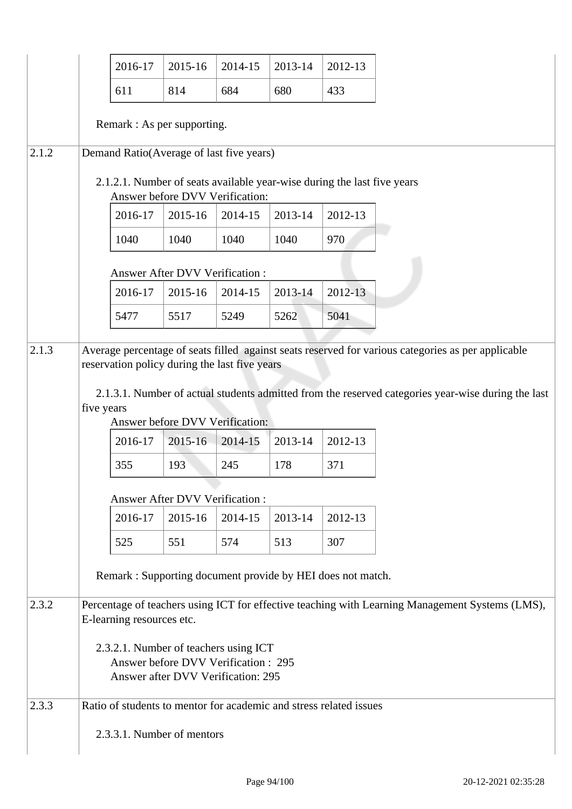|       |                                                                                                                                                                                                                                                                                                            | 2016-17                               | 2015-16 | 2014-15 | 2013-14 | 2012-13                                                            |                                                                                                 |  |  |  |  |
|-------|------------------------------------------------------------------------------------------------------------------------------------------------------------------------------------------------------------------------------------------------------------------------------------------------------------|---------------------------------------|---------|---------|---------|--------------------------------------------------------------------|-------------------------------------------------------------------------------------------------|--|--|--|--|
|       |                                                                                                                                                                                                                                                                                                            |                                       |         |         |         |                                                                    |                                                                                                 |  |  |  |  |
|       |                                                                                                                                                                                                                                                                                                            | 611                                   | 814     | 684     | 680     | 433                                                                |                                                                                                 |  |  |  |  |
|       | Remark : As per supporting.                                                                                                                                                                                                                                                                                |                                       |         |         |         |                                                                    |                                                                                                 |  |  |  |  |
| 2.1.2 | Demand Ratio(Average of last five years)                                                                                                                                                                                                                                                                   |                                       |         |         |         |                                                                    |                                                                                                 |  |  |  |  |
|       | 2.1.2.1. Number of seats available year-wise during the last five years<br>Answer before DVV Verification:                                                                                                                                                                                                 |                                       |         |         |         |                                                                    |                                                                                                 |  |  |  |  |
|       |                                                                                                                                                                                                                                                                                                            | 2016-17                               | 2015-16 | 2014-15 | 2013-14 | 2012-13                                                            |                                                                                                 |  |  |  |  |
|       |                                                                                                                                                                                                                                                                                                            | 1040                                  | 1040    | 1040    | 1040    | 970                                                                |                                                                                                 |  |  |  |  |
|       | Answer After DVV Verification :                                                                                                                                                                                                                                                                            |                                       |         |         |         |                                                                    |                                                                                                 |  |  |  |  |
|       |                                                                                                                                                                                                                                                                                                            | 2016-17                               | 2015-16 | 2014-15 | 2013-14 | 2012-13                                                            |                                                                                                 |  |  |  |  |
|       |                                                                                                                                                                                                                                                                                                            | 5477                                  | 5517    | 5249    | 5262    | 5041                                                               |                                                                                                 |  |  |  |  |
| 2.1.3 | Average percentage of seats filled against seats reserved for various categories as per applicable<br>reservation policy during the last five years<br>2.1.3.1. Number of actual students admitted from the reserved categories year-wise during the last<br>five years<br>Answer before DVV Verification: |                                       |         |         |         |                                                                    |                                                                                                 |  |  |  |  |
|       |                                                                                                                                                                                                                                                                                                            | 2016-17                               | 2015-16 | 2014-15 | 2013-14 | 2012-13                                                            |                                                                                                 |  |  |  |  |
|       |                                                                                                                                                                                                                                                                                                            | 355                                   | 193     | 245     | 178     | 371                                                                |                                                                                                 |  |  |  |  |
|       |                                                                                                                                                                                                                                                                                                            | <b>Answer After DVV Verification:</b> |         |         |         |                                                                    |                                                                                                 |  |  |  |  |
|       |                                                                                                                                                                                                                                                                                                            | 2016-17                               | 2015-16 | 2014-15 | 2013-14 | 2012-13                                                            |                                                                                                 |  |  |  |  |
|       |                                                                                                                                                                                                                                                                                                            | 525                                   | 551     | 574     | 513     | 307                                                                |                                                                                                 |  |  |  |  |
|       |                                                                                                                                                                                                                                                                                                            |                                       |         |         |         | Remark : Supporting document provide by HEI does not match.        |                                                                                                 |  |  |  |  |
| 2.3.2 |                                                                                                                                                                                                                                                                                                            | E-learning resources etc.             |         |         |         |                                                                    | Percentage of teachers using ICT for effective teaching with Learning Management Systems (LMS), |  |  |  |  |
|       | 2.3.2.1. Number of teachers using ICT<br>Answer before DVV Verification : 295<br>Answer after DVV Verification: 295                                                                                                                                                                                        |                                       |         |         |         |                                                                    |                                                                                                 |  |  |  |  |
| 2.3.3 |                                                                                                                                                                                                                                                                                                            | 2.3.3.1. Number of mentors            |         |         |         | Ratio of students to mentor for academic and stress related issues |                                                                                                 |  |  |  |  |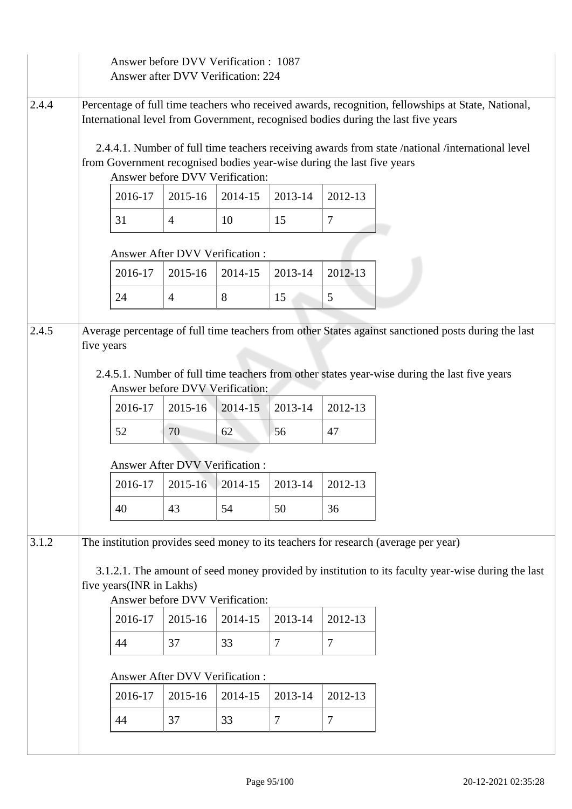|       | Answer before DVV Verification: 1087<br>Answer after DVV Verification: 224                                                                                                                                                                           |                                                                        |                |                                 |         |                |                                                                                                  |  |  |  |
|-------|------------------------------------------------------------------------------------------------------------------------------------------------------------------------------------------------------------------------------------------------------|------------------------------------------------------------------------|----------------|---------------------------------|---------|----------------|--------------------------------------------------------------------------------------------------|--|--|--|
| 2.4.4 | Percentage of full time teachers who received awards, recognition, fellowships at State, National,<br>International level from Government, recognised bodies during the last five years                                                              |                                                                        |                |                                 |         |                |                                                                                                  |  |  |  |
|       |                                                                                                                                                                                                                                                      | from Government recognised bodies year-wise during the last five years |                | Answer before DVV Verification: |         |                | 2.4.4.1. Number of full time teachers receiving awards from state /national /international level |  |  |  |
|       |                                                                                                                                                                                                                                                      | 2016-17<br>2015-16<br>2013-14<br>2012-13<br>2014-15                    |                |                                 |         |                |                                                                                                  |  |  |  |
|       |                                                                                                                                                                                                                                                      | 31                                                                     | $\overline{4}$ | 10                              | 15      | 7              |                                                                                                  |  |  |  |
|       | <b>Answer After DVV Verification:</b>                                                                                                                                                                                                                |                                                                        |                |                                 |         |                |                                                                                                  |  |  |  |
|       |                                                                                                                                                                                                                                                      | 2016-17                                                                | 2015-16        | 2014-15                         | 2013-14 | 2012-13        |                                                                                                  |  |  |  |
|       |                                                                                                                                                                                                                                                      | 24                                                                     | $\overline{4}$ | 8                               | 15      | 5              |                                                                                                  |  |  |  |
| 2.4.5 | Average percentage of full time teachers from other States against sanctioned posts during the last<br>five years<br>2.4.5.1. Number of full time teachers from other states year-wise during the last five years<br>Answer before DVV Verification: |                                                                        |                |                                 |         |                |                                                                                                  |  |  |  |
|       |                                                                                                                                                                                                                                                      | 2016-17                                                                | 2015-16        | 2014-15                         | 2013-14 | 2012-13        |                                                                                                  |  |  |  |
|       |                                                                                                                                                                                                                                                      | 52                                                                     | 70             | 62                              | 56      | 47             |                                                                                                  |  |  |  |
|       |                                                                                                                                                                                                                                                      | Answer After DVV Verification:                                         |                |                                 |         |                |                                                                                                  |  |  |  |
|       |                                                                                                                                                                                                                                                      | 2016-17                                                                | 2015-16        | 2014-15                         | 2013-14 | 2012-13        |                                                                                                  |  |  |  |
|       |                                                                                                                                                                                                                                                      | 40                                                                     | 43             | 54                              | 50      | 36             |                                                                                                  |  |  |  |
| 3.1.2 |                                                                                                                                                                                                                                                      |                                                                        |                |                                 |         |                | The institution provides seed money to its teachers for research (average per year)              |  |  |  |
|       | 3.1.2.1. The amount of seed money provided by institution to its faculty year-wise during the last<br>five years(INR in Lakhs)<br>Answer before DVV Verification:                                                                                    |                                                                        |                |                                 |         |                |                                                                                                  |  |  |  |
|       |                                                                                                                                                                                                                                                      | 2016-17                                                                | 2015-16        | 2014-15                         | 2013-14 | 2012-13        |                                                                                                  |  |  |  |
|       |                                                                                                                                                                                                                                                      | 44                                                                     | 37             | 33                              | 7       | $\overline{7}$ |                                                                                                  |  |  |  |
|       |                                                                                                                                                                                                                                                      | Answer After DVV Verification:                                         |                |                                 |         |                |                                                                                                  |  |  |  |
|       |                                                                                                                                                                                                                                                      | 2016-17                                                                | 2015-16        | 2014-15                         | 2013-14 | 2012-13        |                                                                                                  |  |  |  |
|       |                                                                                                                                                                                                                                                      | 44                                                                     | 37             | 33                              | 7       | 7              |                                                                                                  |  |  |  |
|       |                                                                                                                                                                                                                                                      |                                                                        |                |                                 |         |                |                                                                                                  |  |  |  |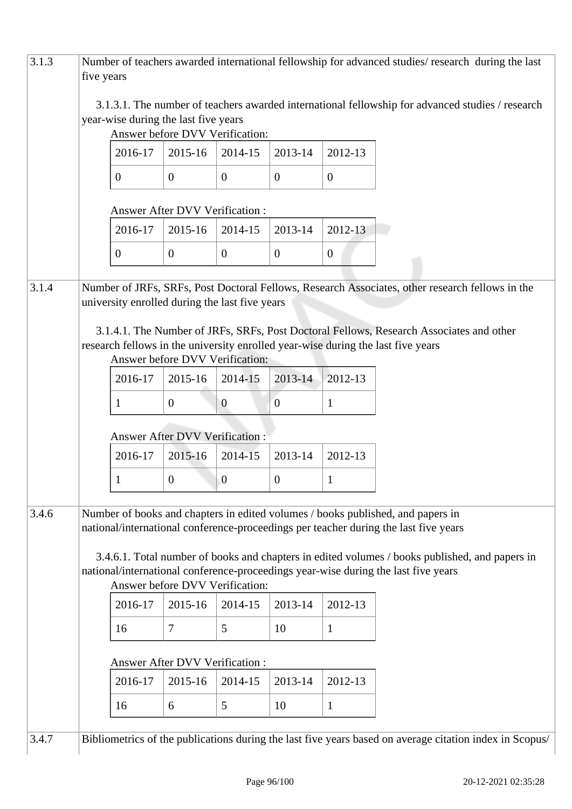| 3.1.3 | Number of teachers awarded international fellowship for advanced studies/research during the last                                                                                      |                                                                                                                                                                                                                |                  |                                 |                  |                |                                                                                                                                                                                      |  |  |  |  |
|-------|----------------------------------------------------------------------------------------------------------------------------------------------------------------------------------------|----------------------------------------------------------------------------------------------------------------------------------------------------------------------------------------------------------------|------------------|---------------------------------|------------------|----------------|--------------------------------------------------------------------------------------------------------------------------------------------------------------------------------------|--|--|--|--|
|       | five years                                                                                                                                                                             |                                                                                                                                                                                                                |                  |                                 |                  |                |                                                                                                                                                                                      |  |  |  |  |
|       | 3.1.3.1. The number of teachers awarded international fellowship for advanced studies / research<br>year-wise during the last five years<br>Answer before DVV Verification:<br>2013-14 |                                                                                                                                                                                                                |                  |                                 |                  |                |                                                                                                                                                                                      |  |  |  |  |
|       |                                                                                                                                                                                        |                                                                                                                                                                                                                |                  |                                 |                  |                |                                                                                                                                                                                      |  |  |  |  |
|       |                                                                                                                                                                                        | 2016-17                                                                                                                                                                                                        | 2015-16          | 2014-15                         |                  | 2012-13        |                                                                                                                                                                                      |  |  |  |  |
|       |                                                                                                                                                                                        | $\overline{0}$                                                                                                                                                                                                 | $\overline{0}$   | $\mathbf{0}$                    | $\theta$         | $\mathbf{0}$   |                                                                                                                                                                                      |  |  |  |  |
|       | <b>Answer After DVV Verification:</b>                                                                                                                                                  |                                                                                                                                                                                                                |                  |                                 |                  |                |                                                                                                                                                                                      |  |  |  |  |
|       |                                                                                                                                                                                        | 2016-17                                                                                                                                                                                                        | 2015-16          | 2014-15                         | 2013-14          | 2012-13        |                                                                                                                                                                                      |  |  |  |  |
|       |                                                                                                                                                                                        | $\boldsymbol{0}$                                                                                                                                                                                               | $\boldsymbol{0}$ | $\mathbf{0}$                    | $\mathbf{0}$     | $\overline{0}$ |                                                                                                                                                                                      |  |  |  |  |
| 3.1.4 | Number of JRFs, SRFs, Post Doctoral Fellows, Research Associates, other research fellows in the<br>university enrolled during the last five years                                      |                                                                                                                                                                                                                |                  |                                 |                  |                |                                                                                                                                                                                      |  |  |  |  |
|       |                                                                                                                                                                                        | 3.1.4.1. The Number of JRFs, SRFs, Post Doctoral Fellows, Research Associates and other<br>research fellows in the university enrolled year-wise during the last five years<br>Answer before DVV Verification: |                  |                                 |                  |                |                                                                                                                                                                                      |  |  |  |  |
|       |                                                                                                                                                                                        | 2016-17                                                                                                                                                                                                        | 2015-16          | 2014-15                         | 2013-14          | 2012-13        |                                                                                                                                                                                      |  |  |  |  |
|       |                                                                                                                                                                                        | 1                                                                                                                                                                                                              | $\overline{0}$   | $\mathbf{0}$                    | $\overline{0}$   | 1              |                                                                                                                                                                                      |  |  |  |  |
|       |                                                                                                                                                                                        | <b>Answer After DVV Verification:</b>                                                                                                                                                                          |                  |                                 |                  |                |                                                                                                                                                                                      |  |  |  |  |
|       |                                                                                                                                                                                        | 2016-17                                                                                                                                                                                                        | 2015-16          | 2014-15                         | 2013-14          | 2012-13        |                                                                                                                                                                                      |  |  |  |  |
|       |                                                                                                                                                                                        |                                                                                                                                                                                                                | $\boldsymbol{0}$ | $\boldsymbol{0}$                | $\boldsymbol{0}$ | 1              |                                                                                                                                                                                      |  |  |  |  |
| 3.4.6 | Number of books and chapters in edited volumes / books published, and papers in<br>national/international conference-proceedings per teacher during the last five years                |                                                                                                                                                                                                                |                  |                                 |                  |                |                                                                                                                                                                                      |  |  |  |  |
|       |                                                                                                                                                                                        |                                                                                                                                                                                                                |                  | Answer before DVV Verification: |                  |                | 3.4.6.1. Total number of books and chapters in edited volumes / books published, and papers in<br>national/international conference-proceedings year-wise during the last five years |  |  |  |  |
|       |                                                                                                                                                                                        | 2016-17                                                                                                                                                                                                        | 2015-16          | 2014-15                         | 2013-14          | 2012-13        |                                                                                                                                                                                      |  |  |  |  |
|       |                                                                                                                                                                                        | 16                                                                                                                                                                                                             | $\overline{7}$   | 5                               | 10               | $\mathbf{1}$   |                                                                                                                                                                                      |  |  |  |  |
|       |                                                                                                                                                                                        | Answer After DVV Verification:                                                                                                                                                                                 |                  |                                 |                  |                |                                                                                                                                                                                      |  |  |  |  |
|       |                                                                                                                                                                                        | 2016-17                                                                                                                                                                                                        | 2015-16          | 2014-15                         | 2013-14          | 2012-13        |                                                                                                                                                                                      |  |  |  |  |
|       |                                                                                                                                                                                        | 16                                                                                                                                                                                                             | 6                | 5                               | 10               | $\mathbf{1}$   |                                                                                                                                                                                      |  |  |  |  |
| 3.4.7 |                                                                                                                                                                                        |                                                                                                                                                                                                                |                  |                                 |                  |                | Bibliometrics of the publications during the last five years based on average citation index in Scopus/                                                                              |  |  |  |  |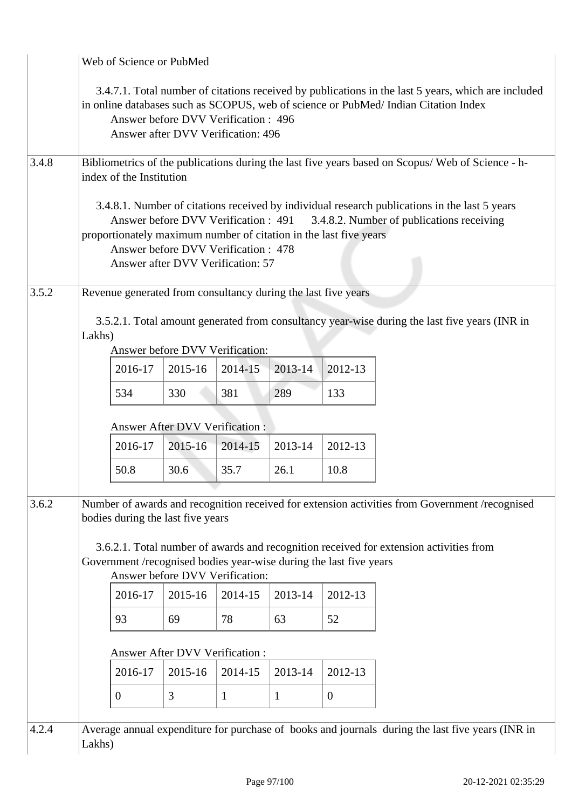|       | Web of Science or PubMed                                                                                                                                                                                                                                                                                                            |                                                                                                                                                                                          |                                 |              |              |                |                                                                                                  |  |  |  |  |
|-------|-------------------------------------------------------------------------------------------------------------------------------------------------------------------------------------------------------------------------------------------------------------------------------------------------------------------------------------|------------------------------------------------------------------------------------------------------------------------------------------------------------------------------------------|---------------------------------|--------------|--------------|----------------|--------------------------------------------------------------------------------------------------|--|--|--|--|
|       | 3.4.7.1. Total number of citations received by publications in the last 5 years, which are included<br>in online databases such as SCOPUS, web of science or PubMed/ Indian Citation Index<br>Answer before DVV Verification: 496<br>Answer after DVV Verification: 496                                                             |                                                                                                                                                                                          |                                 |              |              |                |                                                                                                  |  |  |  |  |
| 3.4.8 | Bibliometrics of the publications during the last five years based on Scopus/Web of Science - h-<br>index of the Institution                                                                                                                                                                                                        |                                                                                                                                                                                          |                                 |              |              |                |                                                                                                  |  |  |  |  |
|       | 3.4.8.1. Number of citations received by individual research publications in the last 5 years<br>3.4.8.2. Number of publications receiving<br>Answer before DVV Verification : 491<br>proportionately maximum number of citation in the last five years<br>Answer before DVV Verification: 478<br>Answer after DVV Verification: 57 |                                                                                                                                                                                          |                                 |              |              |                |                                                                                                  |  |  |  |  |
| 3.5.2 |                                                                                                                                                                                                                                                                                                                                     | Revenue generated from consultancy during the last five years                                                                                                                            |                                 |              |              |                |                                                                                                  |  |  |  |  |
|       | Lakhs)                                                                                                                                                                                                                                                                                                                              |                                                                                                                                                                                          | Answer before DVV Verification: |              |              |                | 3.5.2.1. Total amount generated from consultancy year-wise during the last five years (INR in    |  |  |  |  |
|       |                                                                                                                                                                                                                                                                                                                                     | 2016-17                                                                                                                                                                                  | 2015-16                         | 2014-15      | 2013-14      | 2012-13        |                                                                                                  |  |  |  |  |
|       |                                                                                                                                                                                                                                                                                                                                     | 534                                                                                                                                                                                      | 330                             | 381          | 289          | 133            |                                                                                                  |  |  |  |  |
|       |                                                                                                                                                                                                                                                                                                                                     | <b>Answer After DVV Verification:</b>                                                                                                                                                    |                                 |              |              |                |                                                                                                  |  |  |  |  |
|       | 2016-17<br>2013-14<br>2012-13<br>2015-16<br>2014-15                                                                                                                                                                                                                                                                                 |                                                                                                                                                                                          |                                 |              |              |                |                                                                                                  |  |  |  |  |
|       |                                                                                                                                                                                                                                                                                                                                     | 50.8                                                                                                                                                                                     | 30.6                            | 35.7         | 26.1         | 10.8           |                                                                                                  |  |  |  |  |
| 3.6.2 | bodies during the last five years<br>Government /recognised bodies year-wise during the last five years                                                                                                                                                                                                                             | Number of awards and recognition received for extension activities from Government /recognised<br>3.6.2.1. Total number of awards and recognition received for extension activities from |                                 |              |              |                |                                                                                                  |  |  |  |  |
|       |                                                                                                                                                                                                                                                                                                                                     | 2016-17                                                                                                                                                                                  | 2015-16                         | 2014-15      | 2013-14      | 2012-13        |                                                                                                  |  |  |  |  |
|       |                                                                                                                                                                                                                                                                                                                                     | 93                                                                                                                                                                                       | 69                              | 78           | 63           | 52             |                                                                                                  |  |  |  |  |
|       |                                                                                                                                                                                                                                                                                                                                     |                                                                                                                                                                                          | Answer After DVV Verification:  |              |              |                |                                                                                                  |  |  |  |  |
|       |                                                                                                                                                                                                                                                                                                                                     | 2016-17                                                                                                                                                                                  | 2015-16                         | 2014-15      | 2013-14      | 2012-13        |                                                                                                  |  |  |  |  |
|       |                                                                                                                                                                                                                                                                                                                                     | $\overline{0}$                                                                                                                                                                           | 3                               | $\mathbf{1}$ | $\mathbf{1}$ | $\overline{0}$ |                                                                                                  |  |  |  |  |
| 4.2.4 | Lakhs)                                                                                                                                                                                                                                                                                                                              |                                                                                                                                                                                          |                                 |              |              |                | Average annual expenditure for purchase of books and journals during the last five years (INR in |  |  |  |  |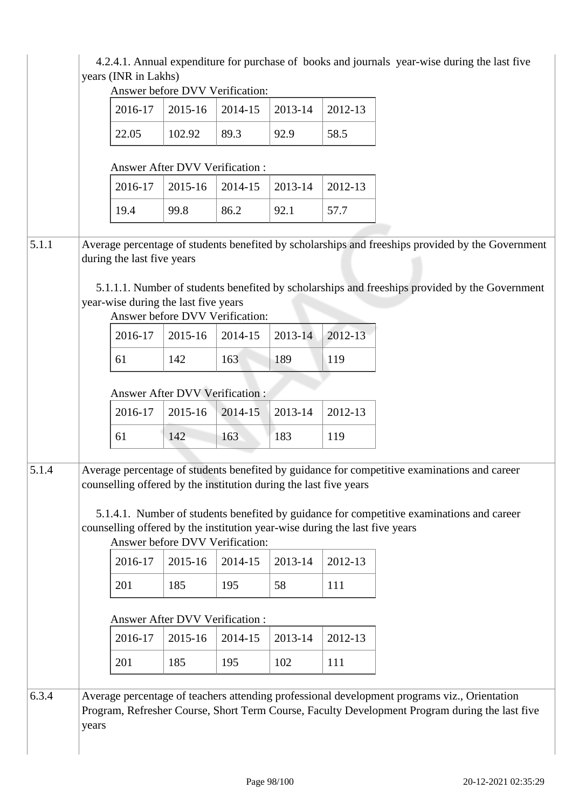|       |       | years (INR in Lakhs)                                                                                                                             | Answer before DVV Verification:                         |                |                |                | 4.2.4.1. Annual expenditure for purchase of books and journals year-wise during the last five                                                                                                       |
|-------|-------|--------------------------------------------------------------------------------------------------------------------------------------------------|---------------------------------------------------------|----------------|----------------|----------------|-----------------------------------------------------------------------------------------------------------------------------------------------------------------------------------------------------|
|       |       | 2016-17                                                                                                                                          | 2015-16                                                 | 2014-15        | 2013-14        | 2012-13        |                                                                                                                                                                                                     |
|       |       | 22.05                                                                                                                                            | 102.92                                                  | 89.3           | 92.9           | 58.5           |                                                                                                                                                                                                     |
|       |       |                                                                                                                                                  | Answer After DVV Verification :                         |                |                |                |                                                                                                                                                                                                     |
|       |       | 2016-17                                                                                                                                          | 2015-16                                                 | 2014-15        | 2013-14        | 2012-13        |                                                                                                                                                                                                     |
|       |       | 19.4                                                                                                                                             | 99.8                                                    | 86.2           | 92.1           | 57.7           |                                                                                                                                                                                                     |
| 5.1.1 |       | during the last five years<br>year-wise during the last five years                                                                               | Answer before DVV Verification:                         |                |                |                | Average percentage of students benefited by scholarships and freeships provided by the Government<br>5.1.1.1. Number of students benefited by scholarships and freeships provided by the Government |
|       |       | 2016-17                                                                                                                                          | 2015-16                                                 | 2014-15        | 2013-14        | 2012-13        |                                                                                                                                                                                                     |
|       |       | 61                                                                                                                                               | 142                                                     | 163            | 189            | 119            |                                                                                                                                                                                                     |
|       |       | 2016-17<br>61                                                                                                                                    | <b>Answer After DVV Verification:</b><br>2015-16<br>142 | 2014-15<br>163 | 2013-14<br>183 | 2012-13<br>119 |                                                                                                                                                                                                     |
| 5.1.4 |       | counselling offered by the institution during the last five years<br>counselling offered by the institution year-wise during the last five years | Answer before DVV Verification:                         |                |                |                | Average percentage of students benefited by guidance for competitive examinations and career<br>5.1.4.1. Number of students benefited by guidance for competitive examinations and career           |
|       |       | 2016-17                                                                                                                                          | 2015-16                                                 | 2014-15        | 2013-14        | 2012-13        |                                                                                                                                                                                                     |
|       |       | 201                                                                                                                                              | 185                                                     | 195            | 58             | 111            |                                                                                                                                                                                                     |
|       |       |                                                                                                                                                  | Answer After DVV Verification :                         |                |                |                |                                                                                                                                                                                                     |
|       |       | 2016-17                                                                                                                                          | 2015-16                                                 | 2014-15        | 2013-14        | 2012-13        |                                                                                                                                                                                                     |
|       |       | 201                                                                                                                                              | 185                                                     | 195            | 102            | 111            |                                                                                                                                                                                                     |
| 6.3.4 | years |                                                                                                                                                  |                                                         |                |                |                | Average percentage of teachers attending professional development programs viz., Orientation<br>Program, Refresher Course, Short Term Course, Faculty Development Program during the last five      |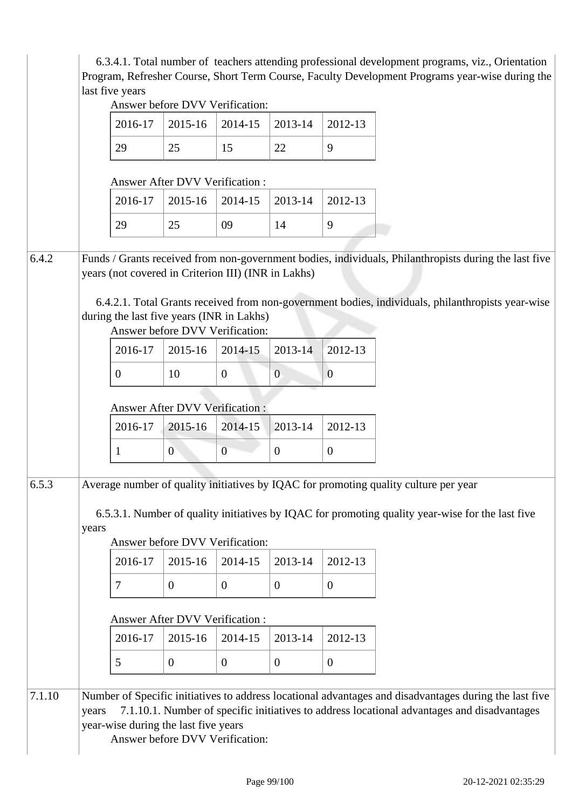|        |                                 |         |                                      |                                                                                                                                     | 6.3.4.1. Total number of teachers attending professional development programs, viz., Orientation<br>Program, Refresher Course, Short Term Course, Faculty Development Programs year-wise during the        |                |  |  |  |  |
|--------|---------------------------------|---------|--------------------------------------|-------------------------------------------------------------------------------------------------------------------------------------|------------------------------------------------------------------------------------------------------------------------------------------------------------------------------------------------------------|----------------|--|--|--|--|
|        | last five years                 |         |                                      | Answer before DVV Verification:                                                                                                     |                                                                                                                                                                                                            |                |  |  |  |  |
|        |                                 | 2016-17 | 2015-16                              | 2014-15                                                                                                                             | 2013-14                                                                                                                                                                                                    | 2012-13        |  |  |  |  |
|        |                                 | 29      | 25                                   | 15                                                                                                                                  | 22                                                                                                                                                                                                         | 9              |  |  |  |  |
|        |                                 |         | Answer After DVV Verification:       |                                                                                                                                     |                                                                                                                                                                                                            |                |  |  |  |  |
|        |                                 | 2016-17 | 2015-16                              | 2014-15                                                                                                                             | 2013-14                                                                                                                                                                                                    | 2012-13        |  |  |  |  |
|        | 29                              |         | 25                                   | 09                                                                                                                                  | 14                                                                                                                                                                                                         | 9              |  |  |  |  |
| 6.4.2  |                                 |         |                                      | years (not covered in Criterion III) (INR in Lakhs)<br>during the last five years (INR in Lakhs)<br>Answer before DVV Verification: | Funds / Grants received from non-government bodies, individuals, Philanthropists during the last five<br>6.4.2.1. Total Grants received from non-government bodies, individuals, philanthropists year-wise |                |  |  |  |  |
|        |                                 | 2016-17 | 2015-16                              | 2014-15                                                                                                                             | 2013-14                                                                                                                                                                                                    | 2012-13        |  |  |  |  |
|        | $\overline{0}$                  |         | 10                                   | $\overline{0}$                                                                                                                      | $\mathbf{0}$                                                                                                                                                                                               | $\overline{0}$ |  |  |  |  |
|        | Answer After DVV Verification : |         |                                      |                                                                                                                                     |                                                                                                                                                                                                            |                |  |  |  |  |
|        |                                 | 2016-17 | 2015-16                              | 2014-15                                                                                                                             | 2013-14                                                                                                                                                                                                    | 2012-13        |  |  |  |  |
|        | 1                               |         | $\overline{0}$                       | $\overline{0}$                                                                                                                      | $\overline{0}$                                                                                                                                                                                             | $\overline{0}$ |  |  |  |  |
| 6.5.3  |                                 |         |                                      |                                                                                                                                     | Average number of quality initiatives by IQAC for promoting quality culture per year                                                                                                                       |                |  |  |  |  |
|        | years                           |         |                                      | Answer before DVV Verification:                                                                                                     | 6.5.3.1. Number of quality initiatives by IQAC for promoting quality year-wise for the last five                                                                                                           |                |  |  |  |  |
|        |                                 | 2016-17 | 2015-16                              | 2014-15                                                                                                                             | 2013-14                                                                                                                                                                                                    | 2012-13        |  |  |  |  |
|        | 7                               |         | $\overline{0}$                       | $\mathbf{0}$                                                                                                                        | $\overline{0}$                                                                                                                                                                                             | $\overline{0}$ |  |  |  |  |
|        |                                 |         | Answer After DVV Verification:       |                                                                                                                                     |                                                                                                                                                                                                            |                |  |  |  |  |
|        |                                 | 2016-17 | 2015-16                              | 2014-15                                                                                                                             | 2013-14                                                                                                                                                                                                    | 2012-13        |  |  |  |  |
|        | 5                               |         | $\overline{0}$                       | $\mathbf{0}$                                                                                                                        | $\overline{0}$                                                                                                                                                                                             | $\overline{0}$ |  |  |  |  |
| 7.1.10 | years                           |         | year-wise during the last five years | Answer before DVV Verification:                                                                                                     | Number of Specific initiatives to address locational advantages and disadvantages during the last five<br>7.1.10.1. Number of specific initiatives to address locational advantages and disadvantages      |                |  |  |  |  |